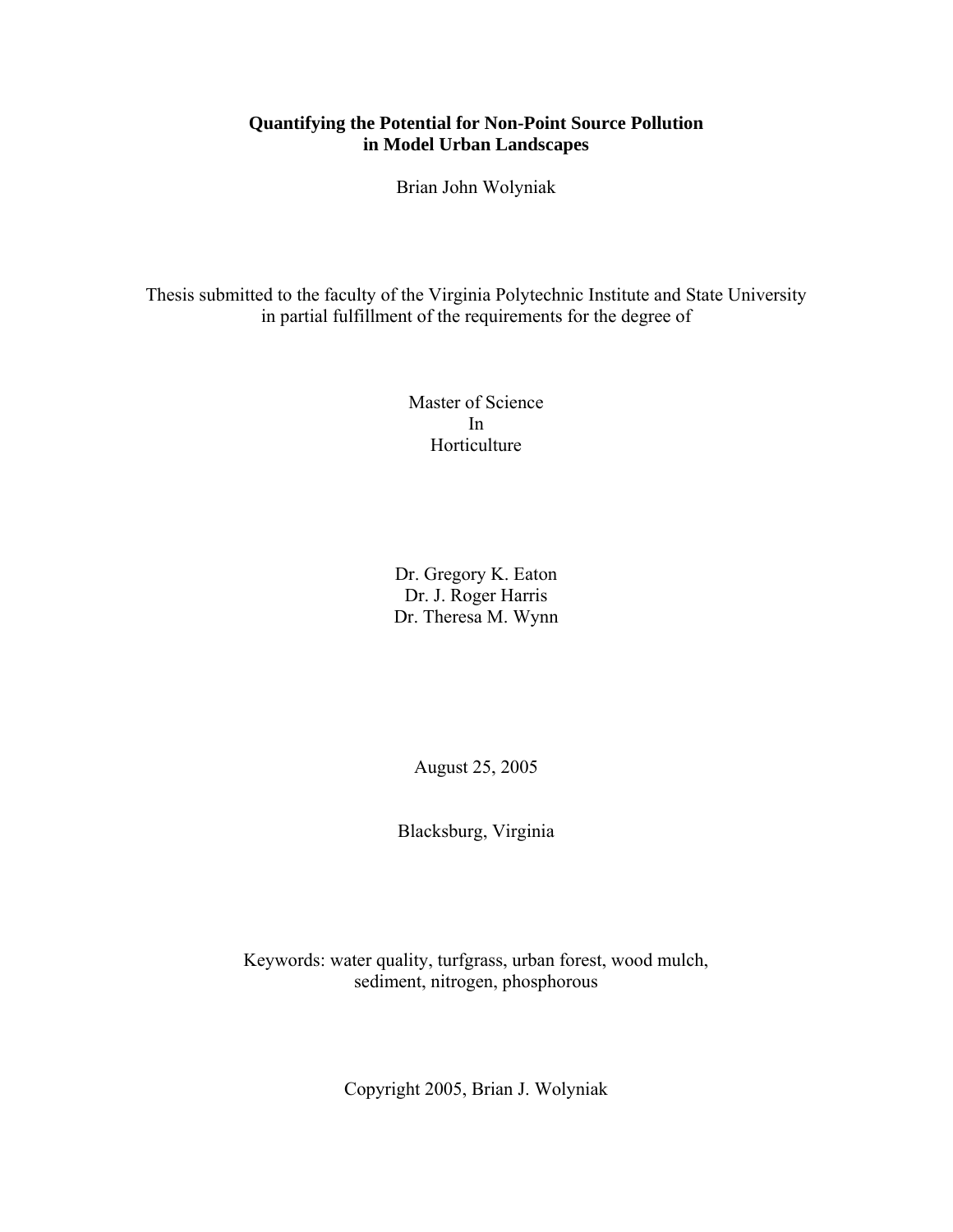## **Quantifying the Potential for Non-Point Source Pollution in Model Urban Landscapes**

Brian John Wolyniak

Thesis submitted to the faculty of the Virginia Polytechnic Institute and State University in partial fulfillment of the requirements for the degree of

> Master of Science In Horticulture

Dr. Gregory K. Eaton Dr. J. Roger Harris Dr. Theresa M. Wynn

August 25, 2005

Blacksburg, Virginia

Keywords: water quality, turfgrass, urban forest, wood mulch, sediment, nitrogen, phosphorous

Copyright 2005, Brian J. Wolyniak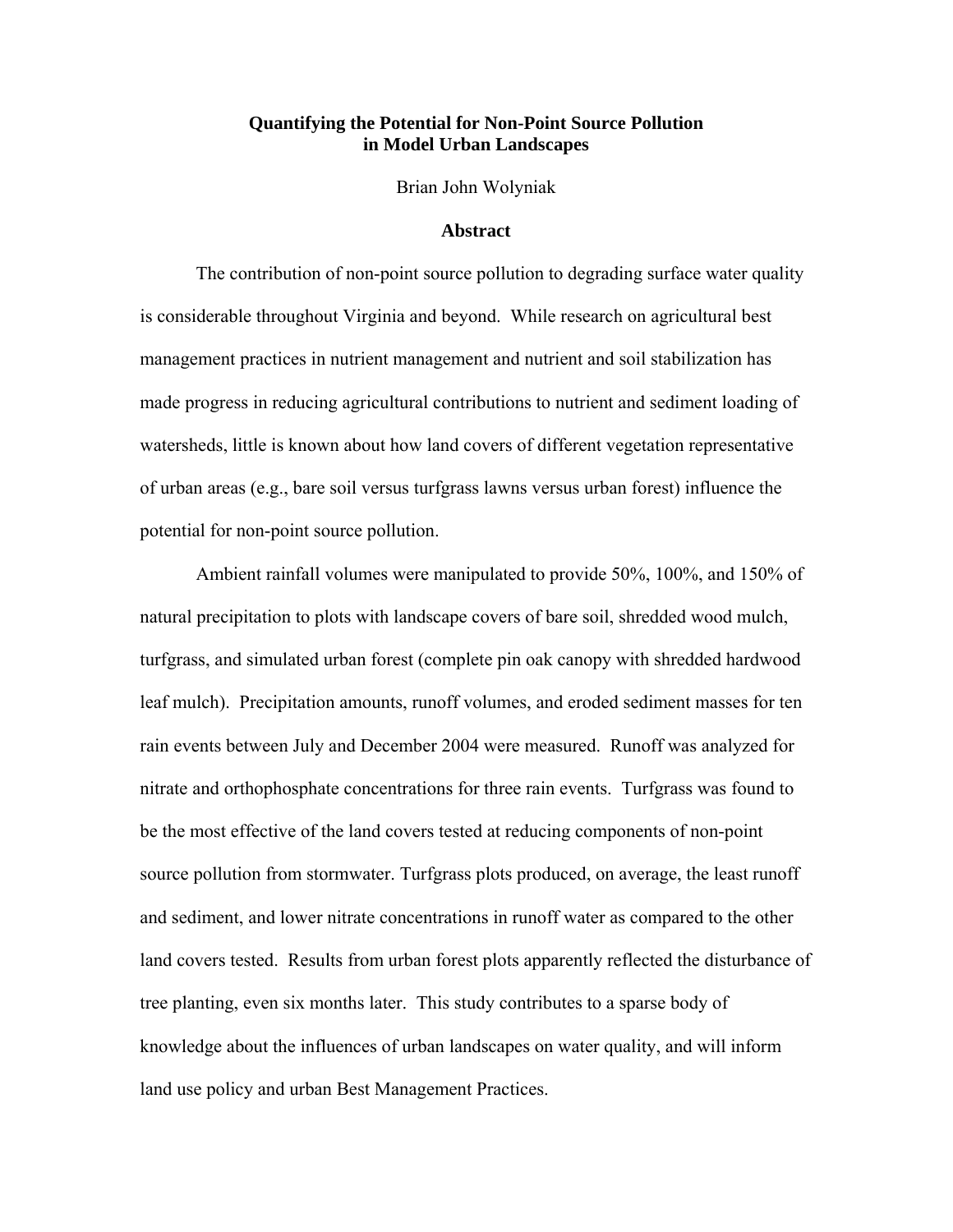#### **Quantifying the Potential for Non-Point Source Pollution in Model Urban Landscapes**

Brian John Wolyniak

#### **Abstract**

The contribution of non-point source pollution to degrading surface water quality is considerable throughout Virginia and beyond. While research on agricultural best management practices in nutrient management and nutrient and soil stabilization has made progress in reducing agricultural contributions to nutrient and sediment loading of watersheds, little is known about how land covers of different vegetation representative of urban areas (e.g., bare soil versus turfgrass lawns versus urban forest) influence the potential for non-point source pollution.

Ambient rainfall volumes were manipulated to provide 50%, 100%, and 150% of natural precipitation to plots with landscape covers of bare soil, shredded wood mulch, turfgrass, and simulated urban forest (complete pin oak canopy with shredded hardwood leaf mulch). Precipitation amounts, runoff volumes, and eroded sediment masses for ten rain events between July and December 2004 were measured. Runoff was analyzed for nitrate and orthophosphate concentrations for three rain events. Turfgrass was found to be the most effective of the land covers tested at reducing components of non-point source pollution from stormwater. Turfgrass plots produced, on average, the least runoff and sediment, and lower nitrate concentrations in runoff water as compared to the other land covers tested. Results from urban forest plots apparently reflected the disturbance of tree planting, even six months later. This study contributes to a sparse body of knowledge about the influences of urban landscapes on water quality, and will inform land use policy and urban Best Management Practices.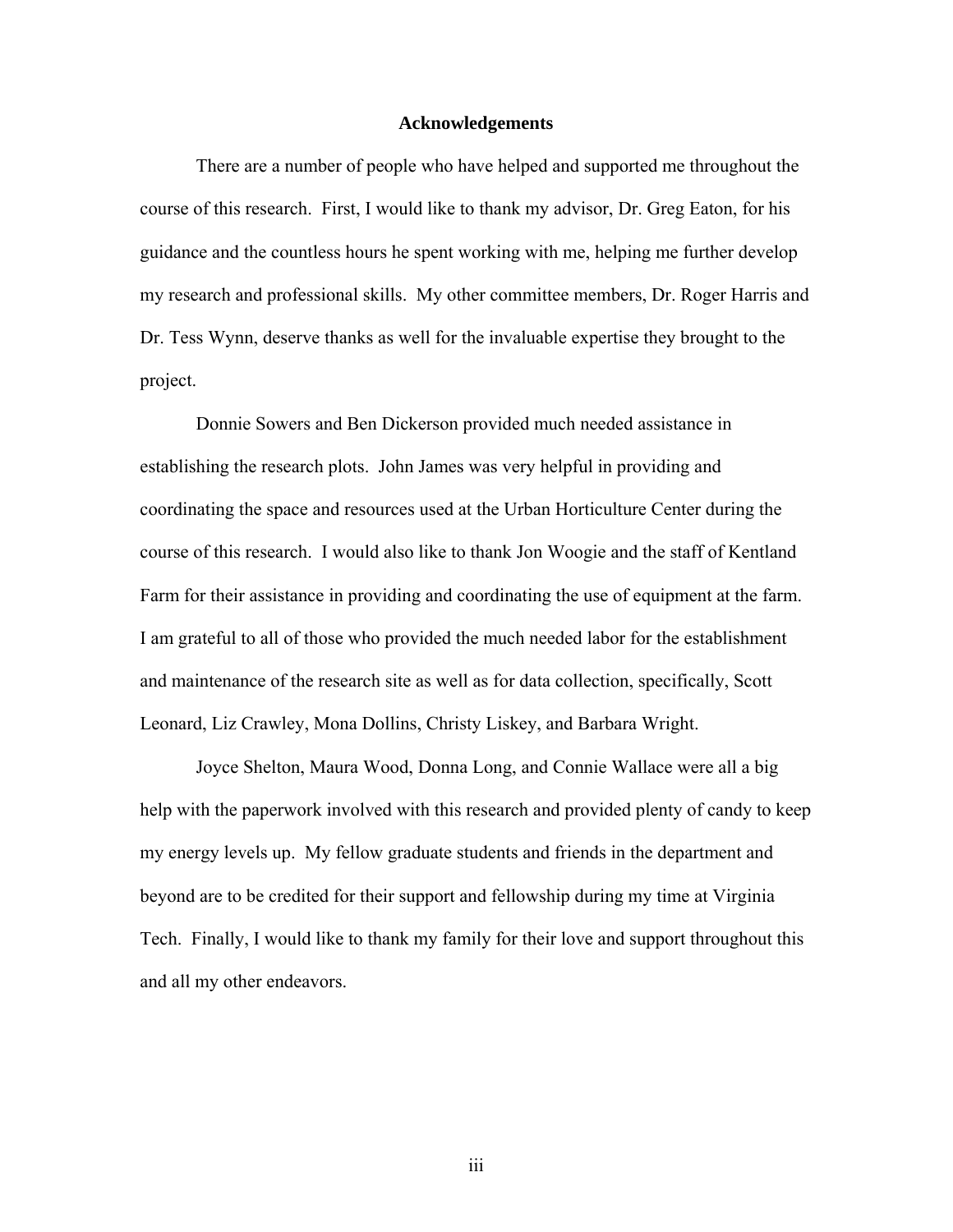#### **Acknowledgements**

 There are a number of people who have helped and supported me throughout the course of this research. First, I would like to thank my advisor, Dr. Greg Eaton, for his guidance and the countless hours he spent working with me, helping me further develop my research and professional skills. My other committee members, Dr. Roger Harris and Dr. Tess Wynn, deserve thanks as well for the invaluable expertise they brought to the project.

Donnie Sowers and Ben Dickerson provided much needed assistance in establishing the research plots. John James was very helpful in providing and coordinating the space and resources used at the Urban Horticulture Center during the course of this research. I would also like to thank Jon Woogie and the staff of Kentland Farm for their assistance in providing and coordinating the use of equipment at the farm. I am grateful to all of those who provided the much needed labor for the establishment and maintenance of the research site as well as for data collection, specifically, Scott Leonard, Liz Crawley, Mona Dollins, Christy Liskey, and Barbara Wright.

Joyce Shelton, Maura Wood, Donna Long, and Connie Wallace were all a big help with the paperwork involved with this research and provided plenty of candy to keep my energy levels up. My fellow graduate students and friends in the department and beyond are to be credited for their support and fellowship during my time at Virginia Tech. Finally, I would like to thank my family for their love and support throughout this and all my other endeavors.

iii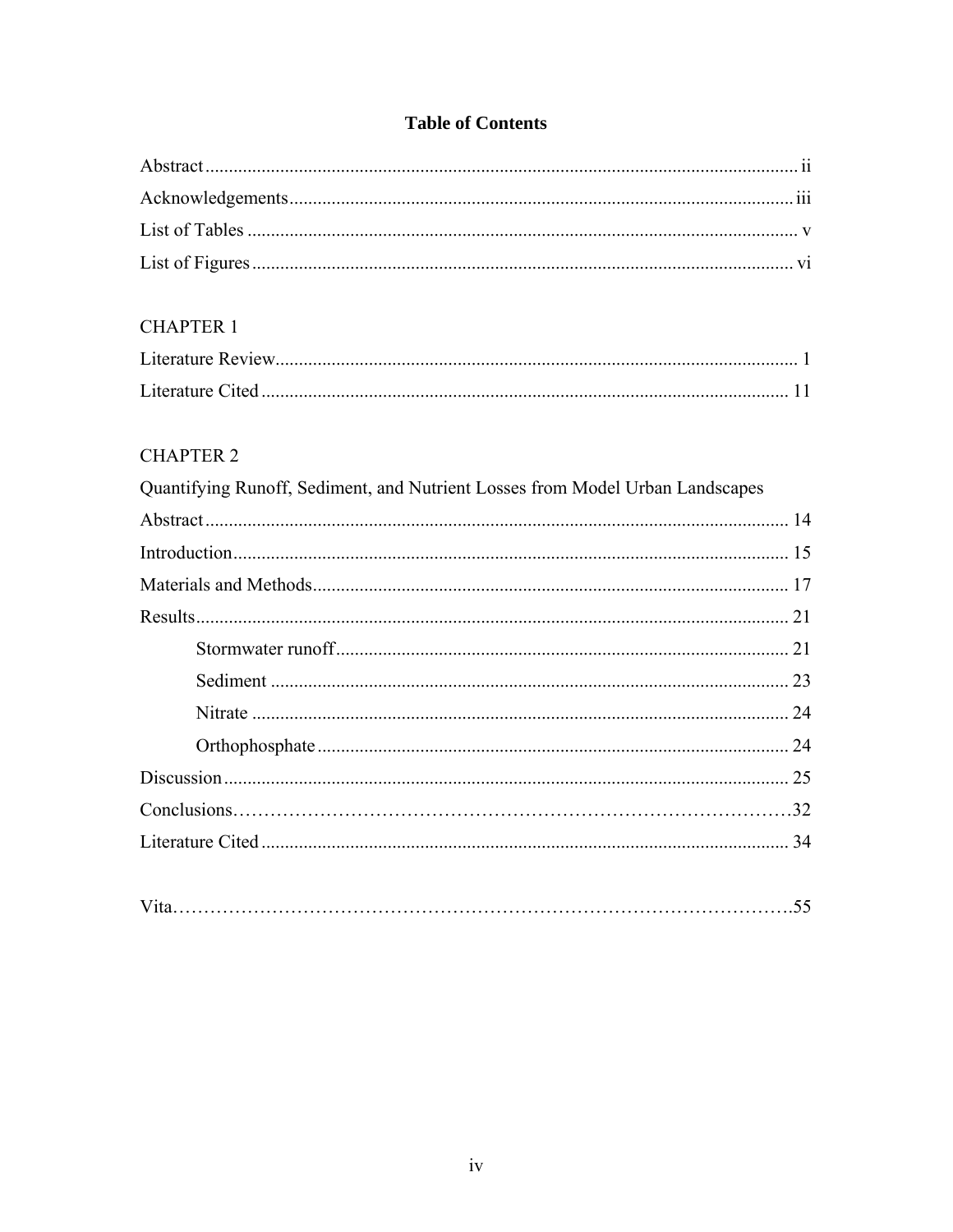# **Table of Contents**

# **CHAPTER 1**

# **CHAPTER 2**

| Quantifying Runoff, Sediment, and Nutrient Losses from Model Urban Landscapes |    |
|-------------------------------------------------------------------------------|----|
|                                                                               |    |
|                                                                               |    |
|                                                                               |    |
|                                                                               |    |
|                                                                               |    |
|                                                                               |    |
|                                                                               |    |
|                                                                               |    |
|                                                                               |    |
|                                                                               | 32 |
|                                                                               | 34 |
|                                                                               |    |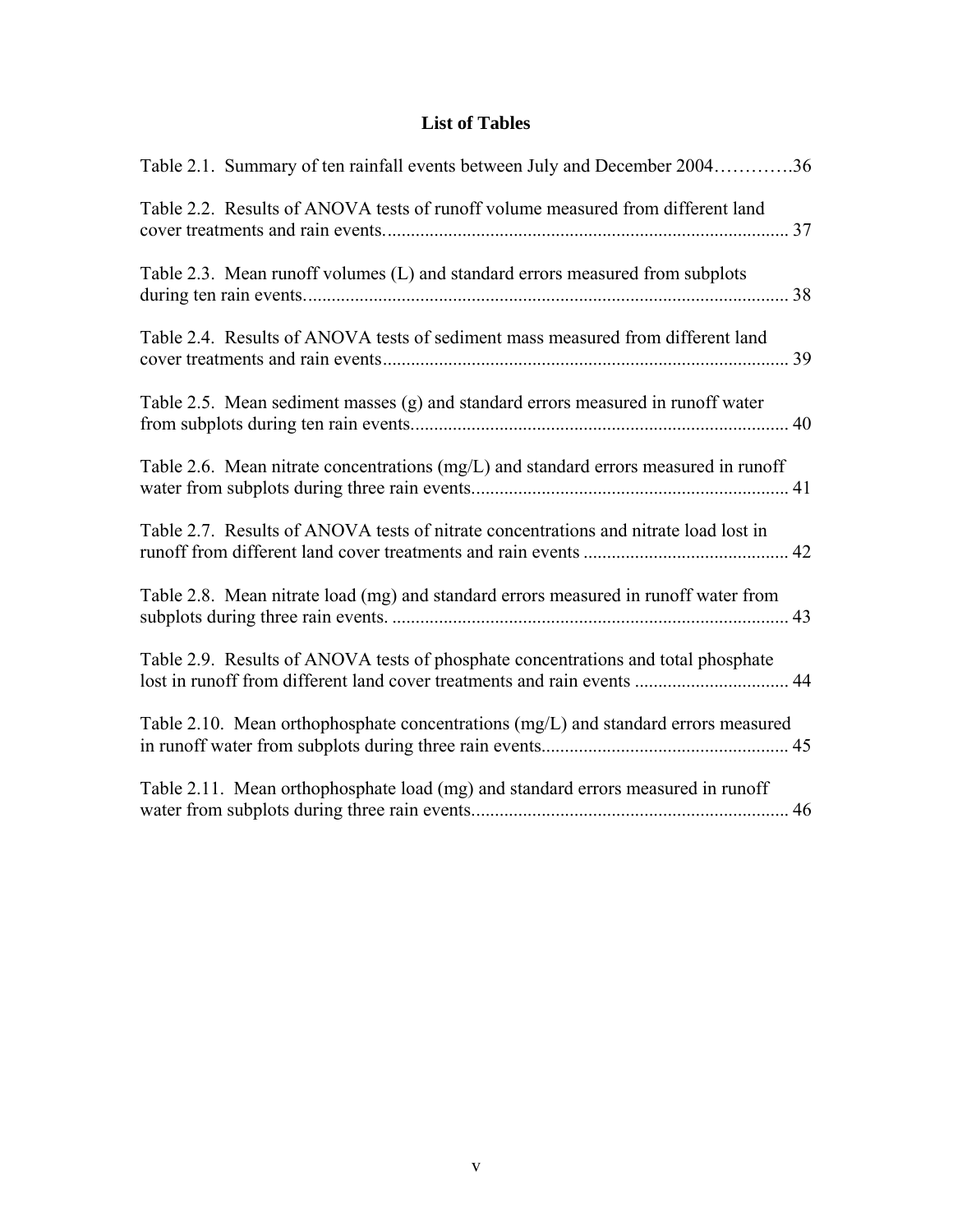# **List of Tables**

| Table 2.1. Summary of ten rainfall events between July and December 200436                                                                                   |
|--------------------------------------------------------------------------------------------------------------------------------------------------------------|
| Table 2.2. Results of ANOVA tests of runoff volume measured from different land                                                                              |
| Table 2.3. Mean runoff volumes (L) and standard errors measured from subplots                                                                                |
| Table 2.4. Results of ANOVA tests of sediment mass measured from different land                                                                              |
| Table 2.5. Mean sediment masses (g) and standard errors measured in runoff water                                                                             |
| Table 2.6. Mean nitrate concentrations (mg/L) and standard errors measured in runoff                                                                         |
| Table 2.7. Results of ANOVA tests of nitrate concentrations and nitrate load lost in                                                                         |
| Table 2.8. Mean nitrate load (mg) and standard errors measured in runoff water from                                                                          |
| Table 2.9. Results of ANOVA tests of phosphate concentrations and total phosphate<br>lost in runoff from different land cover treatments and rain events  44 |
| Table 2.10. Mean orthophosphate concentrations (mg/L) and standard errors measured                                                                           |
| Table 2.11. Mean orthophosphate load (mg) and standard errors measured in runoff                                                                             |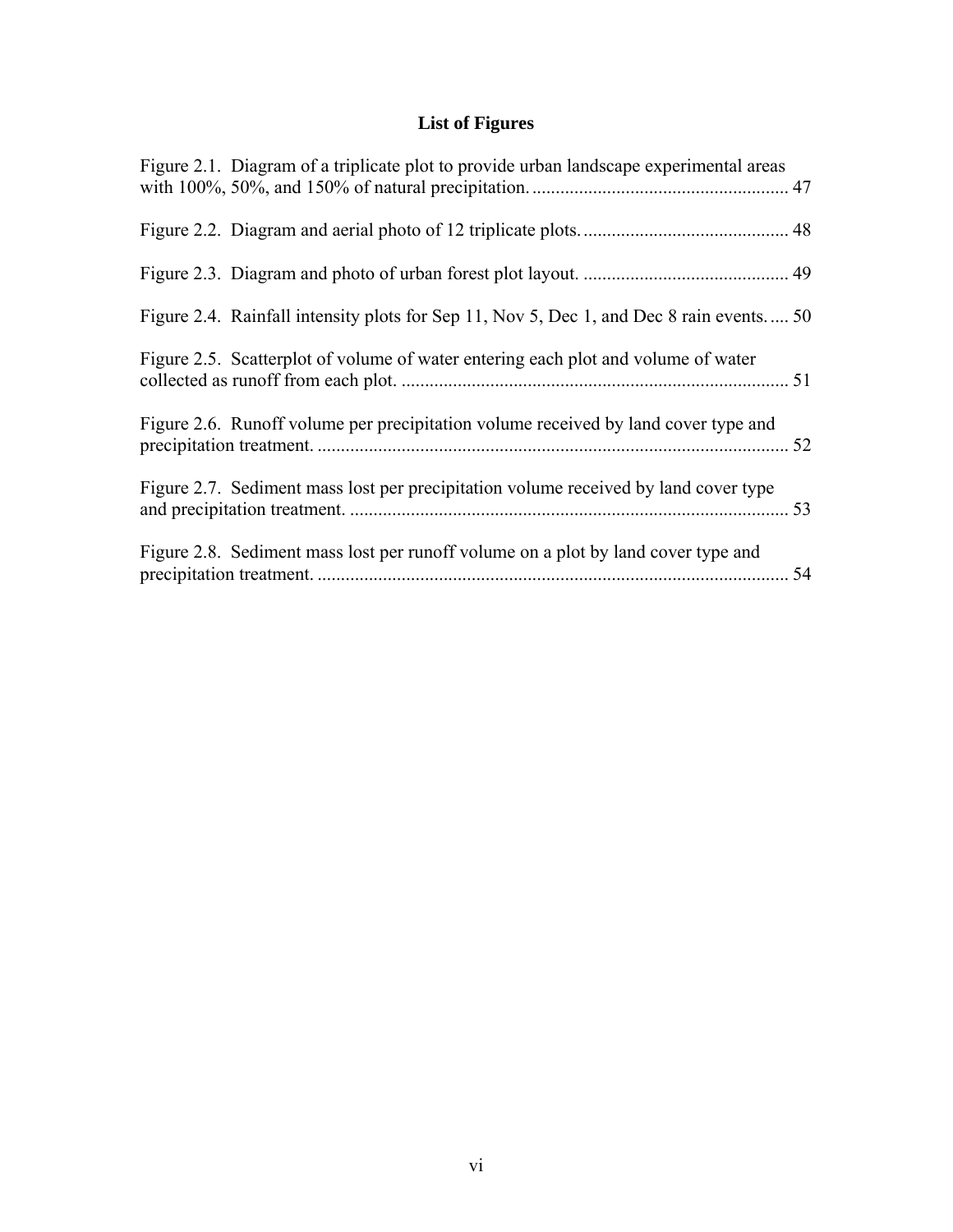# **List of Figures**

| Figure 2.1. Diagram of a triplicate plot to provide urban landscape experimental areas  |    |
|-----------------------------------------------------------------------------------------|----|
|                                                                                         |    |
|                                                                                         |    |
| Figure 2.4. Rainfall intensity plots for Sep 11, Nov 5, Dec 1, and Dec 8 rain events 50 |    |
| Figure 2.5. Scatterplot of volume of water entering each plot and volume of water       |    |
| Figure 2.6. Runoff volume per precipitation volume received by land cover type and      |    |
| Figure 2.7. Sediment mass lost per precipitation volume received by land cover type     |    |
| Figure 2.8. Sediment mass lost per runoff volume on a plot by land cover type and       | 54 |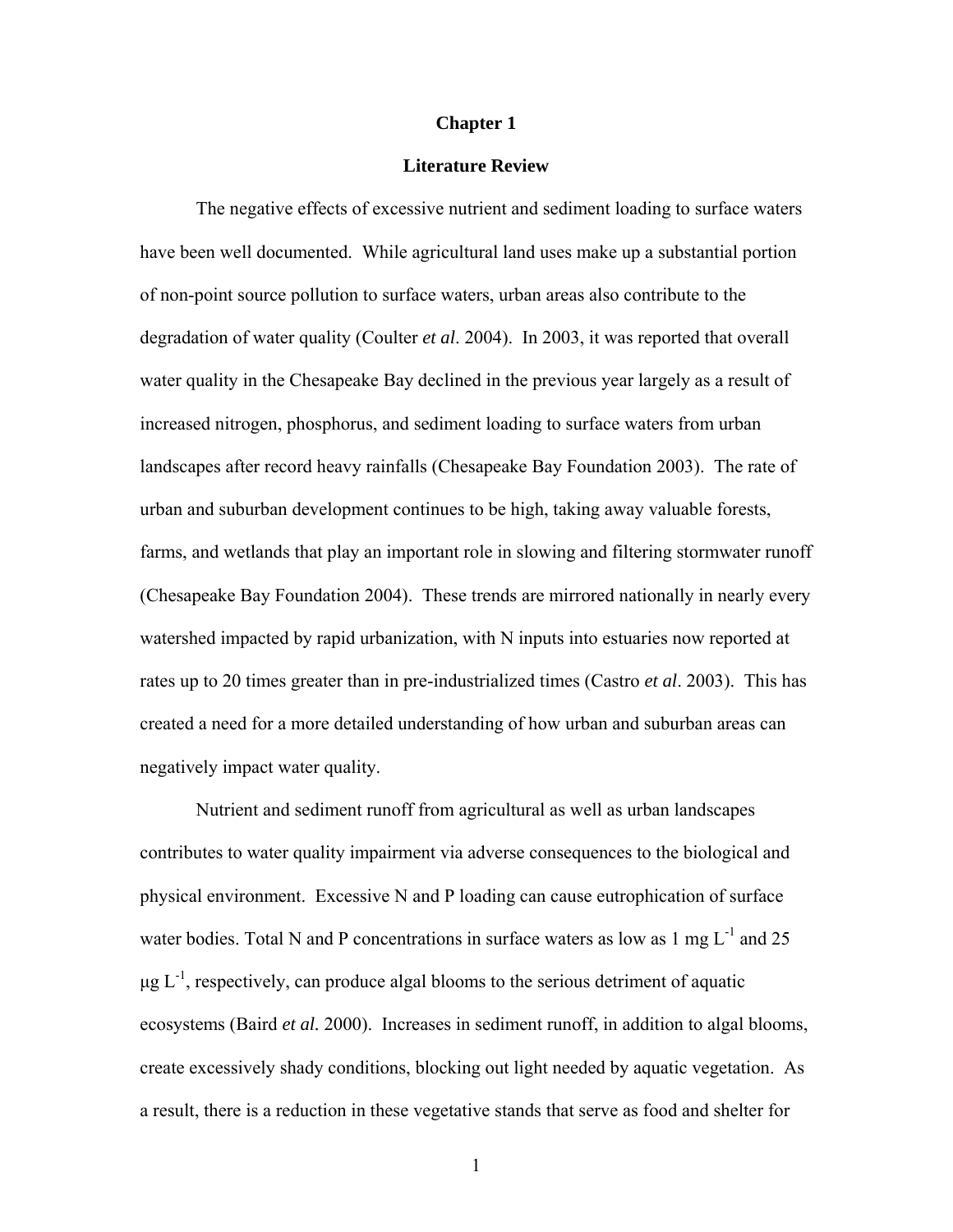#### **Chapter 1**

### **Literature Review**

The negative effects of excessive nutrient and sediment loading to surface waters have been well documented. While agricultural land uses make up a substantial portion of non-point source pollution to surface waters, urban areas also contribute to the degradation of water quality (Coulter *et al*. 2004). In 2003, it was reported that overall water quality in the Chesapeake Bay declined in the previous year largely as a result of increased nitrogen, phosphorus, and sediment loading to surface waters from urban landscapes after record heavy rainfalls (Chesapeake Bay Foundation 2003). The rate of urban and suburban development continues to be high, taking away valuable forests, farms, and wetlands that play an important role in slowing and filtering stormwater runoff (Chesapeake Bay Foundation 2004). These trends are mirrored nationally in nearly every watershed impacted by rapid urbanization, with N inputs into estuaries now reported at rates up to 20 times greater than in pre-industrialized times (Castro *et al*. 2003). This has created a need for a more detailed understanding of how urban and suburban areas can negatively impact water quality.

Nutrient and sediment runoff from agricultural as well as urban landscapes contributes to water quality impairment via adverse consequences to the biological and physical environment. Excessive N and P loading can cause eutrophication of surface water bodies. Total N and P concentrations in surface waters as low as  $1 \text{ mg } L^{-1}$  and  $25$  $\mu$ g L<sup>-1</sup>, respectively, can produce algal blooms to the serious detriment of aquatic ecosystems (Baird *et al.* 2000). Increases in sediment runoff, in addition to algal blooms, create excessively shady conditions, blocking out light needed by aquatic vegetation. As a result, there is a reduction in these vegetative stands that serve as food and shelter for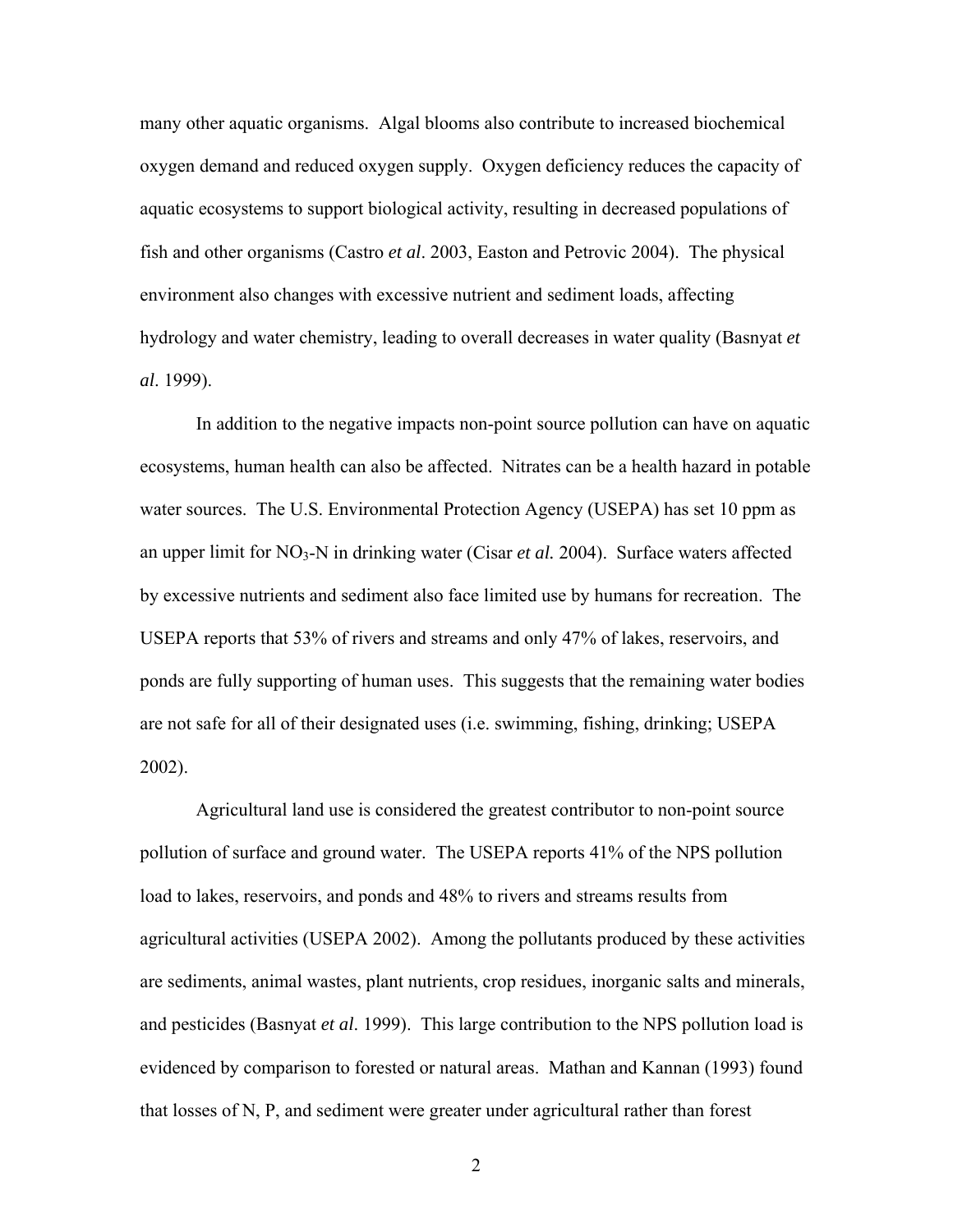many other aquatic organisms. Algal blooms also contribute to increased biochemical oxygen demand and reduced oxygen supply. Oxygen deficiency reduces the capacity of aquatic ecosystems to support biological activity, resulting in decreased populations of fish and other organisms (Castro *et al*. 2003, Easton and Petrovic 2004). The physical environment also changes with excessive nutrient and sediment loads, affecting hydrology and water chemistry, leading to overall decreases in water quality (Basnyat *et al*. 1999).

In addition to the negative impacts non-point source pollution can have on aquatic ecosystems, human health can also be affected. Nitrates can be a health hazard in potable water sources. The U.S. Environmental Protection Agency (USEPA) has set 10 ppm as an upper limit for NO<sub>3</sub>-N in drinking water (Cisar *et al.* 2004). Surface waters affected by excessive nutrients and sediment also face limited use by humans for recreation. The USEPA reports that 53% of rivers and streams and only 47% of lakes, reservoirs, and ponds are fully supporting of human uses. This suggests that the remaining water bodies are not safe for all of their designated uses (i.e. swimming, fishing, drinking; USEPA 2002).

Agricultural land use is considered the greatest contributor to non-point source pollution of surface and ground water. The USEPA reports 41% of the NPS pollution load to lakes, reservoirs, and ponds and 48% to rivers and streams results from agricultural activities (USEPA 2002). Among the pollutants produced by these activities are sediments, animal wastes, plant nutrients, crop residues, inorganic salts and minerals, and pesticides (Basnyat *et al*. 1999). This large contribution to the NPS pollution load is evidenced by comparison to forested or natural areas. Mathan and Kannan (1993) found that losses of N, P, and sediment were greater under agricultural rather than forest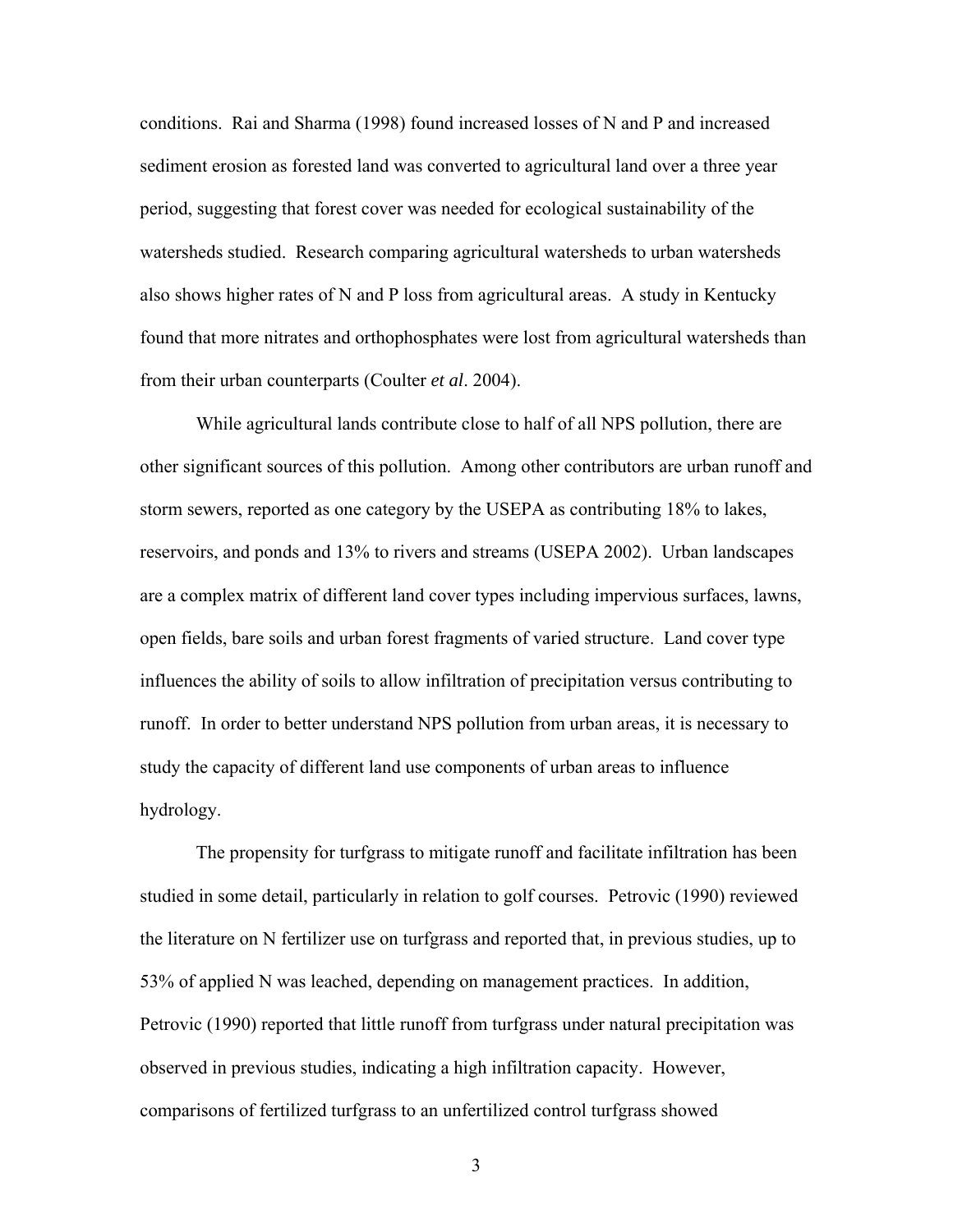conditions. Rai and Sharma (1998) found increased losses of N and P and increased sediment erosion as forested land was converted to agricultural land over a three year period, suggesting that forest cover was needed for ecological sustainability of the watersheds studied. Research comparing agricultural watersheds to urban watersheds also shows higher rates of N and P loss from agricultural areas. A study in Kentucky found that more nitrates and orthophosphates were lost from agricultural watersheds than from their urban counterparts (Coulter *et al*. 2004).

While agricultural lands contribute close to half of all NPS pollution, there are other significant sources of this pollution. Among other contributors are urban runoff and storm sewers, reported as one category by the USEPA as contributing 18% to lakes, reservoirs, and ponds and 13% to rivers and streams (USEPA 2002). Urban landscapes are a complex matrix of different land cover types including impervious surfaces, lawns, open fields, bare soils and urban forest fragments of varied structure. Land cover type influences the ability of soils to allow infiltration of precipitation versus contributing to runoff. In order to better understand NPS pollution from urban areas, it is necessary to study the capacity of different land use components of urban areas to influence hydrology.

The propensity for turfgrass to mitigate runoff and facilitate infiltration has been studied in some detail, particularly in relation to golf courses. Petrovic (1990) reviewed the literature on N fertilizer use on turfgrass and reported that, in previous studies, up to 53% of applied N was leached, depending on management practices. In addition, Petrovic (1990) reported that little runoff from turfgrass under natural precipitation was observed in previous studies, indicating a high infiltration capacity. However, comparisons of fertilized turfgrass to an unfertilized control turfgrass showed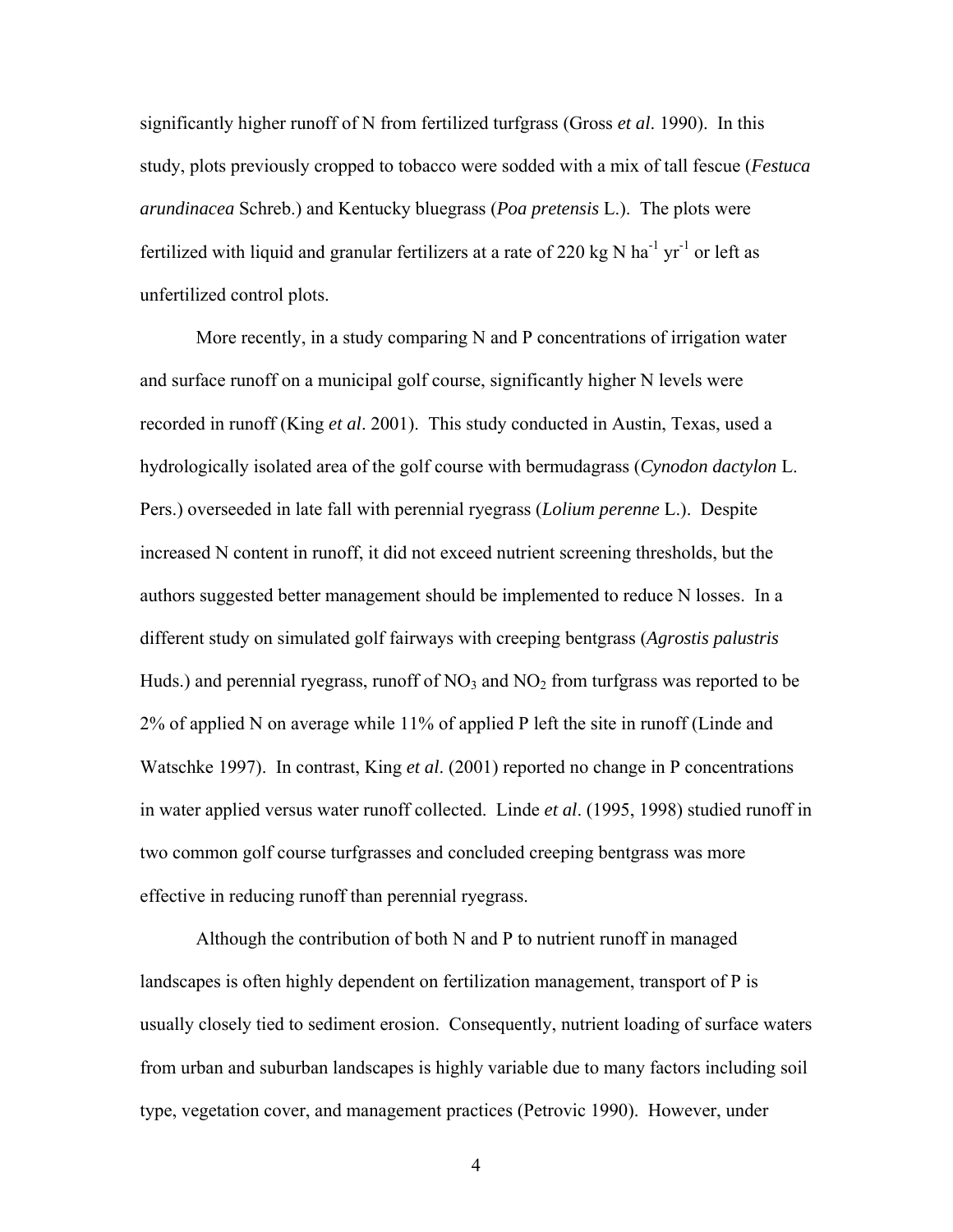significantly higher runoff of N from fertilized turfgrass (Gross *et al*. 1990). In this study, plots previously cropped to tobacco were sodded with a mix of tall fescue (*Festuca arundinacea* Schreb.) and Kentucky bluegrass (*Poa pretensis* L.). The plots were fertilized with liquid and granular fertilizers at a rate of 220 kg N ha<sup>-1</sup> yr<sup>-1</sup> or left as unfertilized control plots.

More recently, in a study comparing N and P concentrations of irrigation water and surface runoff on a municipal golf course, significantly higher N levels were recorded in runoff (King *et al*. 2001). This study conducted in Austin, Texas, used a hydrologically isolated area of the golf course with bermudagrass (*Cynodon dactylon* L. Pers.) overseeded in late fall with perennial ryegrass (*Lolium perenne* L.). Despite increased N content in runoff, it did not exceed nutrient screening thresholds, but the authors suggested better management should be implemented to reduce N losses. In a different study on simulated golf fairways with creeping bentgrass (*Agrostis palustris* Huds.) and perennial ryegrass, runoff of  $NO<sub>3</sub>$  and  $NO<sub>2</sub>$  from turfgrass was reported to be 2% of applied N on average while 11% of applied P left the site in runoff (Linde and Watschke 1997). In contrast, King *et al*. (2001) reported no change in P concentrations in water applied versus water runoff collected. Linde *et al*. (1995, 1998) studied runoff in two common golf course turfgrasses and concluded creeping bentgrass was more effective in reducing runoff than perennial ryegrass.

Although the contribution of both N and P to nutrient runoff in managed landscapes is often highly dependent on fertilization management, transport of P is usually closely tied to sediment erosion. Consequently, nutrient loading of surface waters from urban and suburban landscapes is highly variable due to many factors including soil type, vegetation cover, and management practices (Petrovic 1990). However, under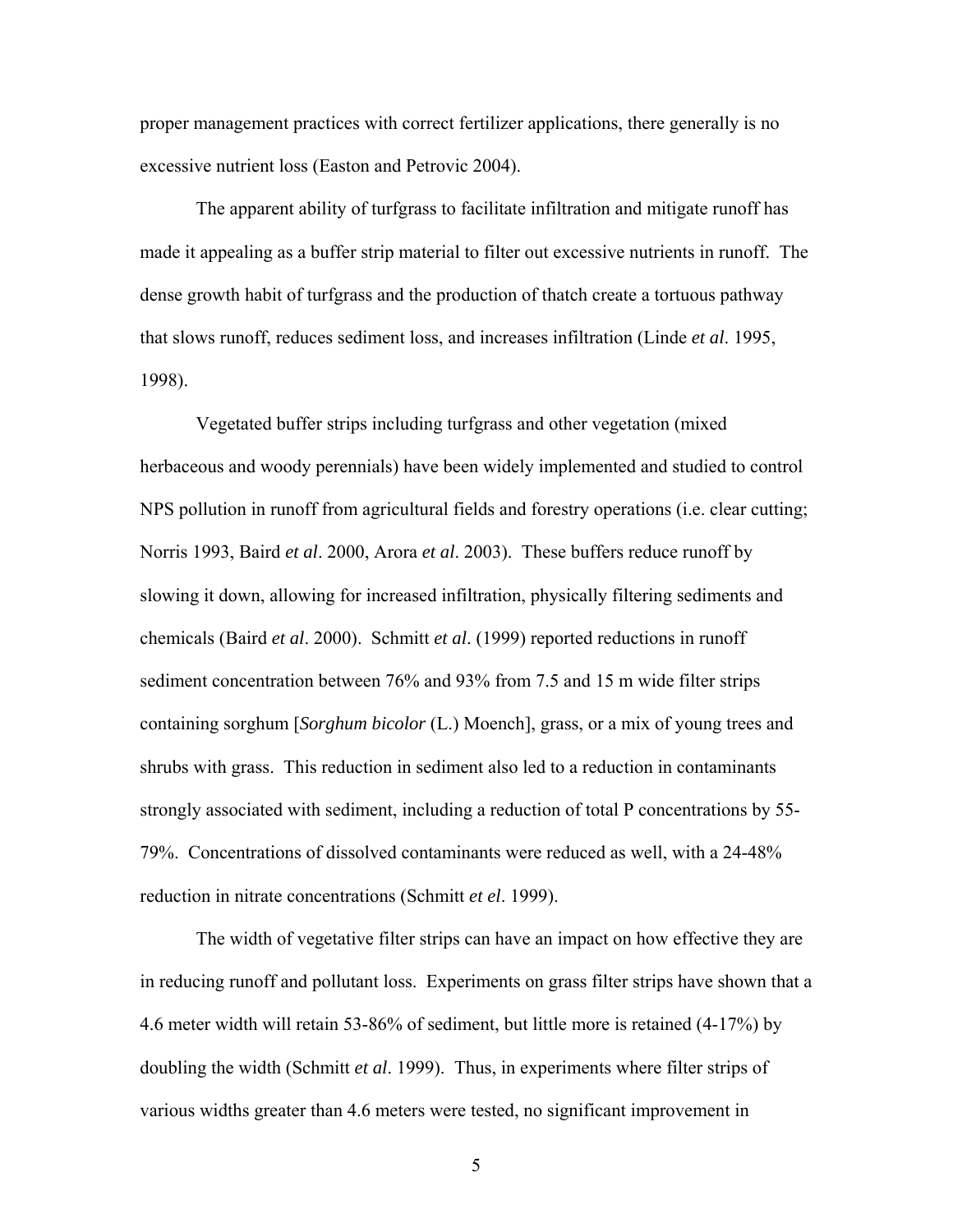proper management practices with correct fertilizer applications, there generally is no excessive nutrient loss (Easton and Petrovic 2004).

The apparent ability of turfgrass to facilitate infiltration and mitigate runoff has made it appealing as a buffer strip material to filter out excessive nutrients in runoff. The dense growth habit of turfgrass and the production of thatch create a tortuous pathway that slows runoff, reduces sediment loss, and increases infiltration (Linde *et al*. 1995, 1998).

Vegetated buffer strips including turfgrass and other vegetation (mixed herbaceous and woody perennials) have been widely implemented and studied to control NPS pollution in runoff from agricultural fields and forestry operations (i.e. clear cutting; Norris 1993, Baird *et al*. 2000, Arora *et al*. 2003). These buffers reduce runoff by slowing it down, allowing for increased infiltration, physically filtering sediments and chemicals (Baird *et al*. 2000). Schmitt *et al*. (1999) reported reductions in runoff sediment concentration between 76% and 93% from 7.5 and 15 m wide filter strips containing sorghum [*Sorghum bicolor* (L.) Moench], grass, or a mix of young trees and shrubs with grass. This reduction in sediment also led to a reduction in contaminants strongly associated with sediment, including a reduction of total P concentrations by 55- 79%. Concentrations of dissolved contaminants were reduced as well, with a 24-48% reduction in nitrate concentrations (Schmitt *et el*. 1999).

The width of vegetative filter strips can have an impact on how effective they are in reducing runoff and pollutant loss. Experiments on grass filter strips have shown that a 4.6 meter width will retain 53-86% of sediment, but little more is retained (4-17%) by doubling the width (Schmitt *et al*. 1999). Thus, in experiments where filter strips of various widths greater than 4.6 meters were tested, no significant improvement in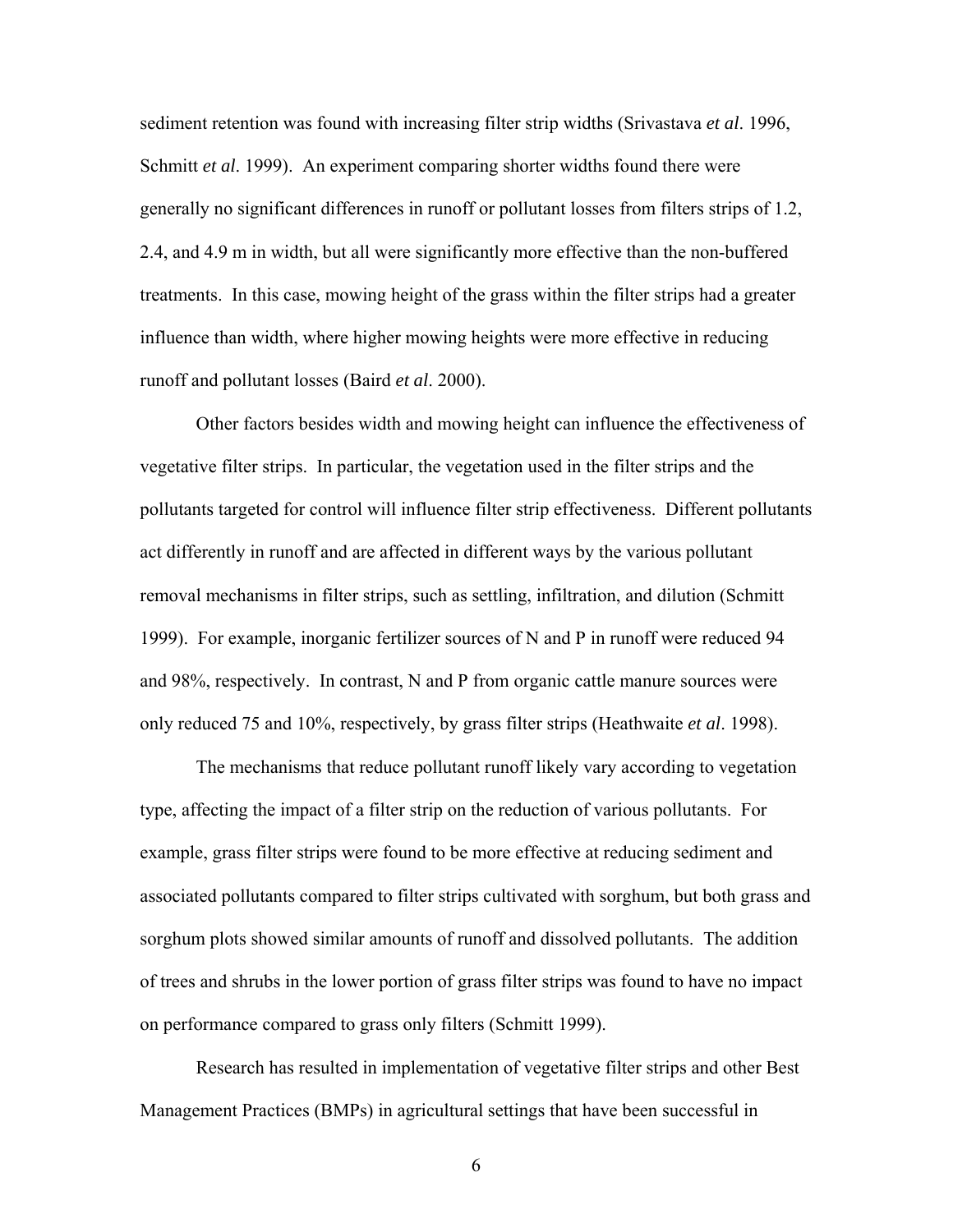sediment retention was found with increasing filter strip widths (Srivastava *et al*. 1996, Schmitt *et al*. 1999). An experiment comparing shorter widths found there were generally no significant differences in runoff or pollutant losses from filters strips of 1.2, 2.4, and 4.9 m in width, but all were significantly more effective than the non-buffered treatments. In this case, mowing height of the grass within the filter strips had a greater influence than width, where higher mowing heights were more effective in reducing runoff and pollutant losses (Baird *et al*. 2000).

Other factors besides width and mowing height can influence the effectiveness of vegetative filter strips. In particular, the vegetation used in the filter strips and the pollutants targeted for control will influence filter strip effectiveness. Different pollutants act differently in runoff and are affected in different ways by the various pollutant removal mechanisms in filter strips, such as settling, infiltration, and dilution (Schmitt 1999). For example, inorganic fertilizer sources of N and P in runoff were reduced 94 and 98%, respectively. In contrast, N and P from organic cattle manure sources were only reduced 75 and 10%, respectively, by grass filter strips (Heathwaite *et al*. 1998).

The mechanisms that reduce pollutant runoff likely vary according to vegetation type, affecting the impact of a filter strip on the reduction of various pollutants. For example, grass filter strips were found to be more effective at reducing sediment and associated pollutants compared to filter strips cultivated with sorghum, but both grass and sorghum plots showed similar amounts of runoff and dissolved pollutants. The addition of trees and shrubs in the lower portion of grass filter strips was found to have no impact on performance compared to grass only filters (Schmitt 1999).

Research has resulted in implementation of vegetative filter strips and other Best Management Practices (BMPs) in agricultural settings that have been successful in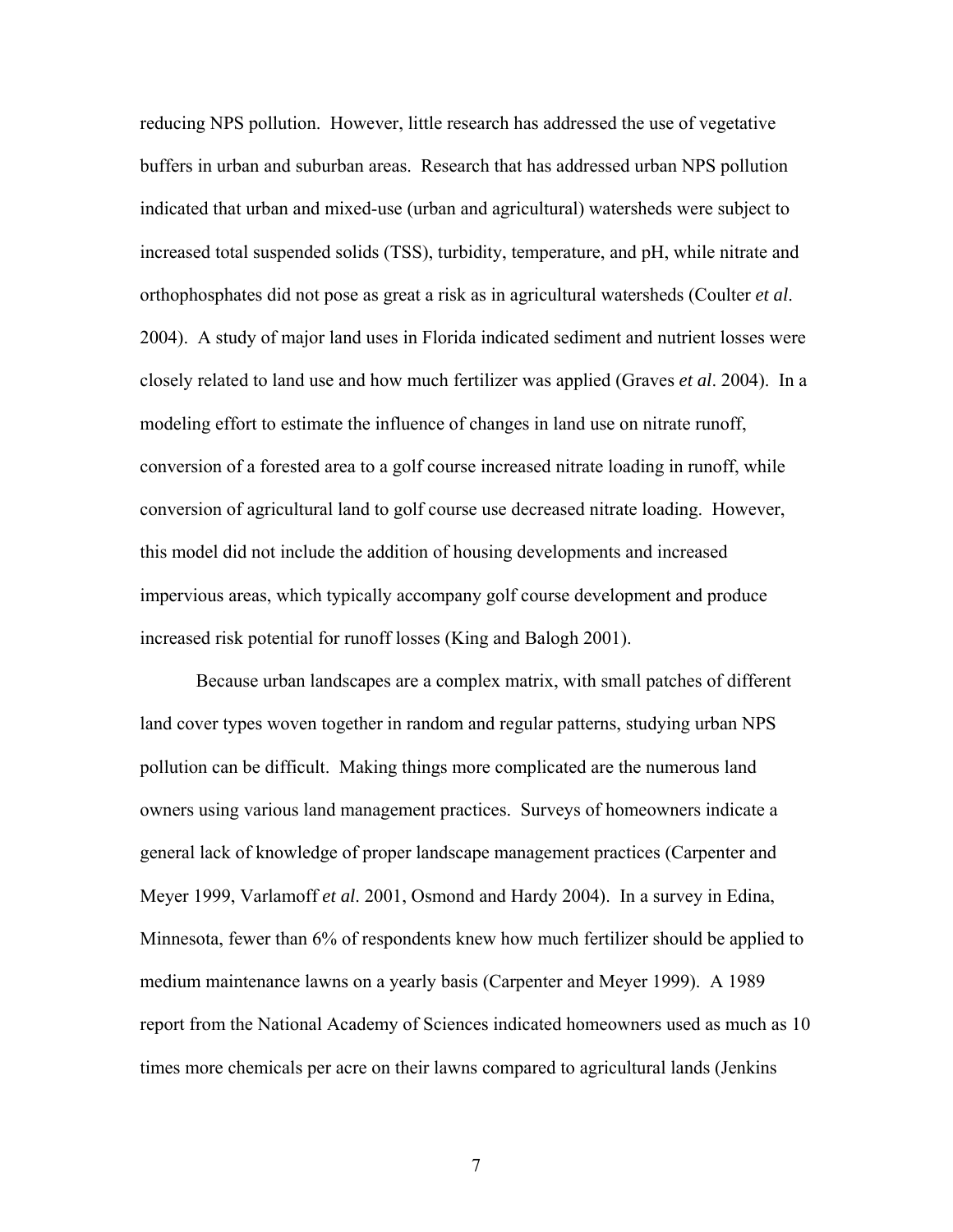reducing NPS pollution. However, little research has addressed the use of vegetative buffers in urban and suburban areas. Research that has addressed urban NPS pollution indicated that urban and mixed-use (urban and agricultural) watersheds were subject to increased total suspended solids (TSS), turbidity, temperature, and pH, while nitrate and orthophosphates did not pose as great a risk as in agricultural watersheds (Coulter *et al*. 2004). A study of major land uses in Florida indicated sediment and nutrient losses were closely related to land use and how much fertilizer was applied (Graves *et al*. 2004). In a modeling effort to estimate the influence of changes in land use on nitrate runoff, conversion of a forested area to a golf course increased nitrate loading in runoff, while conversion of agricultural land to golf course use decreased nitrate loading. However, this model did not include the addition of housing developments and increased impervious areas, which typically accompany golf course development and produce increased risk potential for runoff losses (King and Balogh 2001).

Because urban landscapes are a complex matrix, with small patches of different land cover types woven together in random and regular patterns, studying urban NPS pollution can be difficult. Making things more complicated are the numerous land owners using various land management practices. Surveys of homeowners indicate a general lack of knowledge of proper landscape management practices (Carpenter and Meyer 1999, Varlamoff *et al*. 2001, Osmond and Hardy 2004). In a survey in Edina, Minnesota, fewer than 6% of respondents knew how much fertilizer should be applied to medium maintenance lawns on a yearly basis (Carpenter and Meyer 1999). A 1989 report from the National Academy of Sciences indicated homeowners used as much as 10 times more chemicals per acre on their lawns compared to agricultural lands (Jenkins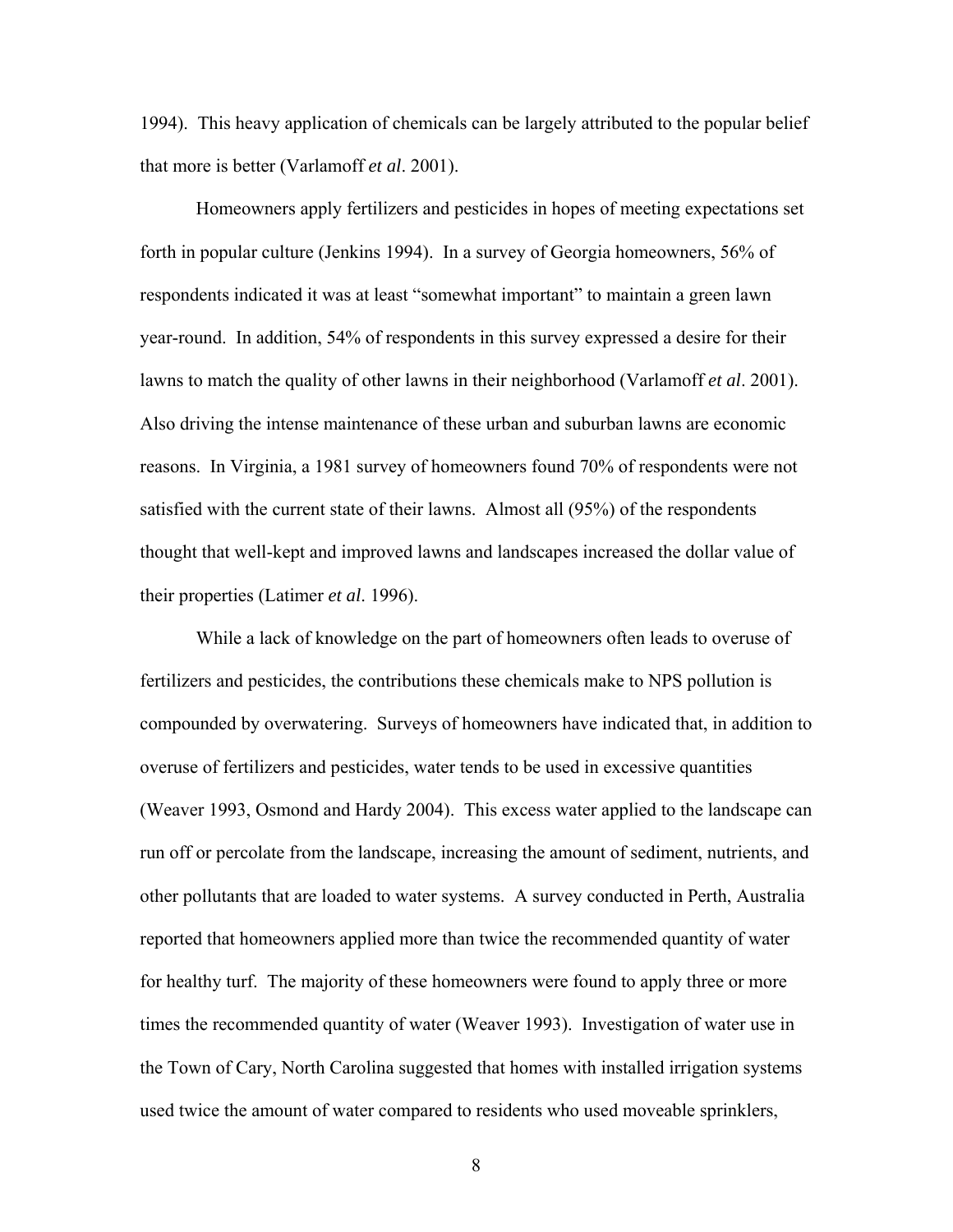1994). This heavy application of chemicals can be largely attributed to the popular belief that more is better (Varlamoff *et al*. 2001).

Homeowners apply fertilizers and pesticides in hopes of meeting expectations set forth in popular culture (Jenkins 1994). In a survey of Georgia homeowners, 56% of respondents indicated it was at least "somewhat important" to maintain a green lawn year-round. In addition, 54% of respondents in this survey expressed a desire for their lawns to match the quality of other lawns in their neighborhood (Varlamoff *et al*. 2001). Also driving the intense maintenance of these urban and suburban lawns are economic reasons. In Virginia, a 1981 survey of homeowners found 70% of respondents were not satisfied with the current state of their lawns. Almost all (95%) of the respondents thought that well-kept and improved lawns and landscapes increased the dollar value of their properties (Latimer *et al*. 1996).

While a lack of knowledge on the part of homeowners often leads to overuse of fertilizers and pesticides, the contributions these chemicals make to NPS pollution is compounded by overwatering. Surveys of homeowners have indicated that, in addition to overuse of fertilizers and pesticides, water tends to be used in excessive quantities (Weaver 1993, Osmond and Hardy 2004). This excess water applied to the landscape can run off or percolate from the landscape, increasing the amount of sediment, nutrients, and other pollutants that are loaded to water systems. A survey conducted in Perth, Australia reported that homeowners applied more than twice the recommended quantity of water for healthy turf. The majority of these homeowners were found to apply three or more times the recommended quantity of water (Weaver 1993). Investigation of water use in the Town of Cary, North Carolina suggested that homes with installed irrigation systems used twice the amount of water compared to residents who used moveable sprinklers,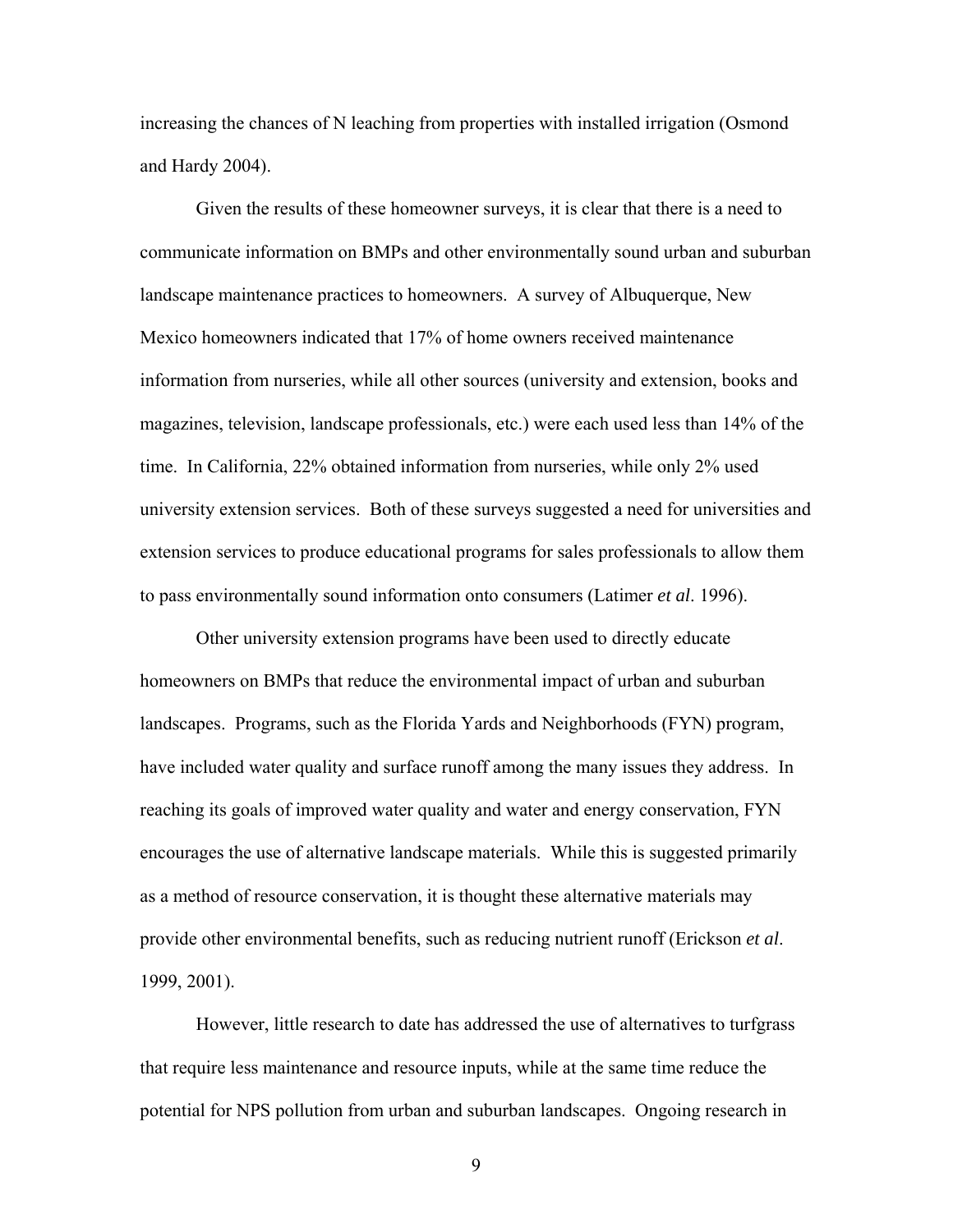increasing the chances of N leaching from properties with installed irrigation (Osmond and Hardy 2004).

Given the results of these homeowner surveys, it is clear that there is a need to communicate information on BMPs and other environmentally sound urban and suburban landscape maintenance practices to homeowners. A survey of Albuquerque, New Mexico homeowners indicated that 17% of home owners received maintenance information from nurseries, while all other sources (university and extension, books and magazines, television, landscape professionals, etc.) were each used less than 14% of the time. In California, 22% obtained information from nurseries, while only 2% used university extension services. Both of these surveys suggested a need for universities and extension services to produce educational programs for sales professionals to allow them to pass environmentally sound information onto consumers (Latimer *et al*. 1996).

Other university extension programs have been used to directly educate homeowners on BMPs that reduce the environmental impact of urban and suburban landscapes. Programs, such as the Florida Yards and Neighborhoods (FYN) program, have included water quality and surface runoff among the many issues they address. In reaching its goals of improved water quality and water and energy conservation, FYN encourages the use of alternative landscape materials. While this is suggested primarily as a method of resource conservation, it is thought these alternative materials may provide other environmental benefits, such as reducing nutrient runoff (Erickson *et al*. 1999, 2001).

However, little research to date has addressed the use of alternatives to turfgrass that require less maintenance and resource inputs, while at the same time reduce the potential for NPS pollution from urban and suburban landscapes. Ongoing research in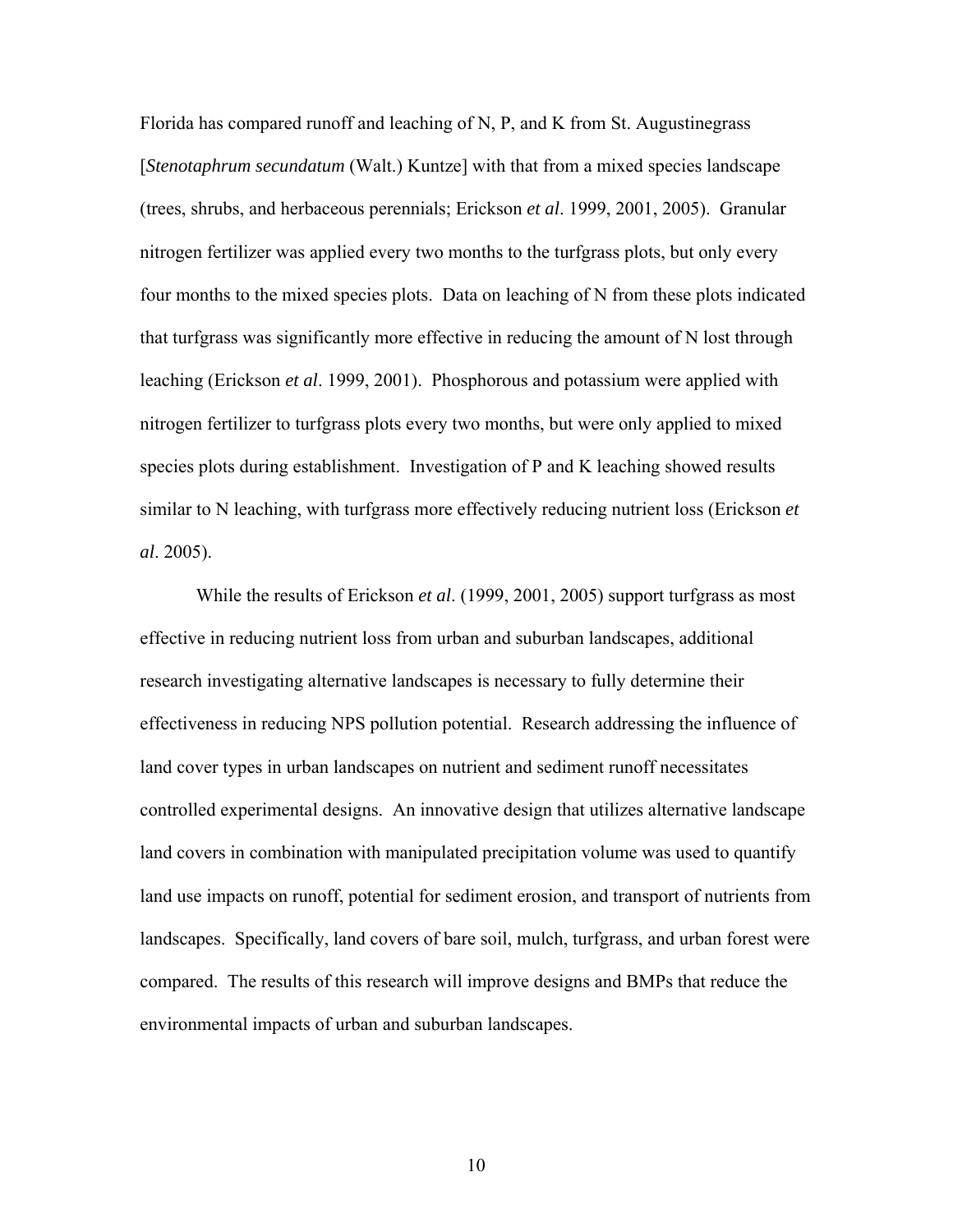Florida has compared runoff and leaching of N, P, and K from St. Augustinegrass [*Stenotaphrum secundatum* (Walt.) Kuntze] with that from a mixed species landscape (trees, shrubs, and herbaceous perennials; Erickson *et al*. 1999, 2001, 2005). Granular nitrogen fertilizer was applied every two months to the turfgrass plots, but only every four months to the mixed species plots. Data on leaching of N from these plots indicated that turfgrass was significantly more effective in reducing the amount of N lost through leaching (Erickson *et al*. 1999, 2001). Phosphorous and potassium were applied with nitrogen fertilizer to turfgrass plots every two months, but were only applied to mixed species plots during establishment. Investigation of P and K leaching showed results similar to N leaching, with turfgrass more effectively reducing nutrient loss (Erickson *et al*. 2005).

While the results of Erickson *et al*. (1999, 2001, 2005) support turfgrass as most effective in reducing nutrient loss from urban and suburban landscapes, additional research investigating alternative landscapes is necessary to fully determine their effectiveness in reducing NPS pollution potential. Research addressing the influence of land cover types in urban landscapes on nutrient and sediment runoff necessitates controlled experimental designs. An innovative design that utilizes alternative landscape land covers in combination with manipulated precipitation volume was used to quantify land use impacts on runoff, potential for sediment erosion, and transport of nutrients from landscapes. Specifically, land covers of bare soil, mulch, turfgrass, and urban forest were compared. The results of this research will improve designs and BMPs that reduce the environmental impacts of urban and suburban landscapes.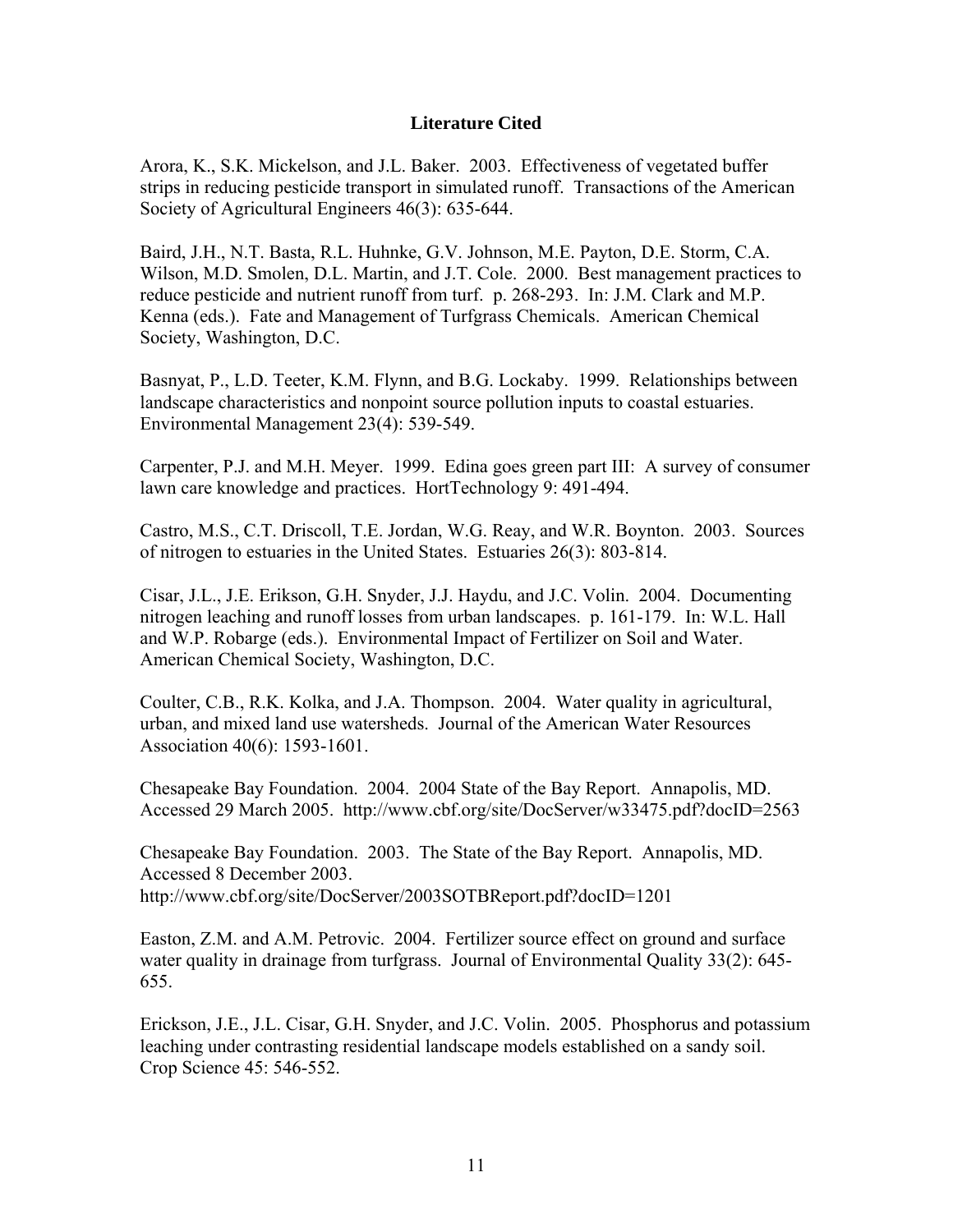#### **Literature Cited**

Arora, K., S.K. Mickelson, and J.L. Baker. 2003. Effectiveness of vegetated buffer strips in reducing pesticide transport in simulated runoff. Transactions of the American Society of Agricultural Engineers 46(3): 635-644.

Baird, J.H., N.T. Basta, R.L. Huhnke, G.V. Johnson, M.E. Payton, D.E. Storm, C.A. Wilson, M.D. Smolen, D.L. Martin, and J.T. Cole. 2000. Best management practices to reduce pesticide and nutrient runoff from turf. p. 268-293. In: J.M. Clark and M.P. Kenna (eds.). Fate and Management of Turfgrass Chemicals. American Chemical Society, Washington, D.C.

Basnyat, P., L.D. Teeter, K.M. Flynn, and B.G. Lockaby. 1999. Relationships between landscape characteristics and nonpoint source pollution inputs to coastal estuaries. Environmental Management 23(4): 539-549.

Carpenter, P.J. and M.H. Meyer. 1999. Edina goes green part III: A survey of consumer lawn care knowledge and practices. HortTechnology 9: 491-494.

Castro, M.S., C.T. Driscoll, T.E. Jordan, W.G. Reay, and W.R. Boynton. 2003. Sources of nitrogen to estuaries in the United States. Estuaries 26(3): 803-814.

Cisar, J.L., J.E. Erikson, G.H. Snyder, J.J. Haydu, and J.C. Volin. 2004. Documenting nitrogen leaching and runoff losses from urban landscapes. p. 161-179. In: W.L. Hall and W.P. Robarge (eds.). Environmental Impact of Fertilizer on Soil and Water. American Chemical Society, Washington, D.C.

Coulter, C.B., R.K. Kolka, and J.A. Thompson. 2004. Water quality in agricultural, urban, and mixed land use watersheds. Journal of the American Water Resources Association 40(6): 1593-1601.

Chesapeake Bay Foundation. 2004. 2004 State of the Bay Report. Annapolis, MD. Accessed 29 March 2005. http://www.cbf.org/site/DocServer/w33475.pdf?docID=2563

Chesapeake Bay Foundation. 2003. The State of the Bay Report. Annapolis, MD. Accessed 8 December 2003. http://www.cbf.org/site/DocServer/2003SOTBReport.pdf?docID=1201

Easton, Z.M. and A.M. Petrovic. 2004. Fertilizer source effect on ground and surface water quality in drainage from turfgrass. Journal of Environmental Quality 33(2): 645-655.

Erickson, J.E., J.L. Cisar, G.H. Snyder, and J.C. Volin. 2005. Phosphorus and potassium leaching under contrasting residential landscape models established on a sandy soil. Crop Science 45: 546-552.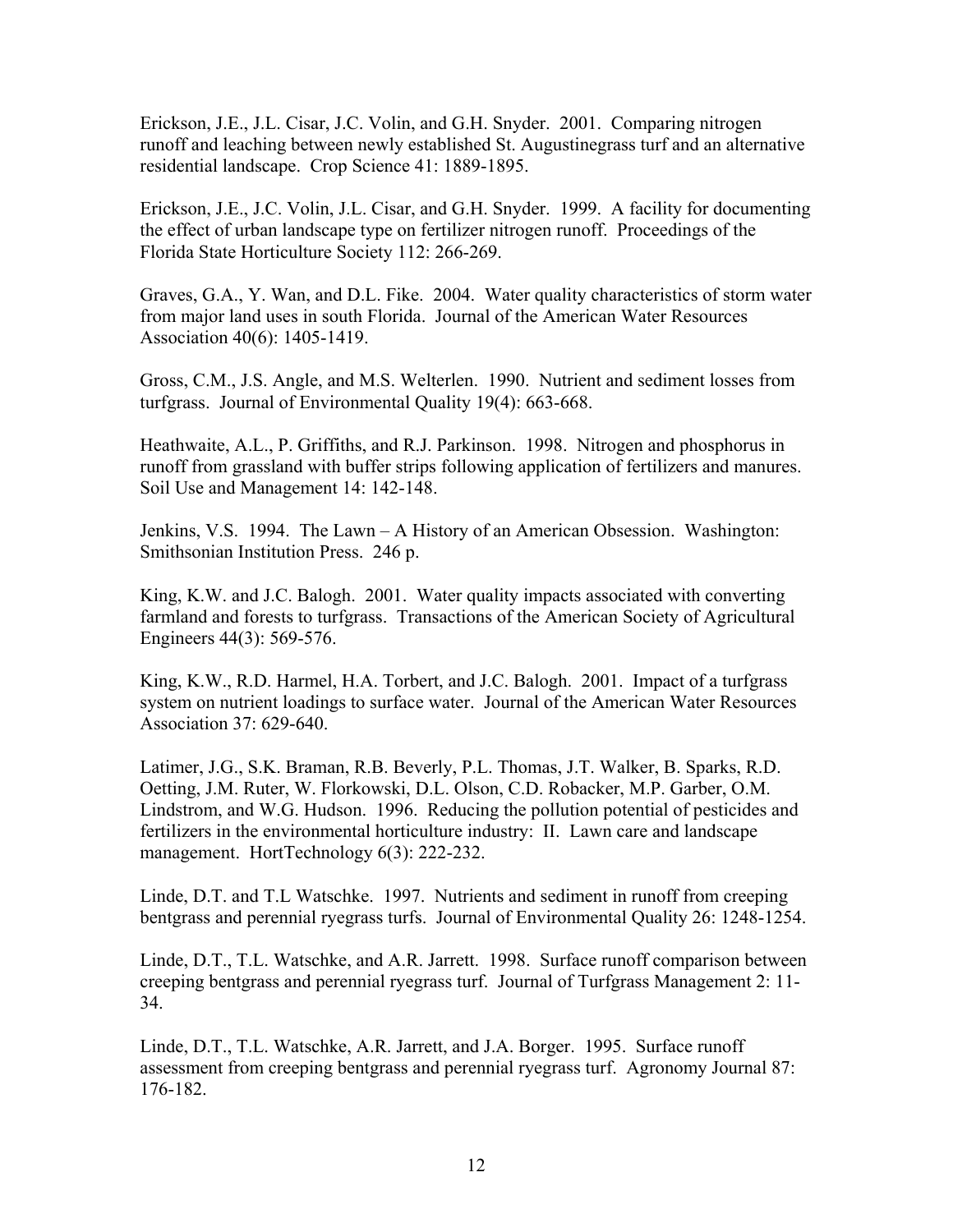Erickson, J.E., J.L. Cisar, J.C. Volin, and G.H. Snyder. 2001. Comparing nitrogen runoff and leaching between newly established St. Augustinegrass turf and an alternative residential landscape. Crop Science 41: 1889-1895.

Erickson, J.E., J.C. Volin, J.L. Cisar, and G.H. Snyder. 1999. A facility for documenting the effect of urban landscape type on fertilizer nitrogen runoff. Proceedings of the Florida State Horticulture Society 112: 266-269.

Graves, G.A., Y. Wan, and D.L. Fike. 2004. Water quality characteristics of storm water from major land uses in south Florida. Journal of the American Water Resources Association 40(6): 1405-1419.

Gross, C.M., J.S. Angle, and M.S. Welterlen. 1990. Nutrient and sediment losses from turfgrass. Journal of Environmental Quality 19(4): 663-668.

Heathwaite, A.L., P. Griffiths, and R.J. Parkinson. 1998. Nitrogen and phosphorus in runoff from grassland with buffer strips following application of fertilizers and manures. Soil Use and Management 14: 142-148.

Jenkins, V.S. 1994. The Lawn – A History of an American Obsession. Washington: Smithsonian Institution Press. 246 p.

King, K.W. and J.C. Balogh. 2001. Water quality impacts associated with converting farmland and forests to turfgrass. Transactions of the American Society of Agricultural Engineers 44(3): 569-576.

King, K.W., R.D. Harmel, H.A. Torbert, and J.C. Balogh. 2001. Impact of a turfgrass system on nutrient loadings to surface water. Journal of the American Water Resources Association 37: 629-640.

Latimer, J.G., S.K. Braman, R.B. Beverly, P.L. Thomas, J.T. Walker, B. Sparks, R.D. Oetting, J.M. Ruter, W. Florkowski, D.L. Olson, C.D. Robacker, M.P. Garber, O.M. Lindstrom, and W.G. Hudson. 1996. Reducing the pollution potential of pesticides and fertilizers in the environmental horticulture industry: II. Lawn care and landscape management. HortTechnology 6(3): 222-232.

Linde, D.T. and T.L Watschke. 1997. Nutrients and sediment in runoff from creeping bentgrass and perennial ryegrass turfs. Journal of Environmental Quality 26: 1248-1254.

Linde, D.T., T.L. Watschke, and A.R. Jarrett. 1998. Surface runoff comparison between creeping bentgrass and perennial ryegrass turf. Journal of Turfgrass Management 2: 11- 34.

Linde, D.T., T.L. Watschke, A.R. Jarrett, and J.A. Borger. 1995. Surface runoff assessment from creeping bentgrass and perennial ryegrass turf. Agronomy Journal 87: 176-182.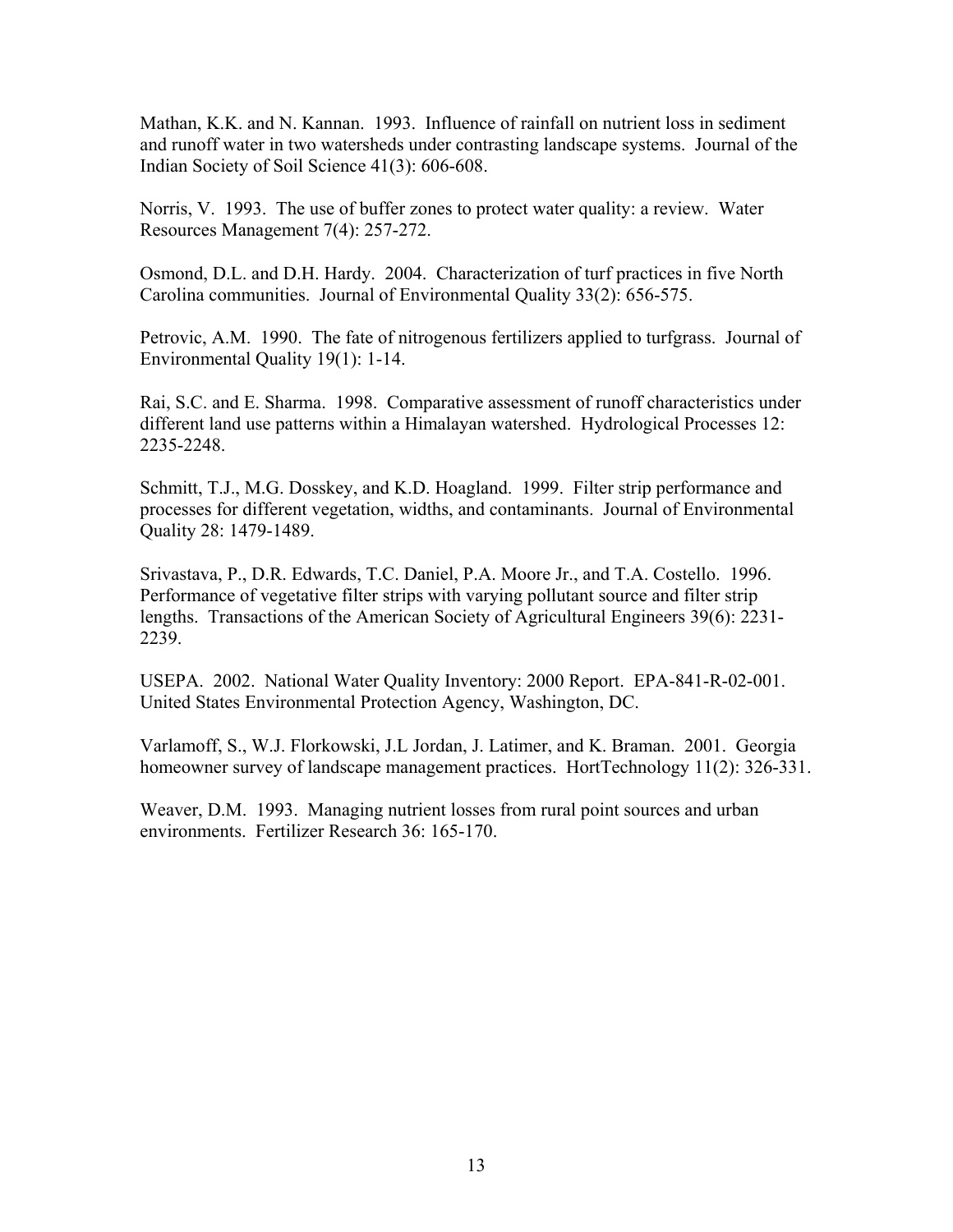Mathan, K.K. and N. Kannan. 1993. Influence of rainfall on nutrient loss in sediment and runoff water in two watersheds under contrasting landscape systems. Journal of the Indian Society of Soil Science 41(3): 606-608.

Norris, V. 1993. The use of buffer zones to protect water quality: a review. Water Resources Management 7(4): 257-272.

Osmond, D.L. and D.H. Hardy. 2004. Characterization of turf practices in five North Carolina communities. Journal of Environmental Quality 33(2): 656-575.

Petrovic, A.M. 1990. The fate of nitrogenous fertilizers applied to turfgrass. Journal of Environmental Quality 19(1): 1-14.

Rai, S.C. and E. Sharma. 1998. Comparative assessment of runoff characteristics under different land use patterns within a Himalayan watershed. Hydrological Processes 12: 2235-2248.

Schmitt, T.J., M.G. Dosskey, and K.D. Hoagland. 1999. Filter strip performance and processes for different vegetation, widths, and contaminants. Journal of Environmental Quality 28: 1479-1489.

Srivastava, P., D.R. Edwards, T.C. Daniel, P.A. Moore Jr., and T.A. Costello. 1996. Performance of vegetative filter strips with varying pollutant source and filter strip lengths. Transactions of the American Society of Agricultural Engineers 39(6): 2231- 2239.

USEPA. 2002. National Water Quality Inventory: 2000 Report. EPA-841-R-02-001. United States Environmental Protection Agency, Washington, DC.

Varlamoff, S., W.J. Florkowski, J.L Jordan, J. Latimer, and K. Braman. 2001. Georgia homeowner survey of landscape management practices. HortTechnology 11(2): 326-331.

Weaver, D.M. 1993. Managing nutrient losses from rural point sources and urban environments. Fertilizer Research 36: 165-170.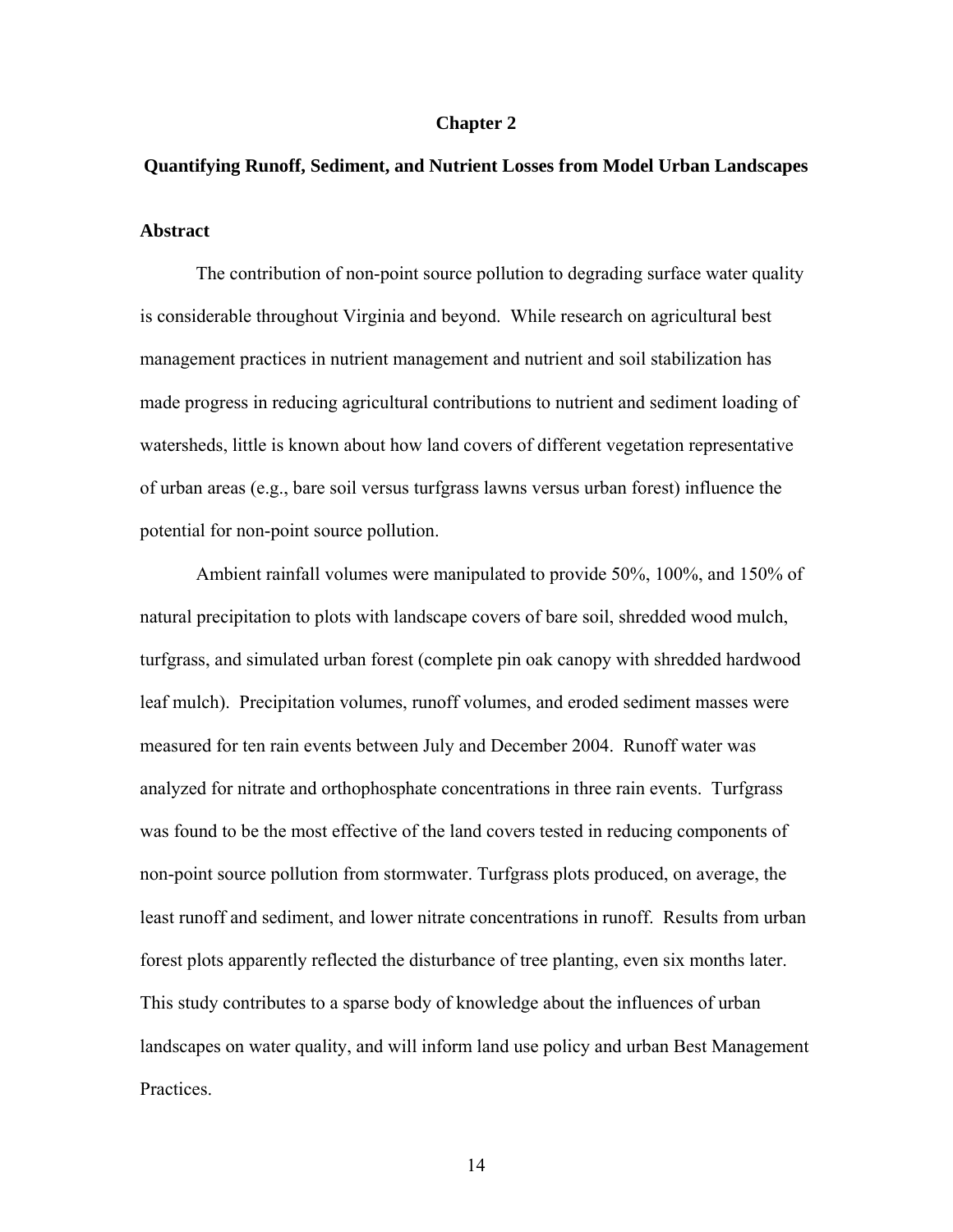#### **Chapter 2**

# **Quantifying Runoff, Sediment, and Nutrient Losses from Model Urban Landscapes**

#### **Abstract**

The contribution of non-point source pollution to degrading surface water quality is considerable throughout Virginia and beyond. While research on agricultural best management practices in nutrient management and nutrient and soil stabilization has made progress in reducing agricultural contributions to nutrient and sediment loading of watersheds, little is known about how land covers of different vegetation representative of urban areas (e.g., bare soil versus turfgrass lawns versus urban forest) influence the potential for non-point source pollution.

 Ambient rainfall volumes were manipulated to provide 50%, 100%, and 150% of natural precipitation to plots with landscape covers of bare soil, shredded wood mulch, turfgrass, and simulated urban forest (complete pin oak canopy with shredded hardwood leaf mulch). Precipitation volumes, runoff volumes, and eroded sediment masses were measured for ten rain events between July and December 2004. Runoff water was analyzed for nitrate and orthophosphate concentrations in three rain events. Turfgrass was found to be the most effective of the land covers tested in reducing components of non-point source pollution from stormwater. Turfgrass plots produced, on average, the least runoff and sediment, and lower nitrate concentrations in runoff. Results from urban forest plots apparently reflected the disturbance of tree planting, even six months later. This study contributes to a sparse body of knowledge about the influences of urban landscapes on water quality, and will inform land use policy and urban Best Management Practices.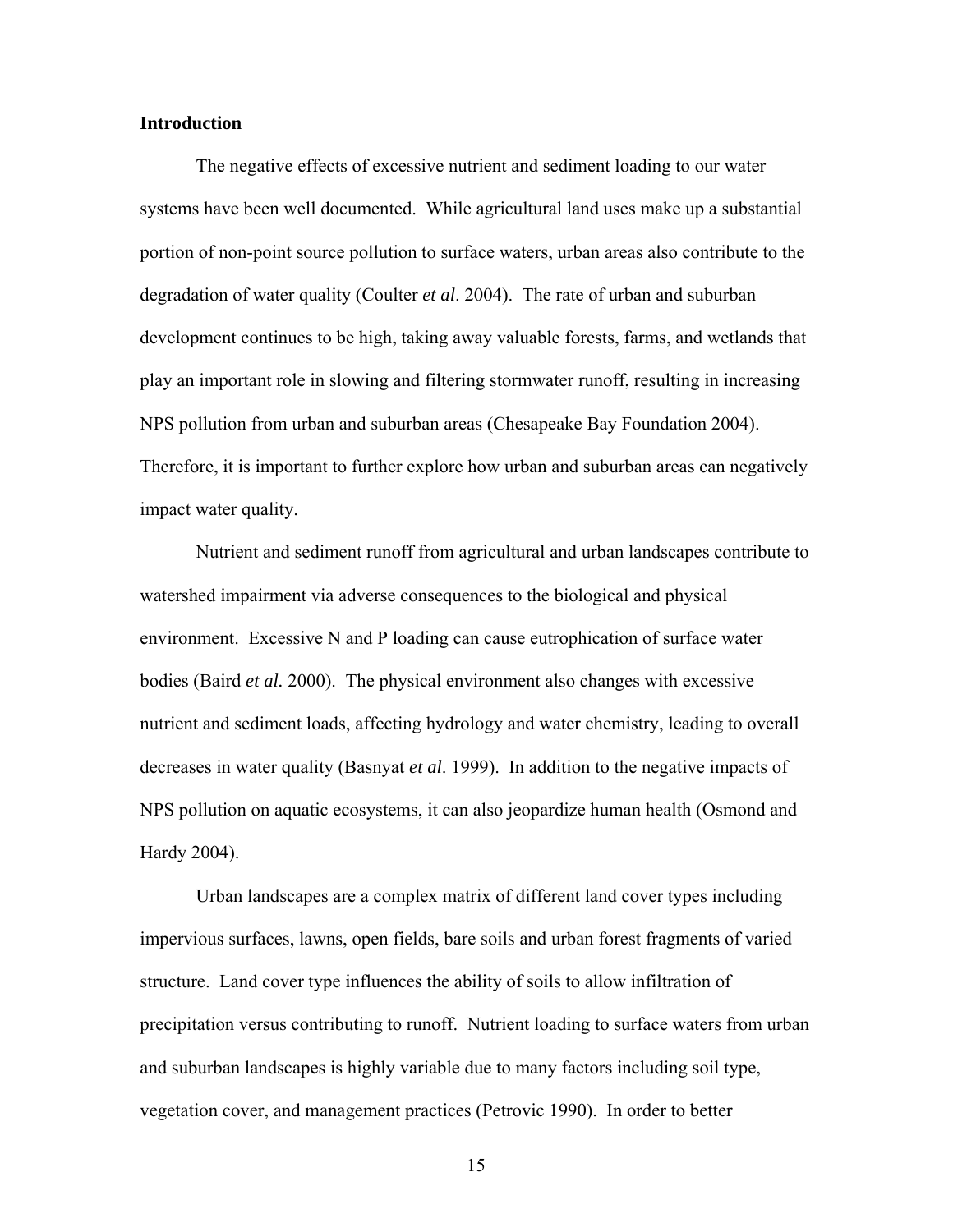#### **Introduction**

The negative effects of excessive nutrient and sediment loading to our water systems have been well documented. While agricultural land uses make up a substantial portion of non-point source pollution to surface waters, urban areas also contribute to the degradation of water quality (Coulter *et al*. 2004). The rate of urban and suburban development continues to be high, taking away valuable forests, farms, and wetlands that play an important role in slowing and filtering stormwater runoff, resulting in increasing NPS pollution from urban and suburban areas (Chesapeake Bay Foundation 2004). Therefore, it is important to further explore how urban and suburban areas can negatively impact water quality.

Nutrient and sediment runoff from agricultural and urban landscapes contribute to watershed impairment via adverse consequences to the biological and physical environment. Excessive N and P loading can cause eutrophication of surface water bodies (Baird *et al.* 2000). The physical environment also changes with excessive nutrient and sediment loads, affecting hydrology and water chemistry, leading to overall decreases in water quality (Basnyat *et al*. 1999). In addition to the negative impacts of NPS pollution on aquatic ecosystems, it can also jeopardize human health (Osmond and Hardy 2004).

Urban landscapes are a complex matrix of different land cover types including impervious surfaces, lawns, open fields, bare soils and urban forest fragments of varied structure. Land cover type influences the ability of soils to allow infiltration of precipitation versus contributing to runoff. Nutrient loading to surface waters from urban and suburban landscapes is highly variable due to many factors including soil type, vegetation cover, and management practices (Petrovic 1990). In order to better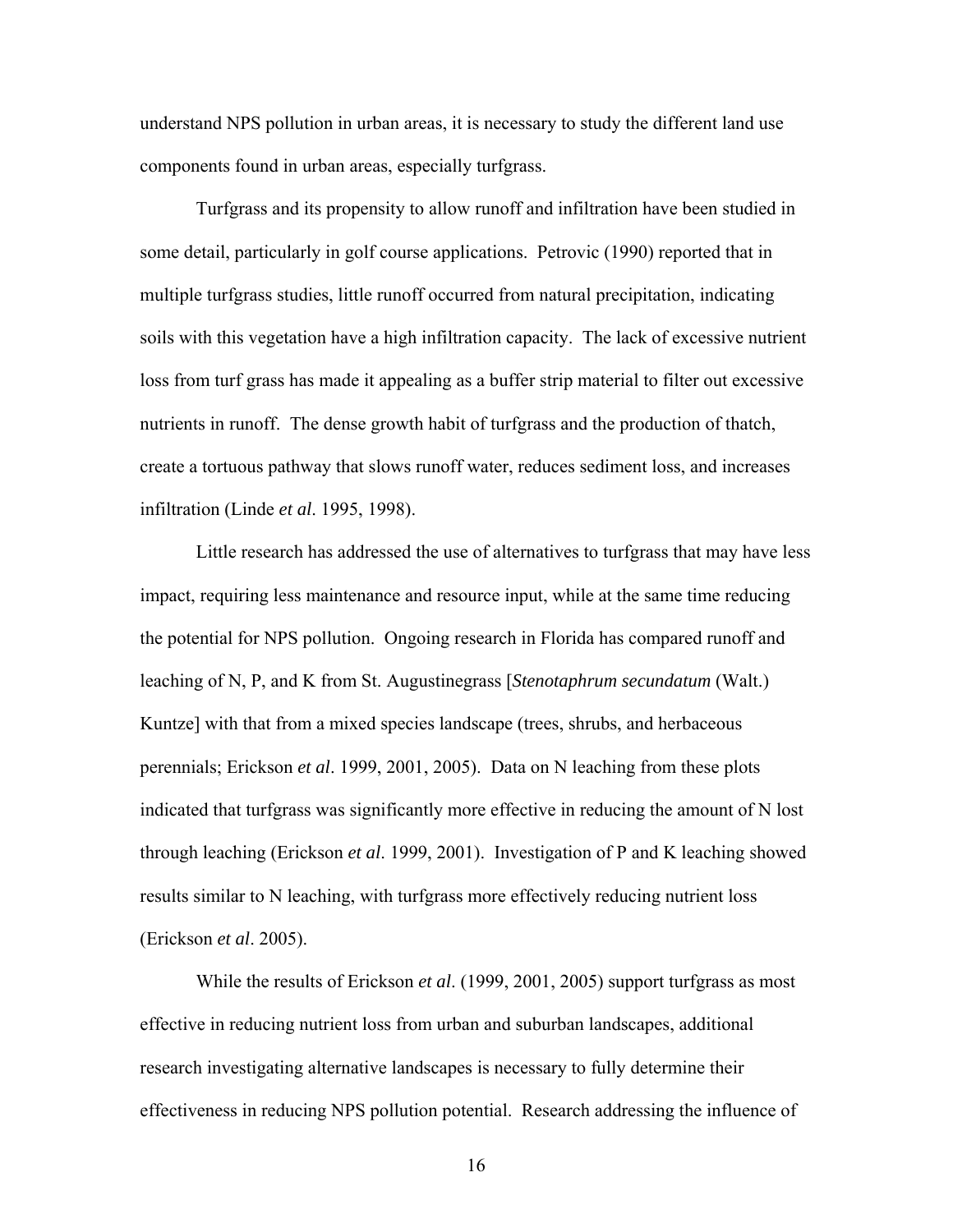understand NPS pollution in urban areas, it is necessary to study the different land use components found in urban areas, especially turfgrass.

Turfgrass and its propensity to allow runoff and infiltration have been studied in some detail, particularly in golf course applications. Petrovic (1990) reported that in multiple turfgrass studies, little runoff occurred from natural precipitation, indicating soils with this vegetation have a high infiltration capacity. The lack of excessive nutrient loss from turf grass has made it appealing as a buffer strip material to filter out excessive nutrients in runoff. The dense growth habit of turfgrass and the production of thatch, create a tortuous pathway that slows runoff water, reduces sediment loss, and increases infiltration (Linde *et al*. 1995, 1998).

Little research has addressed the use of alternatives to turfgrass that may have less impact, requiring less maintenance and resource input, while at the same time reducing the potential for NPS pollution. Ongoing research in Florida has compared runoff and leaching of N, P, and K from St. Augustinegrass [*Stenotaphrum secundatum* (Walt.) Kuntze] with that from a mixed species landscape (trees, shrubs, and herbaceous perennials; Erickson *et al*. 1999, 2001, 2005). Data on N leaching from these plots indicated that turfgrass was significantly more effective in reducing the amount of N lost through leaching (Erickson *et al*. 1999, 2001). Investigation of P and K leaching showed results similar to N leaching, with turfgrass more effectively reducing nutrient loss (Erickson *et al*. 2005).

While the results of Erickson *et al*. (1999, 2001, 2005) support turfgrass as most effective in reducing nutrient loss from urban and suburban landscapes, additional research investigating alternative landscapes is necessary to fully determine their effectiveness in reducing NPS pollution potential. Research addressing the influence of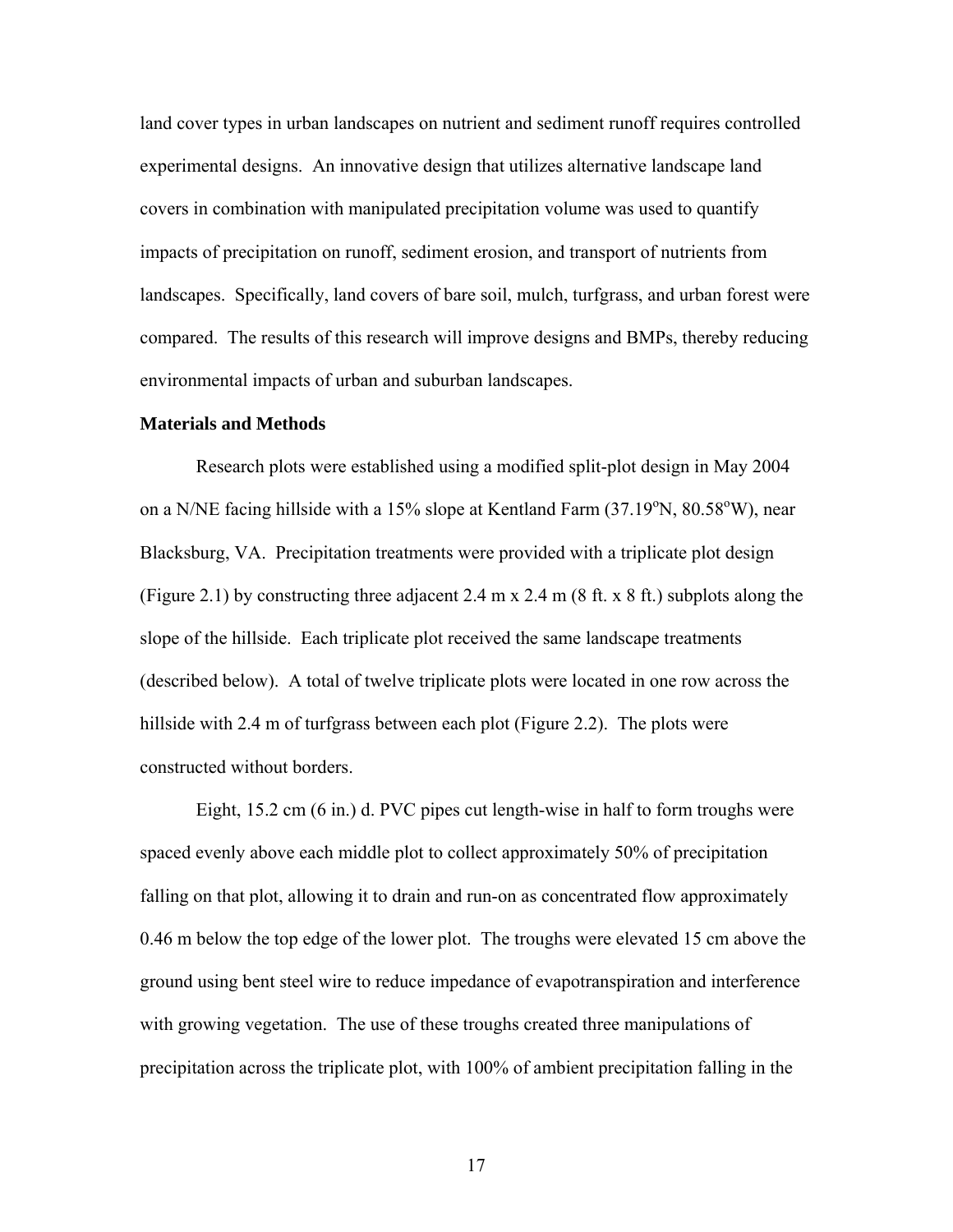land cover types in urban landscapes on nutrient and sediment runoff requires controlled experimental designs. An innovative design that utilizes alternative landscape land covers in combination with manipulated precipitation volume was used to quantify impacts of precipitation on runoff, sediment erosion, and transport of nutrients from landscapes. Specifically, land covers of bare soil, mulch, turfgrass, and urban forest were compared. The results of this research will improve designs and BMPs, thereby reducing environmental impacts of urban and suburban landscapes.

#### **Materials and Methods**

Research plots were established using a modified split-plot design in May 2004 on a N/NE facing hillside with a 15% slope at Kentland Farm  $(37.19^{\circ}N, 80.58^{\circ}W)$ , near Blacksburg, VA. Precipitation treatments were provided with a triplicate plot design (Figure 2.1) by constructing three adjacent 2.4 m x 2.4 m (8 ft. x 8 ft.) subplots along the slope of the hillside. Each triplicate plot received the same landscape treatments (described below). A total of twelve triplicate plots were located in one row across the hillside with 2.4 m of turfgrass between each plot (Figure 2.2). The plots were constructed without borders.

Eight, 15.2 cm (6 in.) d. PVC pipes cut length-wise in half to form troughs were spaced evenly above each middle plot to collect approximately 50% of precipitation falling on that plot, allowing it to drain and run-on as concentrated flow approximately 0.46 m below the top edge of the lower plot. The troughs were elevated 15 cm above the ground using bent steel wire to reduce impedance of evapotranspiration and interference with growing vegetation. The use of these troughs created three manipulations of precipitation across the triplicate plot, with 100% of ambient precipitation falling in the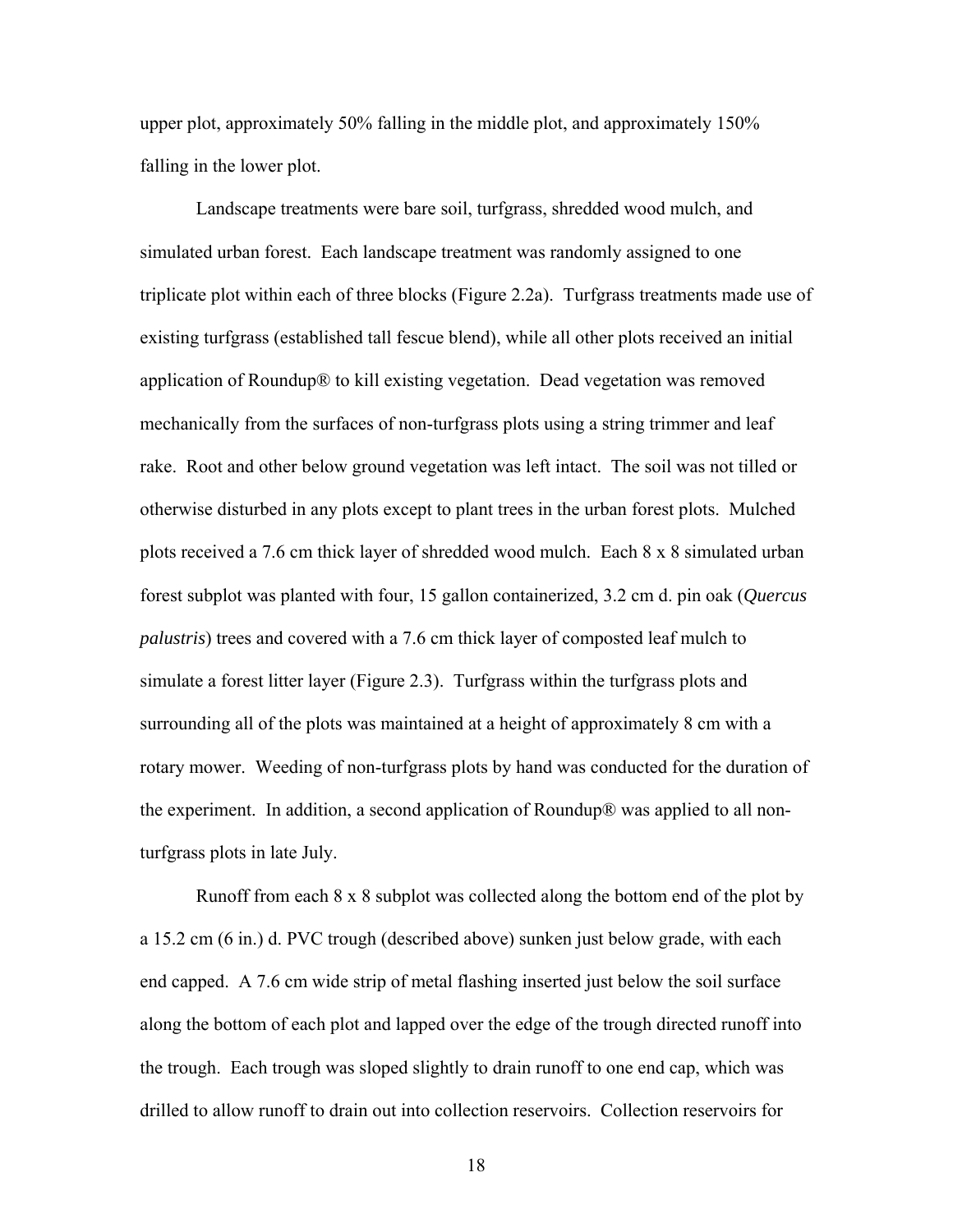upper plot, approximately 50% falling in the middle plot, and approximately 150% falling in the lower plot.

Landscape treatments were bare soil, turfgrass, shredded wood mulch, and simulated urban forest. Each landscape treatment was randomly assigned to one triplicate plot within each of three blocks (Figure 2.2a). Turfgrass treatments made use of existing turfgrass (established tall fescue blend), while all other plots received an initial application of Roundup® to kill existing vegetation. Dead vegetation was removed mechanically from the surfaces of non-turfgrass plots using a string trimmer and leaf rake. Root and other below ground vegetation was left intact. The soil was not tilled or otherwise disturbed in any plots except to plant trees in the urban forest plots. Mulched plots received a 7.6 cm thick layer of shredded wood mulch. Each 8 x 8 simulated urban forest subplot was planted with four, 15 gallon containerized, 3.2 cm d. pin oak (*Quercus palustris*) trees and covered with a 7.6 cm thick layer of composted leaf mulch to simulate a forest litter layer (Figure 2.3). Turfgrass within the turfgrass plots and surrounding all of the plots was maintained at a height of approximately 8 cm with a rotary mower. Weeding of non-turfgrass plots by hand was conducted for the duration of the experiment. In addition, a second application of Roundup® was applied to all nonturfgrass plots in late July.

Runoff from each 8 x 8 subplot was collected along the bottom end of the plot by a 15.2 cm (6 in.) d. PVC trough (described above) sunken just below grade, with each end capped. A 7.6 cm wide strip of metal flashing inserted just below the soil surface along the bottom of each plot and lapped over the edge of the trough directed runoff into the trough. Each trough was sloped slightly to drain runoff to one end cap, which was drilled to allow runoff to drain out into collection reservoirs. Collection reservoirs for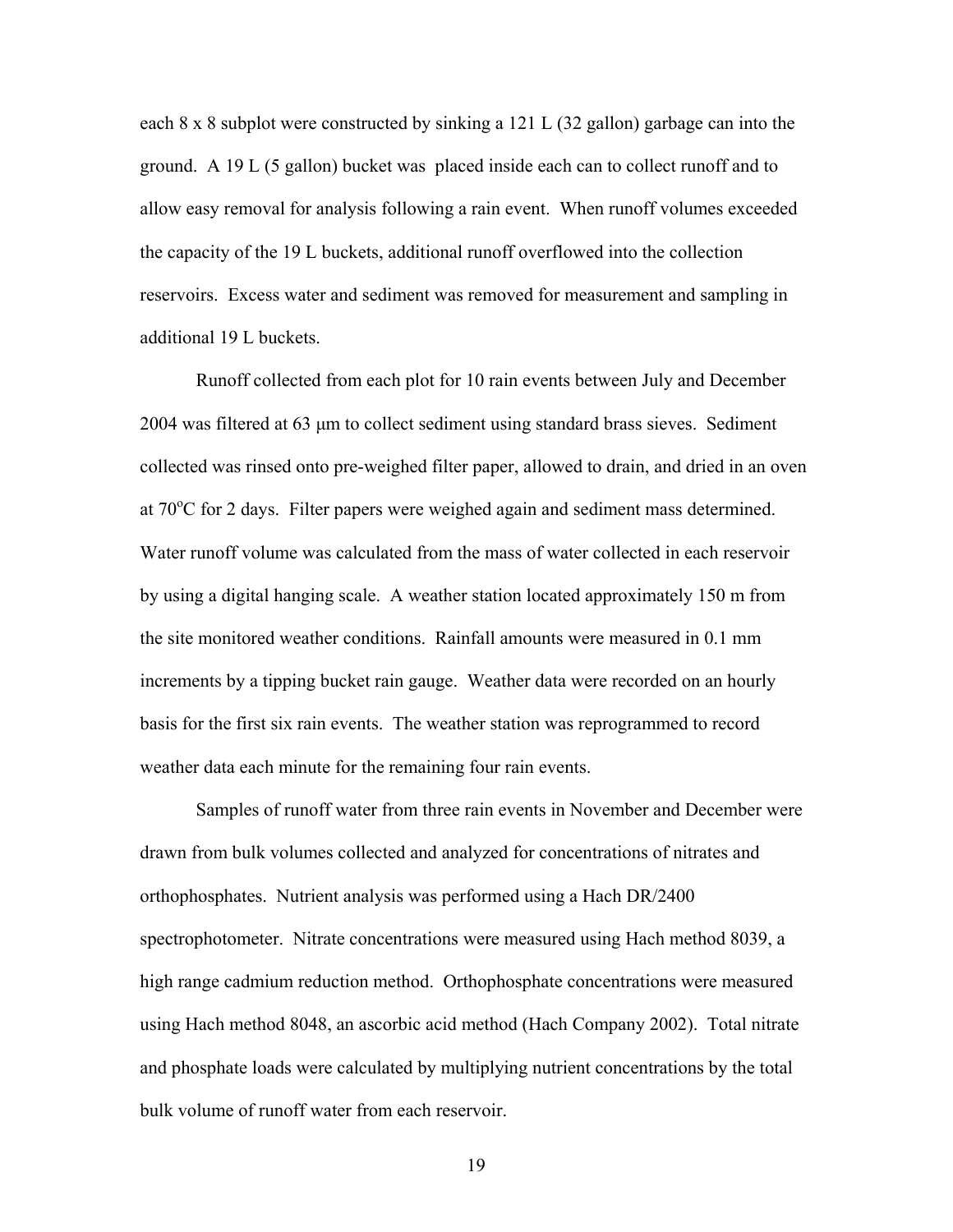each 8 x 8 subplot were constructed by sinking a 121 L (32 gallon) garbage can into the ground. A 19 L (5 gallon) bucket was placed inside each can to collect runoff and to allow easy removal for analysis following a rain event. When runoff volumes exceeded the capacity of the 19 L buckets, additional runoff overflowed into the collection reservoirs. Excess water and sediment was removed for measurement and sampling in additional 19 L buckets.

Runoff collected from each plot for 10 rain events between July and December 2004 was filtered at 63 μm to collect sediment using standard brass sieves. Sediment collected was rinsed onto pre-weighed filter paper, allowed to drain, and dried in an oven at 70°C for 2 days. Filter papers were weighed again and sediment mass determined. Water runoff volume was calculated from the mass of water collected in each reservoir by using a digital hanging scale. A weather station located approximately 150 m from the site monitored weather conditions. Rainfall amounts were measured in 0.1 mm increments by a tipping bucket rain gauge. Weather data were recorded on an hourly basis for the first six rain events. The weather station was reprogrammed to record weather data each minute for the remaining four rain events.

Samples of runoff water from three rain events in November and December were drawn from bulk volumes collected and analyzed for concentrations of nitrates and orthophosphates. Nutrient analysis was performed using a Hach DR/2400 spectrophotometer. Nitrate concentrations were measured using Hach method 8039, a high range cadmium reduction method. Orthophosphate concentrations were measured using Hach method 8048, an ascorbic acid method (Hach Company 2002). Total nitrate and phosphate loads were calculated by multiplying nutrient concentrations by the total bulk volume of runoff water from each reservoir.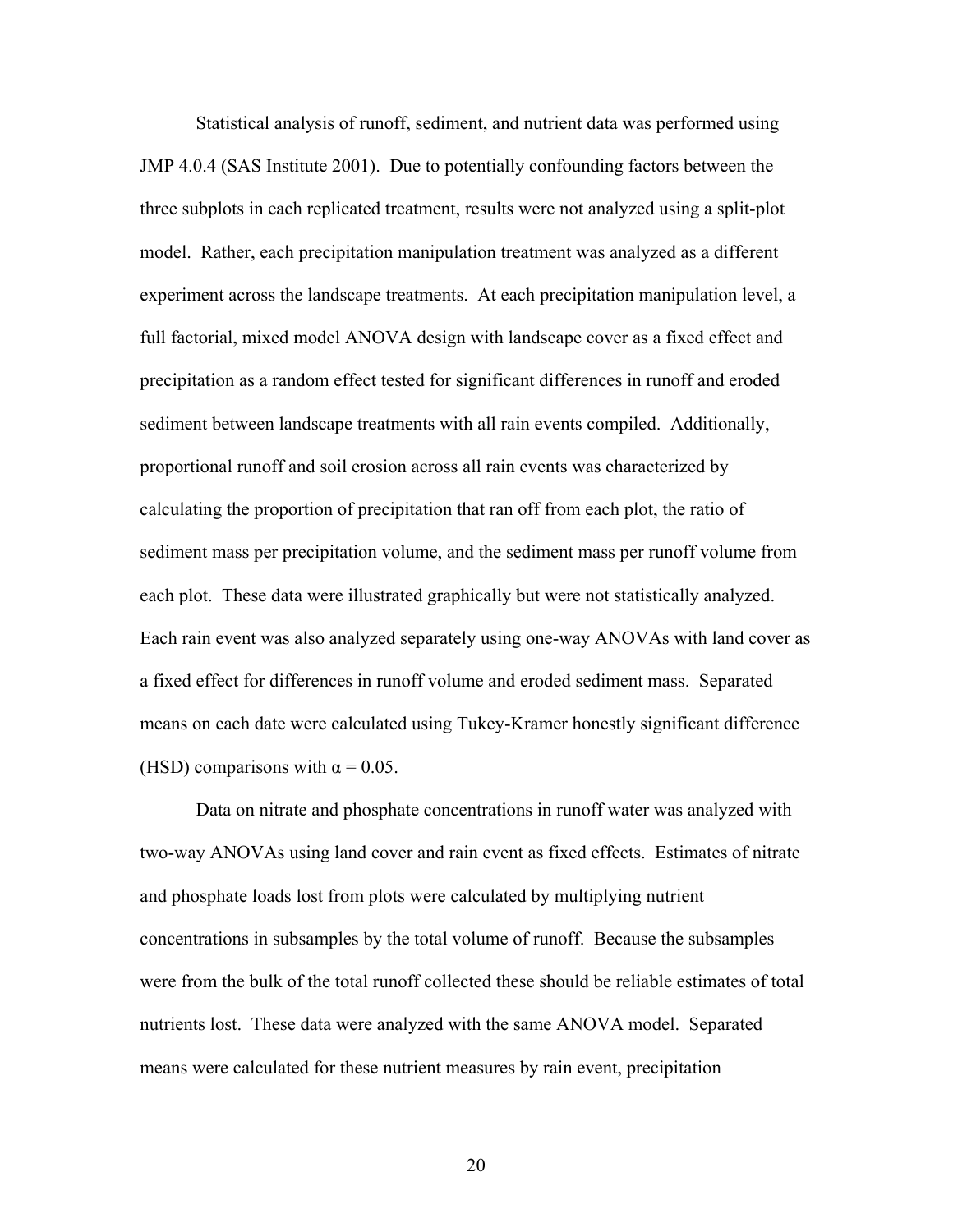Statistical analysis of runoff, sediment, and nutrient data was performed using JMP 4.0.4 (SAS Institute 2001). Due to potentially confounding factors between the three subplots in each replicated treatment, results were not analyzed using a split-plot model. Rather, each precipitation manipulation treatment was analyzed as a different experiment across the landscape treatments. At each precipitation manipulation level, a full factorial, mixed model ANOVA design with landscape cover as a fixed effect and precipitation as a random effect tested for significant differences in runoff and eroded sediment between landscape treatments with all rain events compiled. Additionally, proportional runoff and soil erosion across all rain events was characterized by calculating the proportion of precipitation that ran off from each plot, the ratio of sediment mass per precipitation volume, and the sediment mass per runoff volume from each plot. These data were illustrated graphically but were not statistically analyzed. Each rain event was also analyzed separately using one-way ANOVAs with land cover as a fixed effect for differences in runoff volume and eroded sediment mass. Separated means on each date were calculated using Tukey-Kramer honestly significant difference (HSD) comparisons with  $\alpha = 0.05$ .

Data on nitrate and phosphate concentrations in runoff water was analyzed with two-way ANOVAs using land cover and rain event as fixed effects.Estimates of nitrate and phosphate loads lost from plots were calculated by multiplying nutrient concentrations in subsamples by the total volume of runoff. Because the subsamples were from the bulk of the total runoff collected these should be reliable estimates of total nutrients lost. These data were analyzed with the same ANOVA model. Separated means were calculated for these nutrient measures by rain event, precipitation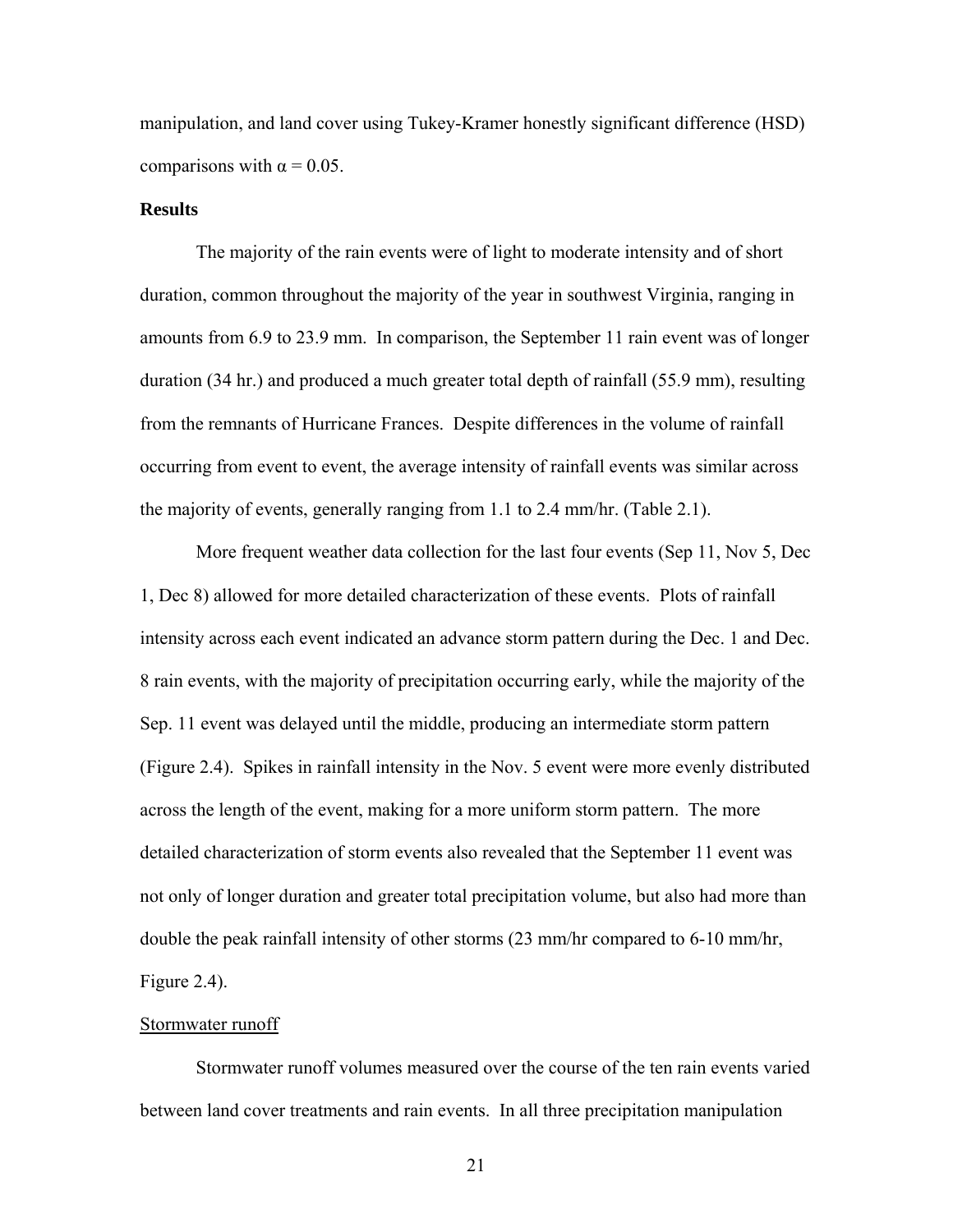manipulation, and land cover using Tukey-Kramer honestly significant difference (HSD) comparisons with  $\alpha$  = 0.05.

#### **Results**

 The majority of the rain events were of light to moderate intensity and of short duration, common throughout the majority of the year in southwest Virginia, ranging in amounts from 6.9 to 23.9 mm. In comparison, the September 11 rain event was of longer duration (34 hr.) and produced a much greater total depth of rainfall (55.9 mm), resulting from the remnants of Hurricane Frances. Despite differences in the volume of rainfall occurring from event to event, the average intensity of rainfall events was similar across the majority of events, generally ranging from 1.1 to 2.4 mm/hr. (Table 2.1).

More frequent weather data collection for the last four events (Sep 11, Nov 5, Dec 1, Dec 8) allowed for more detailed characterization of these events. Plots of rainfall intensity across each event indicated an advance storm pattern during the Dec. 1 and Dec. 8 rain events, with the majority of precipitation occurring early, while the majority of the Sep. 11 event was delayed until the middle, producing an intermediate storm pattern (Figure 2.4). Spikes in rainfall intensity in the Nov. 5 event were more evenly distributed across the length of the event, making for a more uniform storm pattern. The more detailed characterization of storm events also revealed that the September 11 event was not only of longer duration and greater total precipitation volume, but also had more than double the peak rainfall intensity of other storms (23 mm/hr compared to 6-10 mm/hr, Figure 2.4).

#### Stormwater runoff

 Stormwater runoff volumes measured over the course of the ten rain events varied between land cover treatments and rain events. In all three precipitation manipulation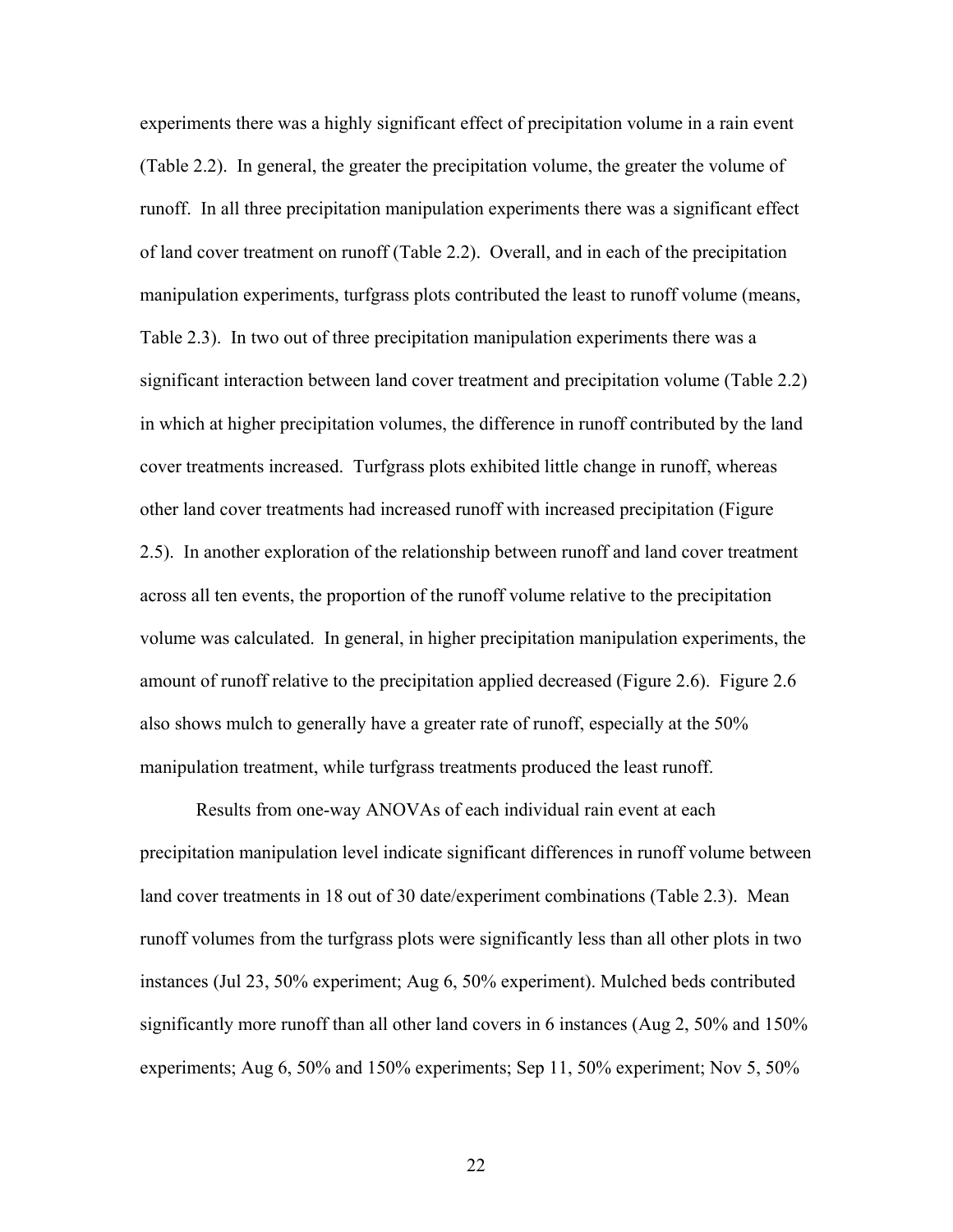experiments there was a highly significant effect of precipitation volume in a rain event (Table 2.2). In general, the greater the precipitation volume, the greater the volume of runoff. In all three precipitation manipulation experiments there was a significant effect of land cover treatment on runoff (Table 2.2). Overall, and in each of the precipitation manipulation experiments, turfgrass plots contributed the least to runoff volume (means, Table 2.3). In two out of three precipitation manipulation experiments there was a significant interaction between land cover treatment and precipitation volume (Table 2.2) in which at higher precipitation volumes, the difference in runoff contributed by the land cover treatments increased. Turfgrass plots exhibited little change in runoff, whereas other land cover treatments had increased runoff with increased precipitation (Figure 2.5). In another exploration of the relationship between runoff and land cover treatment across all ten events, the proportion of the runoff volume relative to the precipitation volume was calculated. In general, in higher precipitation manipulation experiments, the amount of runoff relative to the precipitation applied decreased (Figure 2.6). Figure 2.6 also shows mulch to generally have a greater rate of runoff, especially at the 50% manipulation treatment, while turfgrass treatments produced the least runoff.

Results from one-way ANOVAs of each individual rain event at each precipitation manipulation level indicate significant differences in runoff volume between land cover treatments in 18 out of 30 date/experiment combinations (Table 2.3). Mean runoff volumes from the turfgrass plots were significantly less than all other plots in two instances (Jul 23, 50% experiment; Aug 6, 50% experiment). Mulched beds contributed significantly more runoff than all other land covers in 6 instances (Aug 2, 50% and 150% experiments; Aug 6, 50% and 150% experiments; Sep 11, 50% experiment; Nov 5, 50%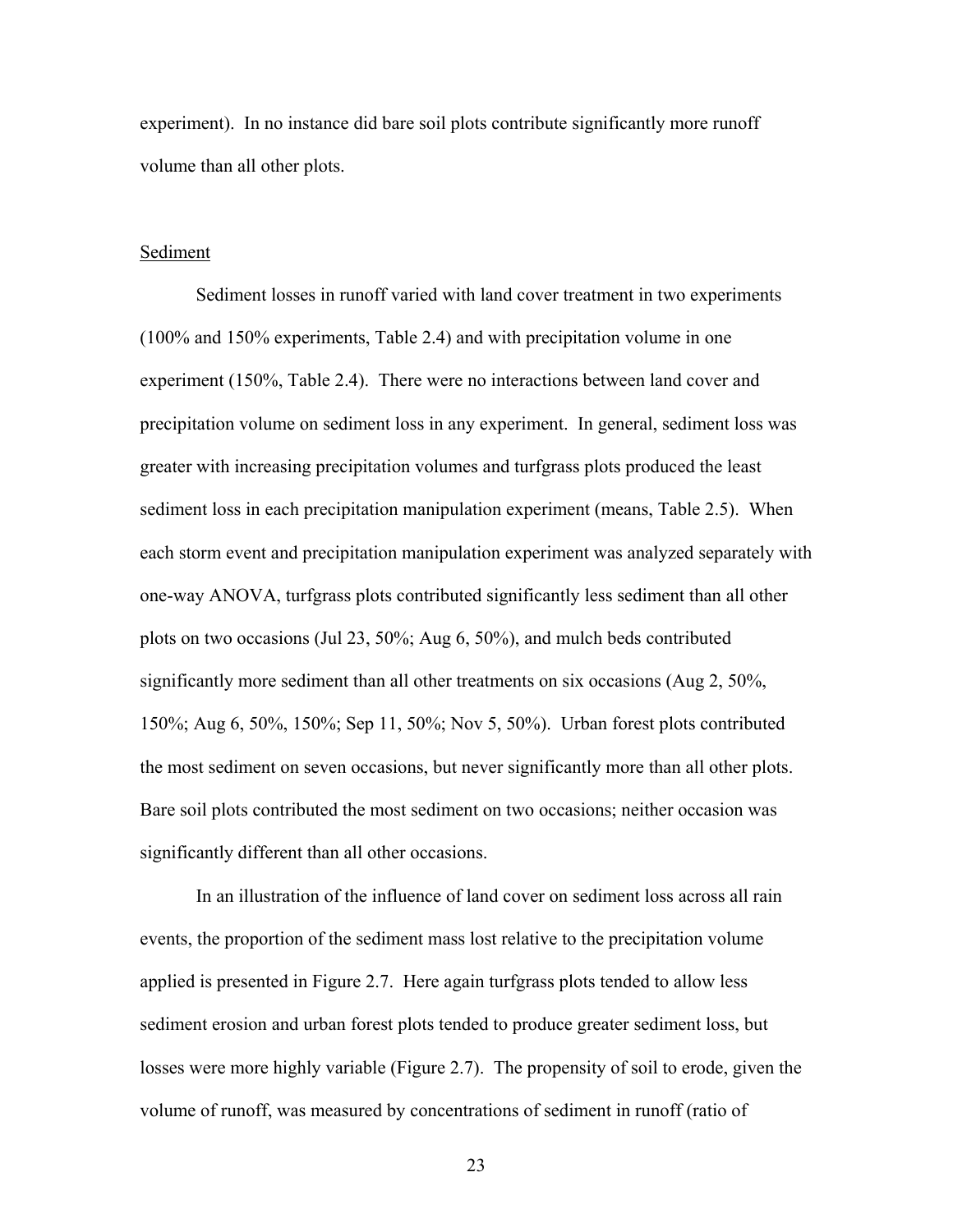experiment). In no instance did bare soil plots contribute significantly more runoff volume than all other plots.

#### Sediment

 Sediment losses in runoff varied with land cover treatment in two experiments (100% and 150% experiments, Table 2.4) and with precipitation volume in one experiment (150%, Table 2.4). There were no interactions between land cover and precipitation volume on sediment loss in any experiment. In general, sediment loss was greater with increasing precipitation volumes and turfgrass plots produced the least sediment loss in each precipitation manipulation experiment (means, Table 2.5). When each storm event and precipitation manipulation experiment was analyzed separately with one-way ANOVA, turfgrass plots contributed significantly less sediment than all other plots on two occasions (Jul 23, 50%; Aug 6, 50%), and mulch beds contributed significantly more sediment than all other treatments on six occasions (Aug 2, 50%, 150%; Aug 6, 50%, 150%; Sep 11, 50%; Nov 5, 50%). Urban forest plots contributed the most sediment on seven occasions, but never significantly more than all other plots. Bare soil plots contributed the most sediment on two occasions; neither occasion was significantly different than all other occasions.

In an illustration of the influence of land cover on sediment loss across all rain events, the proportion of the sediment mass lost relative to the precipitation volume applied is presented in Figure 2.7. Here again turfgrass plots tended to allow less sediment erosion and urban forest plots tended to produce greater sediment loss, but losses were more highly variable (Figure 2.7). The propensity of soil to erode, given the volume of runoff, was measured by concentrations of sediment in runoff (ratio of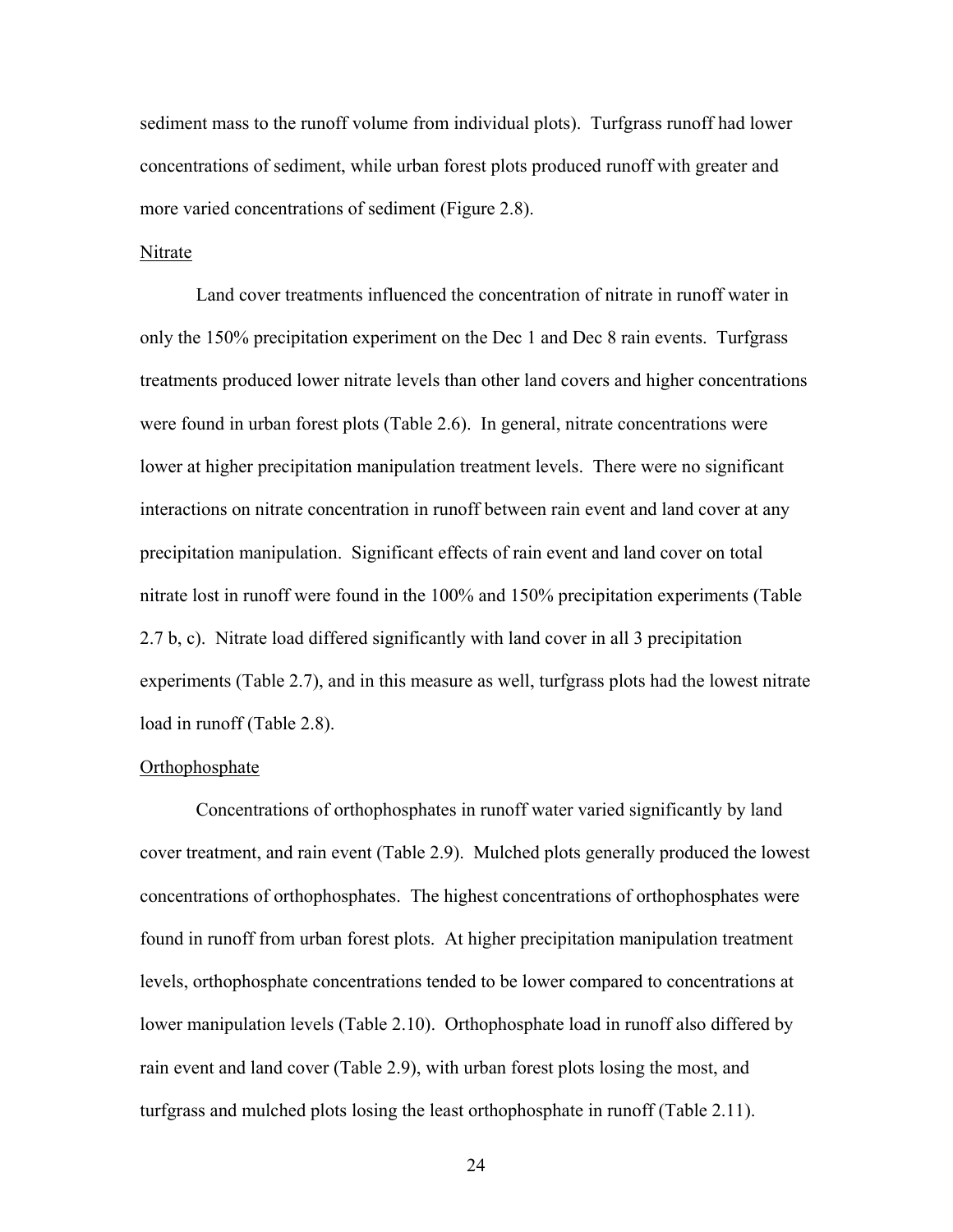sediment mass to the runoff volume from individual plots). Turfgrass runoff had lower concentrations of sediment, while urban forest plots produced runoff with greater and more varied concentrations of sediment (Figure 2.8).

#### Nitrate

 Land cover treatments influenced the concentration of nitrate in runoff water in only the 150% precipitation experiment on the Dec 1 and Dec 8 rain events. Turfgrass treatments produced lower nitrate levels than other land covers and higher concentrations were found in urban forest plots (Table 2.6). In general, nitrate concentrations were lower at higher precipitation manipulation treatment levels. There were no significant interactions on nitrate concentration in runoff between rain event and land cover at any precipitation manipulation. Significant effects of rain event and land cover on total nitrate lost in runoff were found in the 100% and 150% precipitation experiments (Table 2.7 b, c). Nitrate load differed significantly with land cover in all 3 precipitation experiments (Table 2.7), and in this measure as well, turfgrass plots had the lowest nitrate load in runoff (Table 2.8).

#### **Orthophosphate**

 Concentrations of orthophosphates in runoff water varied significantly by land cover treatment, and rain event (Table 2.9). Mulched plots generally produced the lowest concentrations of orthophosphates. The highest concentrations of orthophosphates were found in runoff from urban forest plots. At higher precipitation manipulation treatment levels, orthophosphate concentrations tended to be lower compared to concentrations at lower manipulation levels (Table 2.10). Orthophosphate load in runoff also differed by rain event and land cover (Table 2.9), with urban forest plots losing the most, and turfgrass and mulched plots losing the least orthophosphate in runoff (Table 2.11).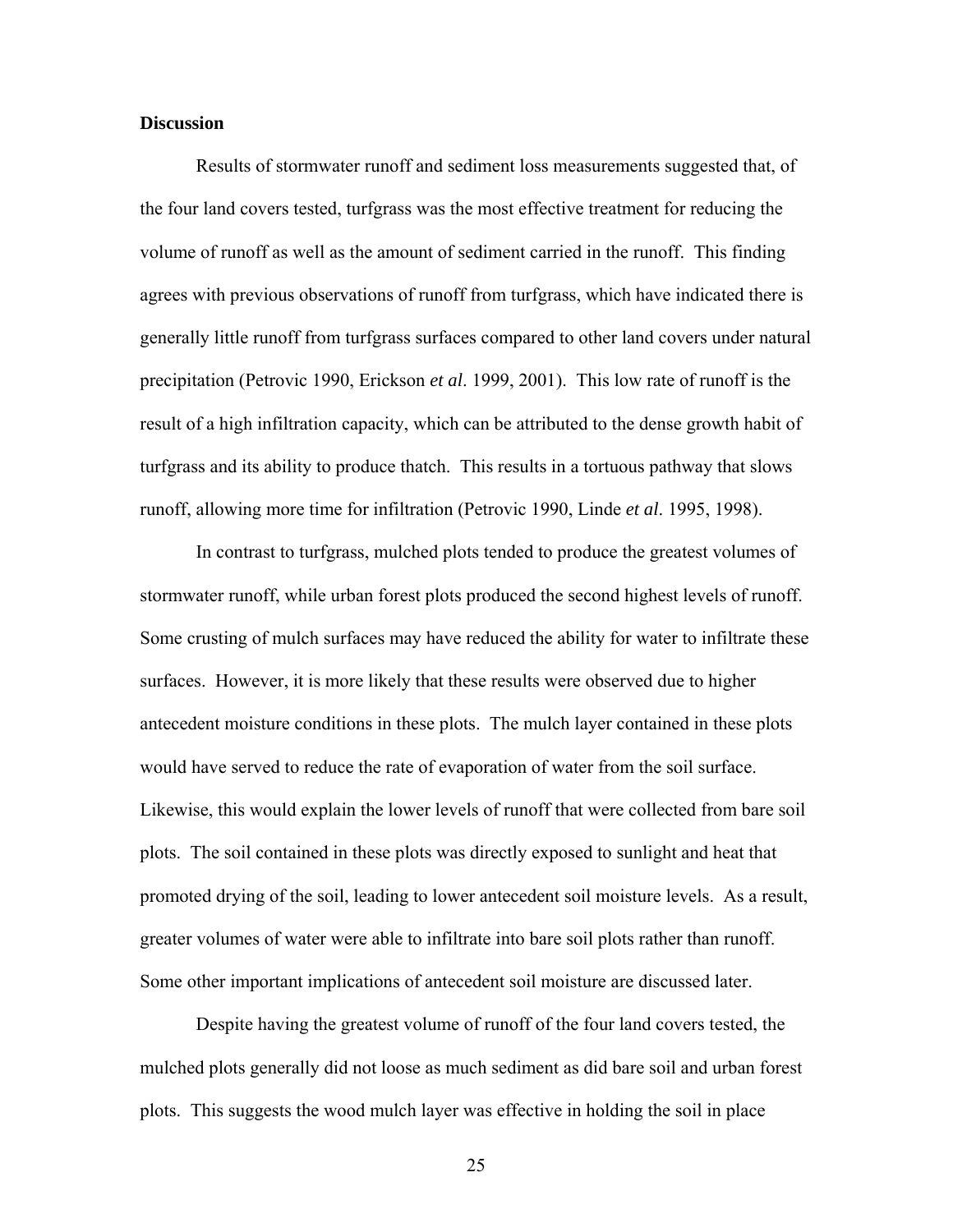#### **Discussion**

 Results of stormwater runoff and sediment loss measurements suggested that, of the four land covers tested, turfgrass was the most effective treatment for reducing the volume of runoff as well as the amount of sediment carried in the runoff. This finding agrees with previous observations of runoff from turfgrass, which have indicated there is generally little runoff from turfgrass surfaces compared to other land covers under natural precipitation (Petrovic 1990, Erickson *et al*. 1999, 2001). This low rate of runoff is the result of a high infiltration capacity, which can be attributed to the dense growth habit of turfgrass and its ability to produce thatch. This results in a tortuous pathway that slows runoff, allowing more time for infiltration (Petrovic 1990, Linde *et al*. 1995, 1998).

 In contrast to turfgrass, mulched plots tended to produce the greatest volumes of stormwater runoff, while urban forest plots produced the second highest levels of runoff. Some crusting of mulch surfaces may have reduced the ability for water to infiltrate these surfaces. However, it is more likely that these results were observed due to higher antecedent moisture conditions in these plots. The mulch layer contained in these plots would have served to reduce the rate of evaporation of water from the soil surface. Likewise, this would explain the lower levels of runoff that were collected from bare soil plots. The soil contained in these plots was directly exposed to sunlight and heat that promoted drying of the soil, leading to lower antecedent soil moisture levels. As a result, greater volumes of water were able to infiltrate into bare soil plots rather than runoff. Some other important implications of antecedent soil moisture are discussed later.

 Despite having the greatest volume of runoff of the four land covers tested, the mulched plots generally did not loose as much sediment as did bare soil and urban forest plots. This suggests the wood mulch layer was effective in holding the soil in place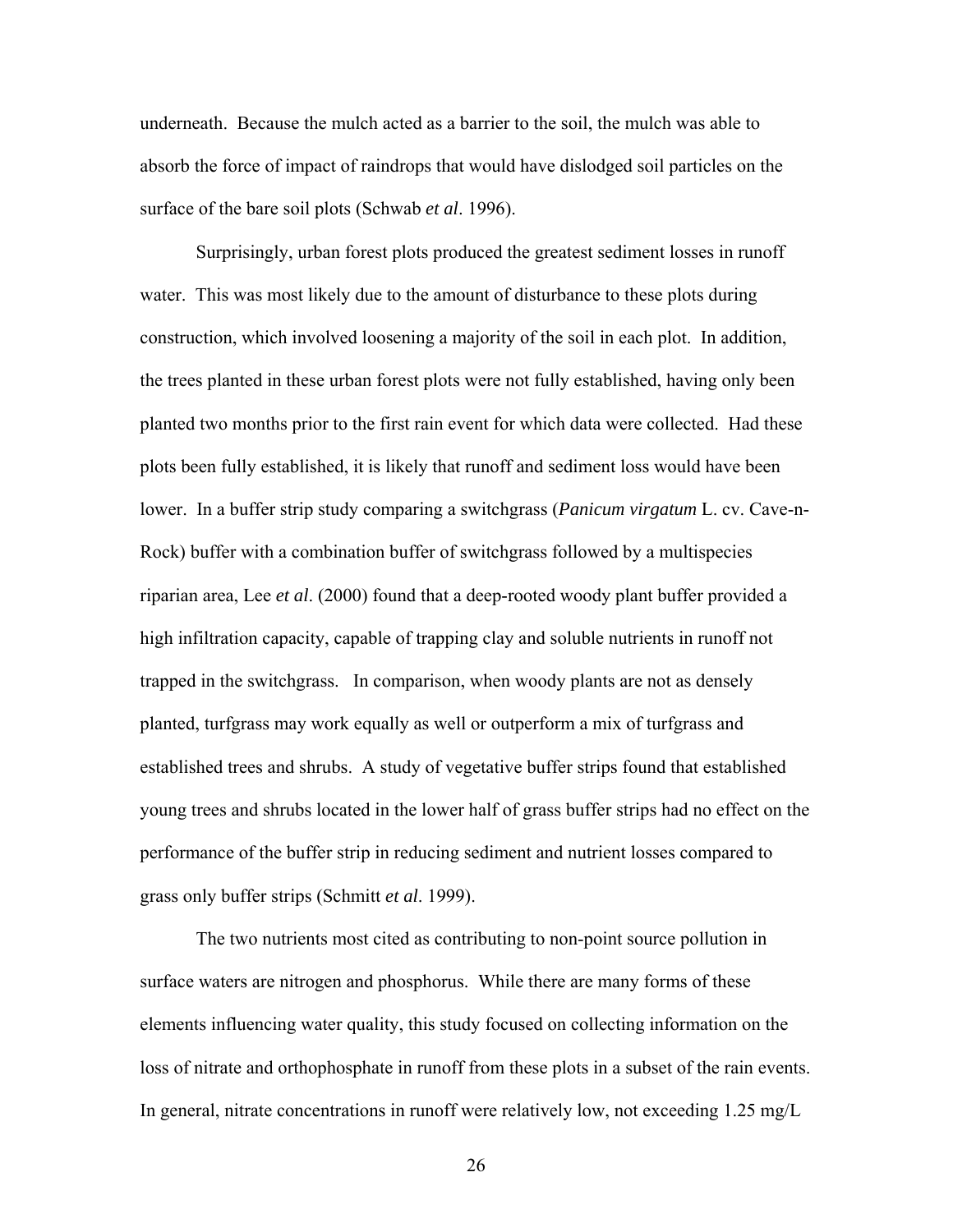underneath. Because the mulch acted as a barrier to the soil, the mulch was able to absorb the force of impact of raindrops that would have dislodged soil particles on the surface of the bare soil plots (Schwab *et al*. 1996).

 Surprisingly, urban forest plots produced the greatest sediment losses in runoff water. This was most likely due to the amount of disturbance to these plots during construction, which involved loosening a majority of the soil in each plot. In addition, the trees planted in these urban forest plots were not fully established, having only been planted two months prior to the first rain event for which data were collected. Had these plots been fully established, it is likely that runoff and sediment loss would have been lower. In a buffer strip study comparing a switchgrass (*Panicum virgatum* L. cv. Cave-n-Rock) buffer with a combination buffer of switchgrass followed by a multispecies riparian area, Lee *et al*. (2000) found that a deep-rooted woody plant buffer provided a high infiltration capacity, capable of trapping clay and soluble nutrients in runoff not trapped in the switchgrass. In comparison, when woody plants are not as densely planted, turfgrass may work equally as well or outperform a mix of turfgrass and established trees and shrubs. A study of vegetative buffer strips found that established young trees and shrubs located in the lower half of grass buffer strips had no effect on the performance of the buffer strip in reducing sediment and nutrient losses compared to grass only buffer strips (Schmitt *et al*. 1999).

The two nutrients most cited as contributing to non-point source pollution in surface waters are nitrogen and phosphorus. While there are many forms of these elements influencing water quality, this study focused on collecting information on the loss of nitrate and orthophosphate in runoff from these plots in a subset of the rain events. In general, nitrate concentrations in runoff were relatively low, not exceeding 1.25 mg/L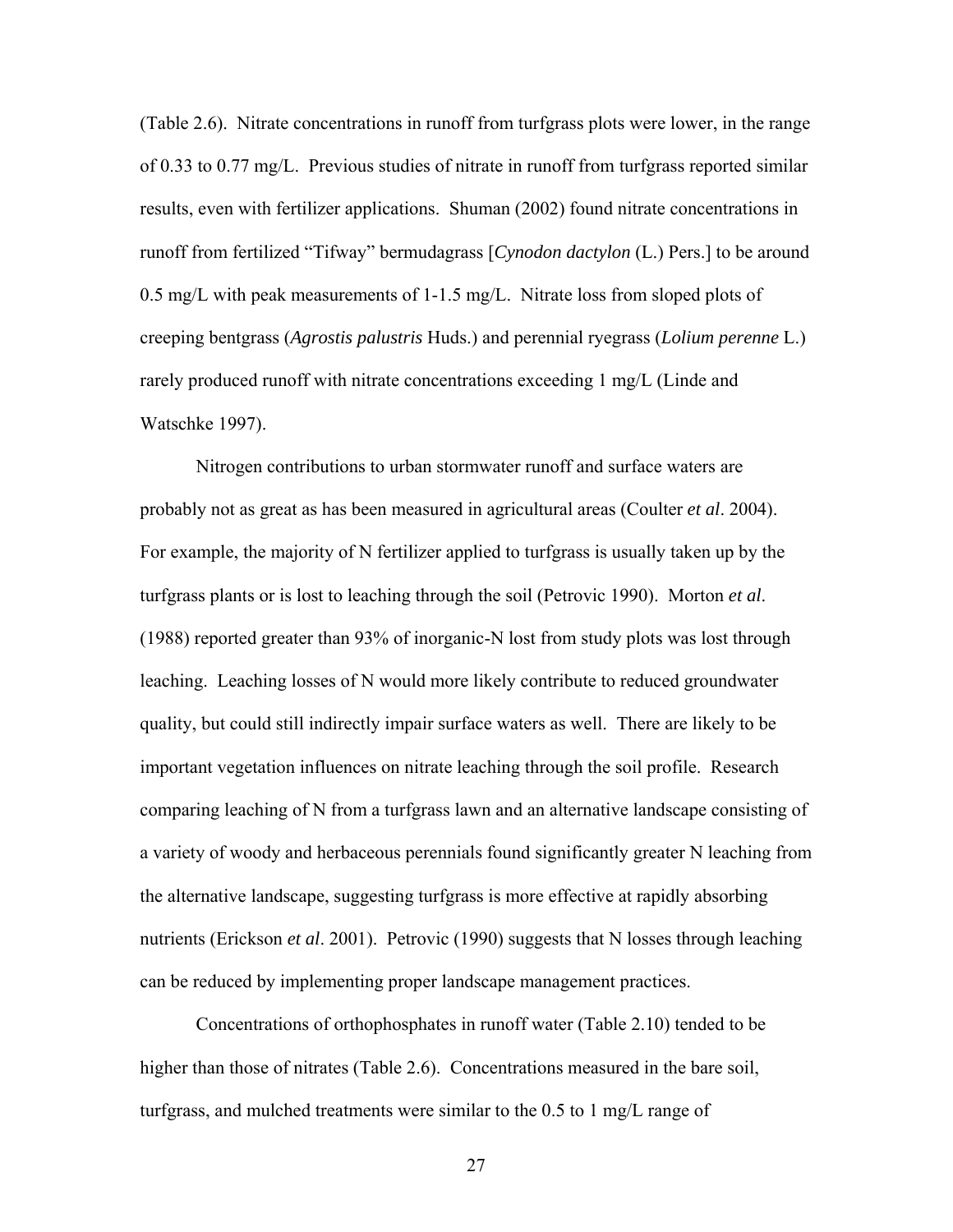(Table 2.6). Nitrate concentrations in runoff from turfgrass plots were lower, in the range of 0.33 to 0.77 mg/L. Previous studies of nitrate in runoff from turfgrass reported similar results, even with fertilizer applications. Shuman (2002) found nitrate concentrations in runoff from fertilized "Tifway" bermudagrass [*Cynodon dactylon* (L.) Pers.] to be around 0.5 mg/L with peak measurements of 1-1.5 mg/L. Nitrate loss from sloped plots of creeping bentgrass (*Agrostis palustris* Huds.) and perennial ryegrass (*Lolium perenne* L.) rarely produced runoff with nitrate concentrations exceeding 1 mg/L (Linde and Watschke 1997).

Nitrogen contributions to urban stormwater runoff and surface waters are probably not as great as has been measured in agricultural areas (Coulter *et al*. 2004). For example, the majority of N fertilizer applied to turfgrass is usually taken up by the turfgrass plants or is lost to leaching through the soil (Petrovic 1990). Morton *et al*. (1988) reported greater than 93% of inorganic-N lost from study plots was lost through leaching. Leaching losses of N would more likely contribute to reduced groundwater quality, but could still indirectly impair surface waters as well. There are likely to be important vegetation influences on nitrate leaching through the soil profile. Research comparing leaching of N from a turfgrass lawn and an alternative landscape consisting of a variety of woody and herbaceous perennials found significantly greater N leaching from the alternative landscape, suggesting turfgrass is more effective at rapidly absorbing nutrients (Erickson *et al*. 2001). Petrovic (1990) suggests that N losses through leaching can be reduced by implementing proper landscape management practices.

Concentrations of orthophosphates in runoff water (Table 2.10) tended to be higher than those of nitrates (Table 2.6). Concentrations measured in the bare soil, turfgrass, and mulched treatments were similar to the 0.5 to 1 mg/L range of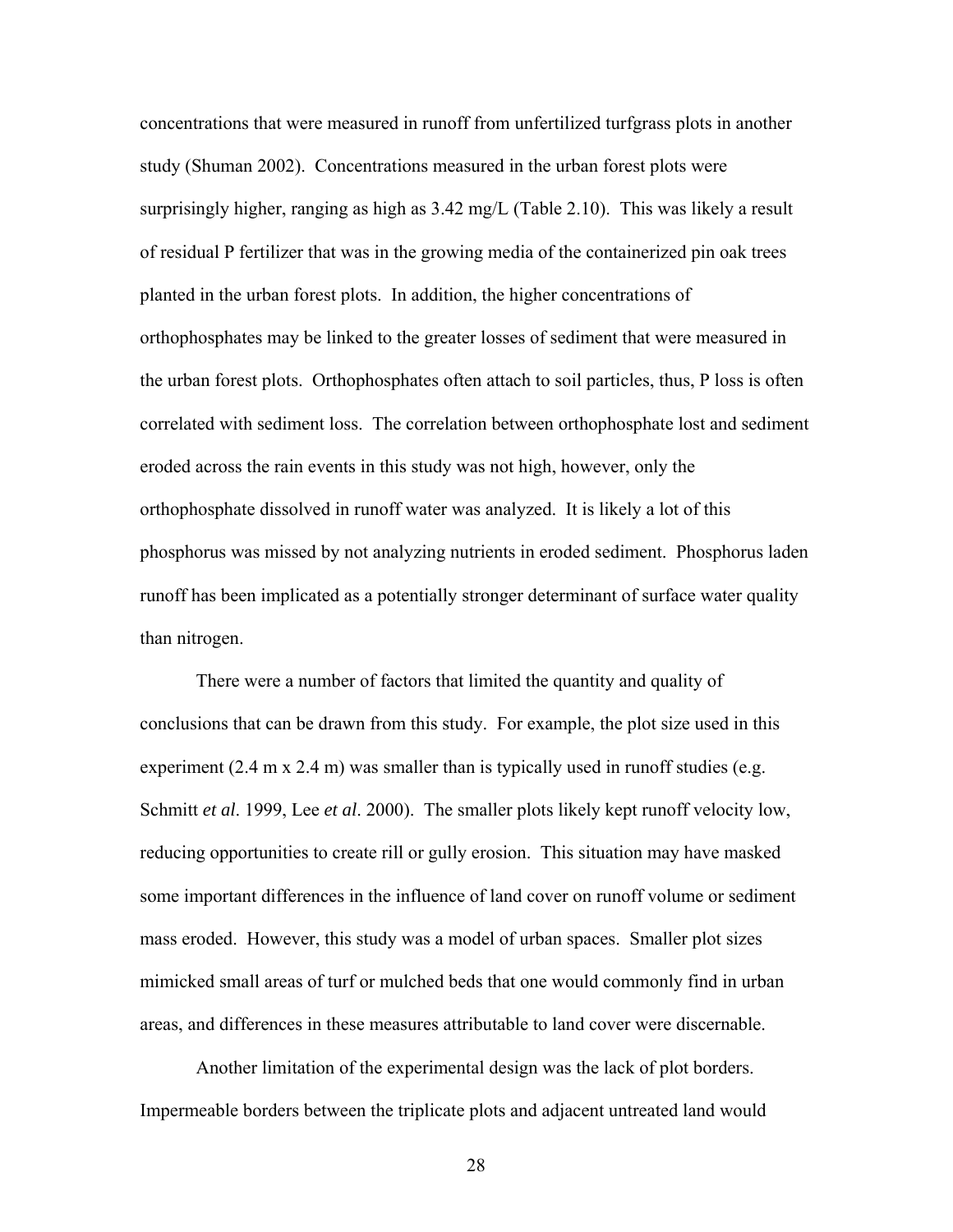concentrations that were measured in runoff from unfertilized turfgrass plots in another study (Shuman 2002). Concentrations measured in the urban forest plots were surprisingly higher, ranging as high as 3.42 mg/L (Table 2.10). This was likely a result of residual P fertilizer that was in the growing media of the containerized pin oak trees planted in the urban forest plots. In addition, the higher concentrations of orthophosphates may be linked to the greater losses of sediment that were measured in the urban forest plots. Orthophosphates often attach to soil particles, thus, P loss is often correlated with sediment loss. The correlation between orthophosphate lost and sediment eroded across the rain events in this study was not high, however, only the orthophosphate dissolved in runoff water was analyzed. It is likely a lot of this phosphorus was missed by not analyzing nutrients in eroded sediment. Phosphorus laden runoff has been implicated as a potentially stronger determinant of surface water quality than nitrogen.

There were a number of factors that limited the quantity and quality of conclusions that can be drawn from this study. For example, the plot size used in this experiment  $(2.4 \text{ m} \times 2.4 \text{ m})$  was smaller than is typically used in runoff studies (e.g. Schmitt *et al*. 1999, Lee *et al*. 2000). The smaller plots likely kept runoff velocity low, reducing opportunities to create rill or gully erosion. This situation may have masked some important differences in the influence of land cover on runoff volume or sediment mass eroded. However, this study was a model of urban spaces. Smaller plot sizes mimicked small areas of turf or mulched beds that one would commonly find in urban areas, and differences in these measures attributable to land cover were discernable.

Another limitation of the experimental design was the lack of plot borders. Impermeable borders between the triplicate plots and adjacent untreated land would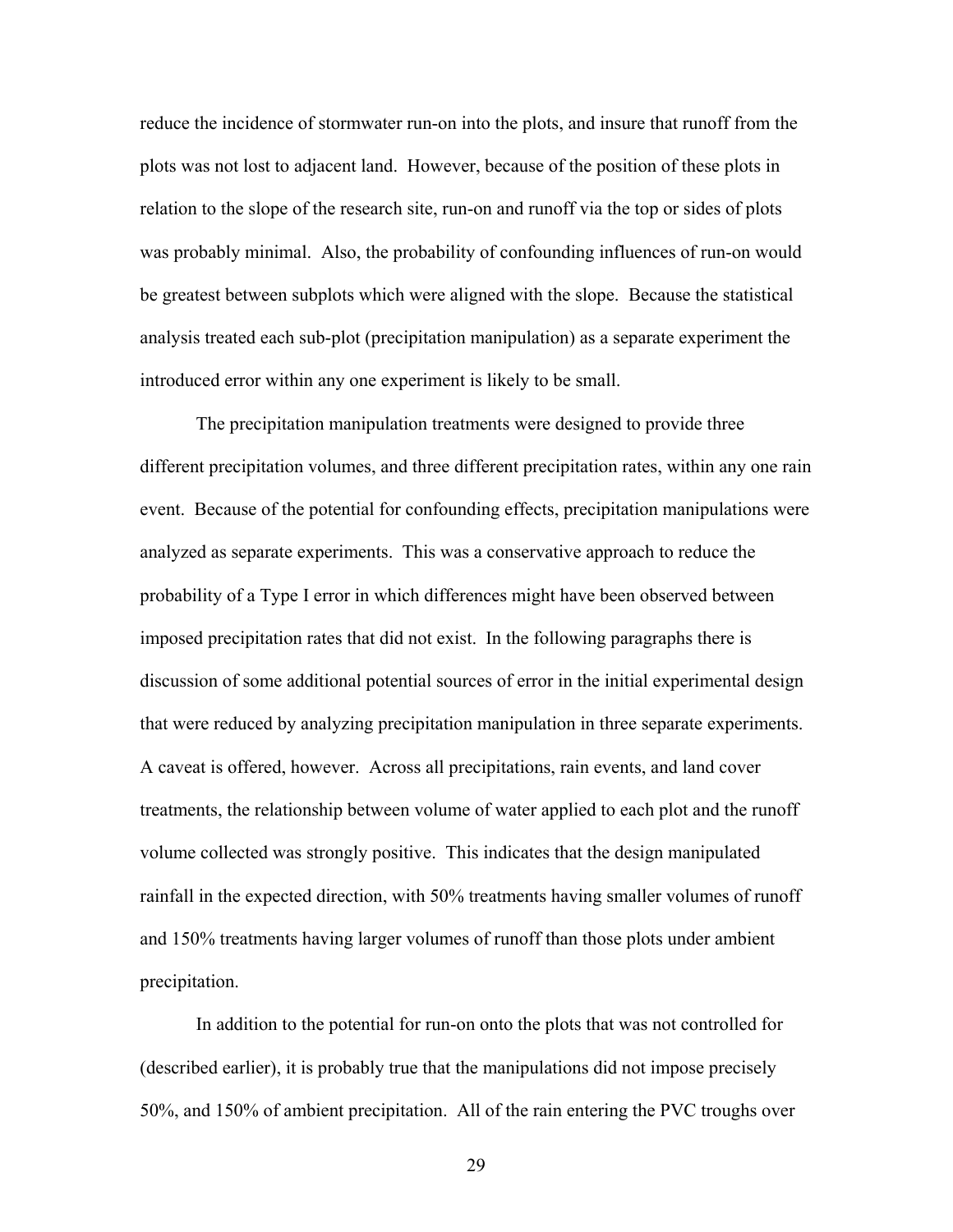reduce the incidence of stormwater run-on into the plots, and insure that runoff from the plots was not lost to adjacent land. However, because of the position of these plots in relation to the slope of the research site, run-on and runoff via the top or sides of plots was probably minimal. Also, the probability of confounding influences of run-on would be greatest between subplots which were aligned with the slope. Because the statistical analysis treated each sub-plot (precipitation manipulation) as a separate experiment the introduced error within any one experiment is likely to be small.

 The precipitation manipulation treatments were designed to provide three different precipitation volumes, and three different precipitation rates, within any one rain event. Because of the potential for confounding effects, precipitation manipulations were analyzed as separate experiments. This was a conservative approach to reduce the probability of a Type I error in which differences might have been observed between imposed precipitation rates that did not exist. In the following paragraphs there is discussion of some additional potential sources of error in the initial experimental design that were reduced by analyzing precipitation manipulation in three separate experiments. A caveat is offered, however. Across all precipitations, rain events, and land cover treatments, the relationship between volume of water applied to each plot and the runoff volume collected was strongly positive. This indicates that the design manipulated rainfall in the expected direction, with 50% treatments having smaller volumes of runoff and 150% treatments having larger volumes of runoff than those plots under ambient precipitation.

In addition to the potential for run-on onto the plots that was not controlled for (described earlier), it is probably true that the manipulations did not impose precisely 50%, and 150% of ambient precipitation. All of the rain entering the PVC troughs over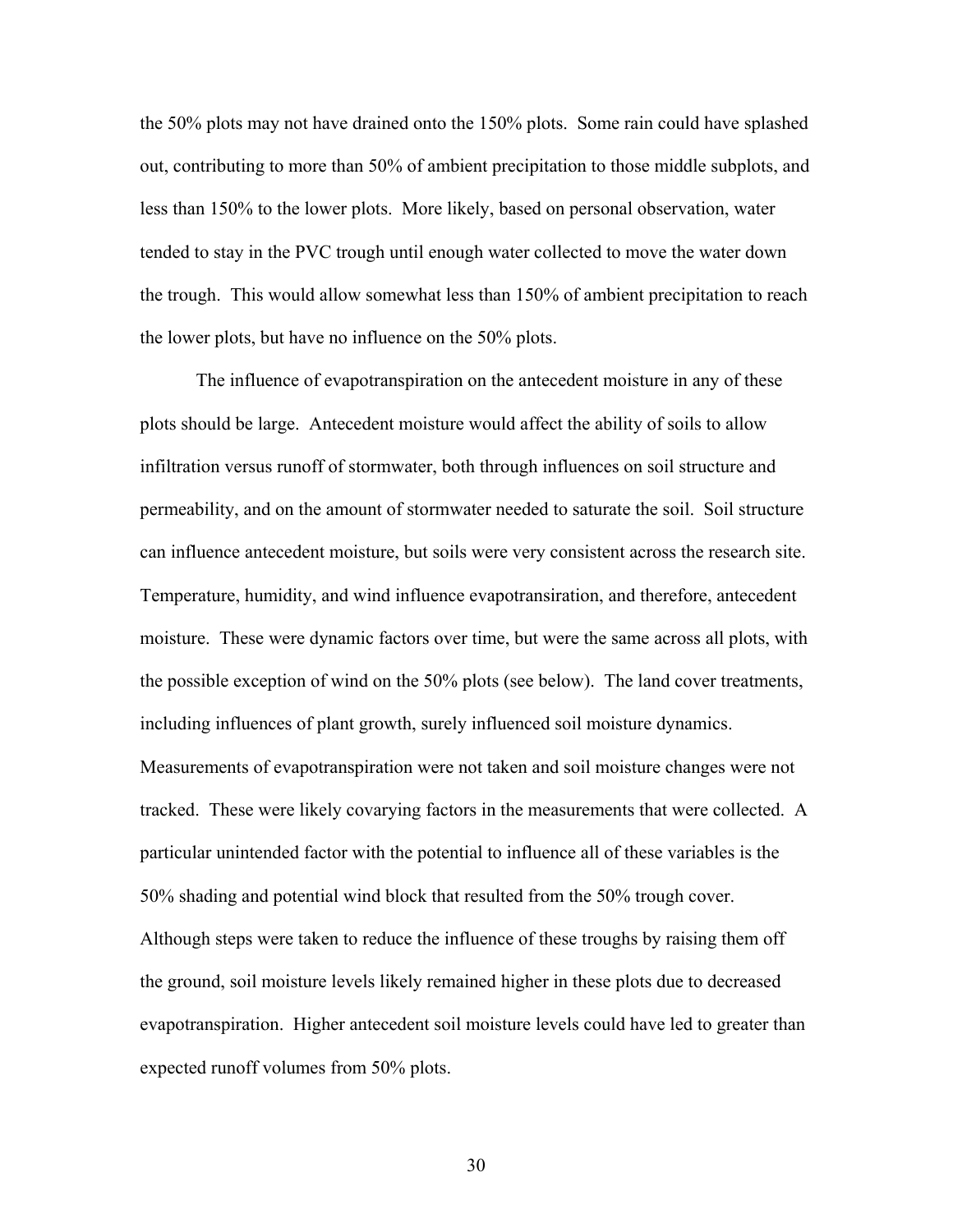the 50% plots may not have drained onto the 150% plots. Some rain could have splashed out, contributing to more than 50% of ambient precipitation to those middle subplots, and less than 150% to the lower plots. More likely, based on personal observation, water tended to stay in the PVC trough until enough water collected to move the water down the trough. This would allow somewhat less than 150% of ambient precipitation to reach the lower plots, but have no influence on the 50% plots.

 The influence of evapotranspiration on the antecedent moisture in any of these plots should be large. Antecedent moisture would affect the ability of soils to allow infiltration versus runoff of stormwater, both through influences on soil structure and permeability, and on the amount of stormwater needed to saturate the soil. Soil structure can influence antecedent moisture, but soils were very consistent across the research site. Temperature, humidity, and wind influence evapotransiration, and therefore, antecedent moisture. These were dynamic factors over time, but were the same across all plots, with the possible exception of wind on the 50% plots (see below). The land cover treatments, including influences of plant growth, surely influenced soil moisture dynamics. Measurements of evapotranspiration were not taken and soil moisture changes were not tracked. These were likely covarying factors in the measurements that were collected. A particular unintended factor with the potential to influence all of these variables is the 50% shading and potential wind block that resulted from the 50% trough cover. Although steps were taken to reduce the influence of these troughs by raising them off the ground, soil moisture levels likely remained higher in these plots due to decreased evapotranspiration. Higher antecedent soil moisture levels could have led to greater than expected runoff volumes from 50% plots.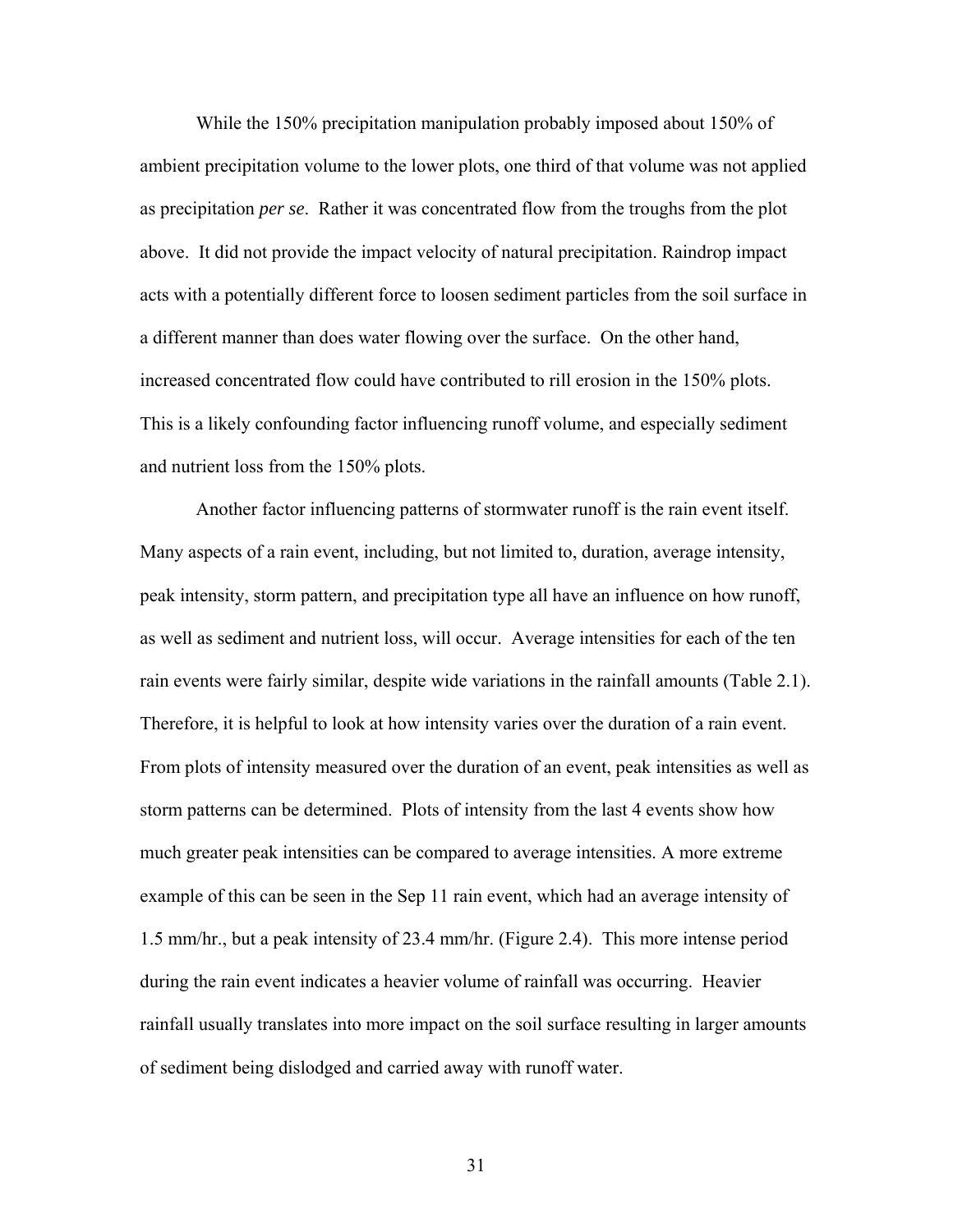While the 150% precipitation manipulation probably imposed about 150% of ambient precipitation volume to the lower plots, one third of that volume was not applied as precipitation *per se*. Rather it was concentrated flow from the troughs from the plot above. It did not provide the impact velocity of natural precipitation. Raindrop impact acts with a potentially different force to loosen sediment particles from the soil surface in a different manner than does water flowing over the surface. On the other hand, increased concentrated flow could have contributed to rill erosion in the 150% plots. This is a likely confounding factor influencing runoff volume, and especially sediment and nutrient loss from the 150% plots.

Another factor influencing patterns of stormwater runoff is the rain event itself. Many aspects of a rain event, including, but not limited to, duration, average intensity, peak intensity, storm pattern, and precipitation type all have an influence on how runoff, as well as sediment and nutrient loss, will occur. Average intensities for each of the ten rain events were fairly similar, despite wide variations in the rainfall amounts (Table 2.1). Therefore, it is helpful to look at how intensity varies over the duration of a rain event. From plots of intensity measured over the duration of an event, peak intensities as well as storm patterns can be determined. Plots of intensity from the last 4 events show how much greater peak intensities can be compared to average intensities. A more extreme example of this can be seen in the Sep 11 rain event, which had an average intensity of 1.5 mm/hr., but a peak intensity of 23.4 mm/hr. (Figure 2.4). This more intense period during the rain event indicates a heavier volume of rainfall was occurring. Heavier rainfall usually translates into more impact on the soil surface resulting in larger amounts of sediment being dislodged and carried away with runoff water.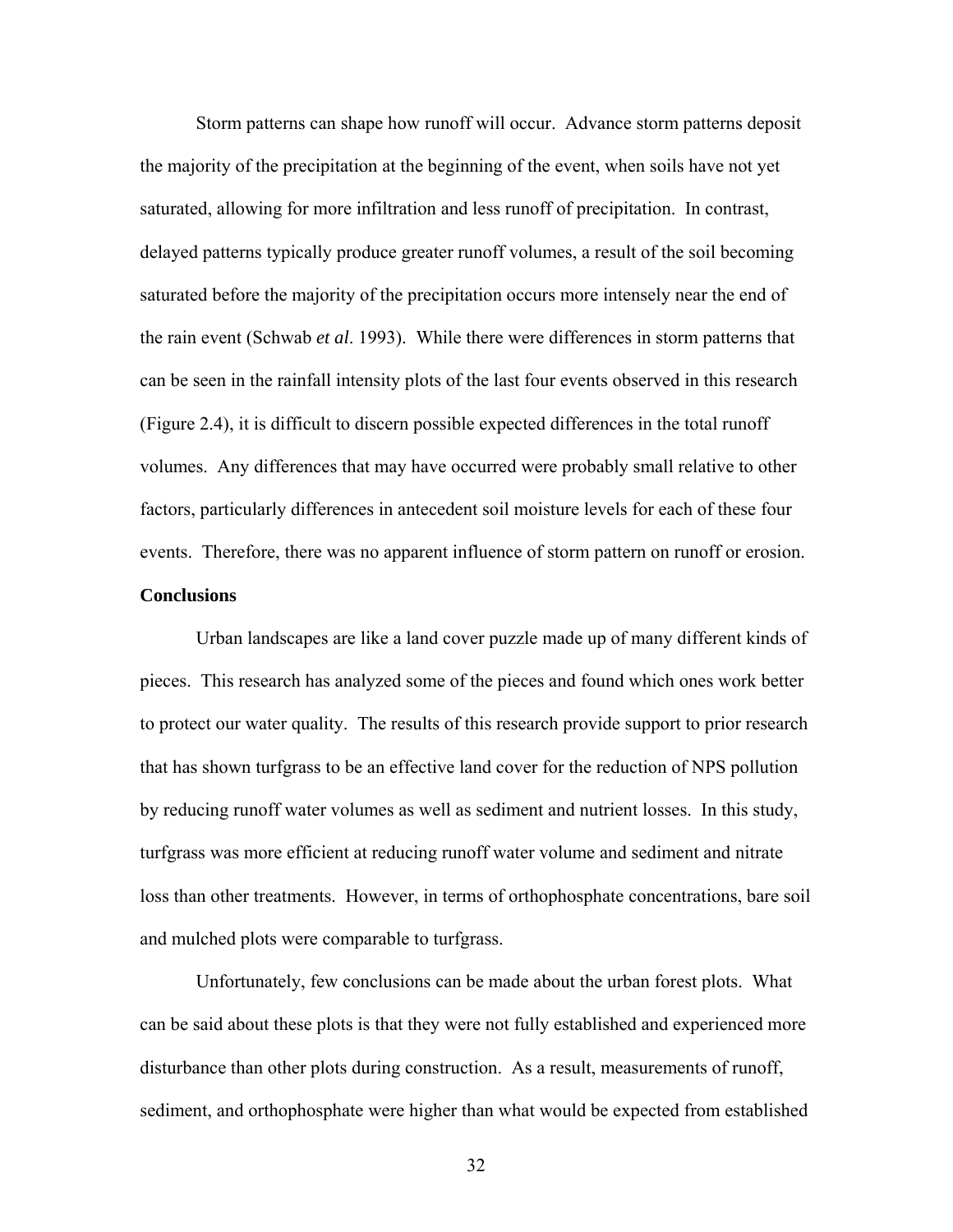Storm patterns can shape how runoff will occur. Advance storm patterns deposit the majority of the precipitation at the beginning of the event, when soils have not yet saturated, allowing for more infiltration and less runoff of precipitation. In contrast, delayed patterns typically produce greater runoff volumes, a result of the soil becoming saturated before the majority of the precipitation occurs more intensely near the end of the rain event (Schwab *et al*. 1993). While there were differences in storm patterns that can be seen in the rainfall intensity plots of the last four events observed in this research (Figure 2.4), it is difficult to discern possible expected differences in the total runoff volumes. Any differences that may have occurred were probably small relative to other factors, particularly differences in antecedent soil moisture levels for each of these four events. Therefore, there was no apparent influence of storm pattern on runoff or erosion. **Conclusions** 

 Urban landscapes are like a land cover puzzle made up of many different kinds of pieces. This research has analyzed some of the pieces and found which ones work better to protect our water quality. The results of this research provide support to prior research that has shown turfgrass to be an effective land cover for the reduction of NPS pollution by reducing runoff water volumes as well as sediment and nutrient losses. In this study, turfgrass was more efficient at reducing runoff water volume and sediment and nitrate loss than other treatments. However, in terms of orthophosphate concentrations, bare soil and mulched plots were comparable to turfgrass.

 Unfortunately, few conclusions can be made about the urban forest plots. What can be said about these plots is that they were not fully established and experienced more disturbance than other plots during construction. As a result, measurements of runoff, sediment, and orthophosphate were higher than what would be expected from established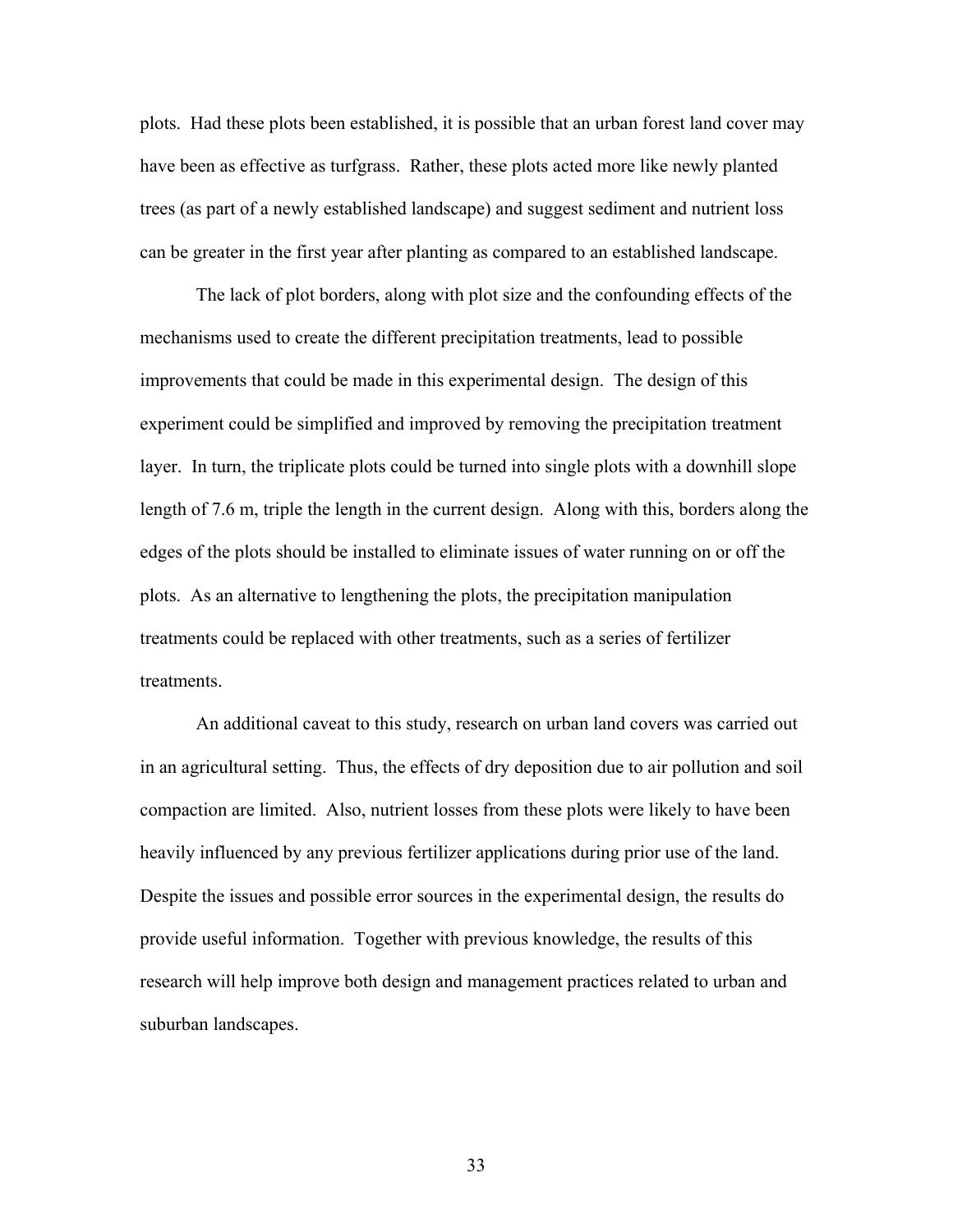plots. Had these plots been established, it is possible that an urban forest land cover may have been as effective as turfgrass. Rather, these plots acted more like newly planted trees (as part of a newly established landscape) and suggest sediment and nutrient loss can be greater in the first year after planting as compared to an established landscape.

The lack of plot borders, along with plot size and the confounding effects of the mechanisms used to create the different precipitation treatments, lead to possible improvements that could be made in this experimental design. The design of this experiment could be simplified and improved by removing the precipitation treatment layer. In turn, the triplicate plots could be turned into single plots with a downhill slope length of 7.6 m, triple the length in the current design. Along with this, borders along the edges of the plots should be installed to eliminate issues of water running on or off the plots. As an alternative to lengthening the plots, the precipitation manipulation treatments could be replaced with other treatments, such as a series of fertilizer treatments.

 An additional caveat to this study, research on urban land covers was carried out in an agricultural setting. Thus, the effects of dry deposition due to air pollution and soil compaction are limited. Also, nutrient losses from these plots were likely to have been heavily influenced by any previous fertilizer applications during prior use of the land. Despite the issues and possible error sources in the experimental design, the results do provide useful information. Together with previous knowledge, the results of this research will help improve both design and management practices related to urban and suburban landscapes.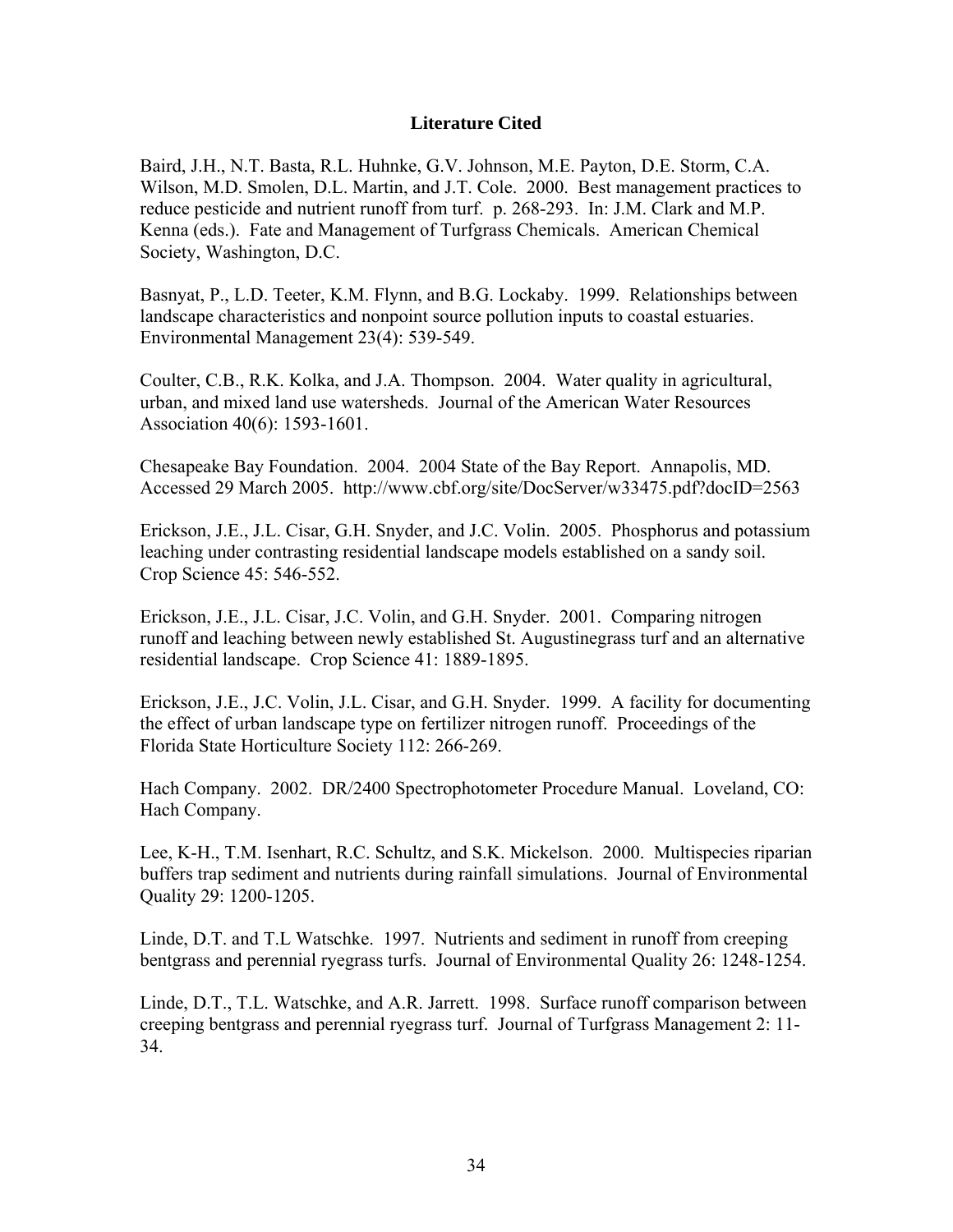### **Literature Cited**

Baird, J.H., N.T. Basta, R.L. Huhnke, G.V. Johnson, M.E. Payton, D.E. Storm, C.A. Wilson, M.D. Smolen, D.L. Martin, and J.T. Cole. 2000. Best management practices to reduce pesticide and nutrient runoff from turf. p. 268-293. In: J.M. Clark and M.P. Kenna (eds.). Fate and Management of Turfgrass Chemicals. American Chemical Society, Washington, D.C.

Basnyat, P., L.D. Teeter, K.M. Flynn, and B.G. Lockaby. 1999. Relationships between landscape characteristics and nonpoint source pollution inputs to coastal estuaries. Environmental Management 23(4): 539-549.

Coulter, C.B., R.K. Kolka, and J.A. Thompson. 2004. Water quality in agricultural, urban, and mixed land use watersheds. Journal of the American Water Resources Association 40(6): 1593-1601.

Chesapeake Bay Foundation. 2004. 2004 State of the Bay Report. Annapolis, MD. Accessed 29 March 2005. http://www.cbf.org/site/DocServer/w33475.pdf?docID=2563

Erickson, J.E., J.L. Cisar, G.H. Snyder, and J.C. Volin. 2005. Phosphorus and potassium leaching under contrasting residential landscape models established on a sandy soil. Crop Science 45: 546-552.

Erickson, J.E., J.L. Cisar, J.C. Volin, and G.H. Snyder. 2001. Comparing nitrogen runoff and leaching between newly established St. Augustinegrass turf and an alternative residential landscape. Crop Science 41: 1889-1895.

Erickson, J.E., J.C. Volin, J.L. Cisar, and G.H. Snyder. 1999. A facility for documenting the effect of urban landscape type on fertilizer nitrogen runoff. Proceedings of the Florida State Horticulture Society 112: 266-269.

Hach Company. 2002. DR/2400 Spectrophotometer Procedure Manual. Loveland, CO: Hach Company.

Lee, K-H., T.M. Isenhart, R.C. Schultz, and S.K. Mickelson. 2000. Multispecies riparian buffers trap sediment and nutrients during rainfall simulations. Journal of Environmental Quality 29: 1200-1205.

Linde, D.T. and T.L Watschke. 1997. Nutrients and sediment in runoff from creeping bentgrass and perennial ryegrass turfs. Journal of Environmental Quality 26: 1248-1254.

Linde, D.T., T.L. Watschke, and A.R. Jarrett. 1998. Surface runoff comparison between creeping bentgrass and perennial ryegrass turf. Journal of Turfgrass Management 2: 11- 34.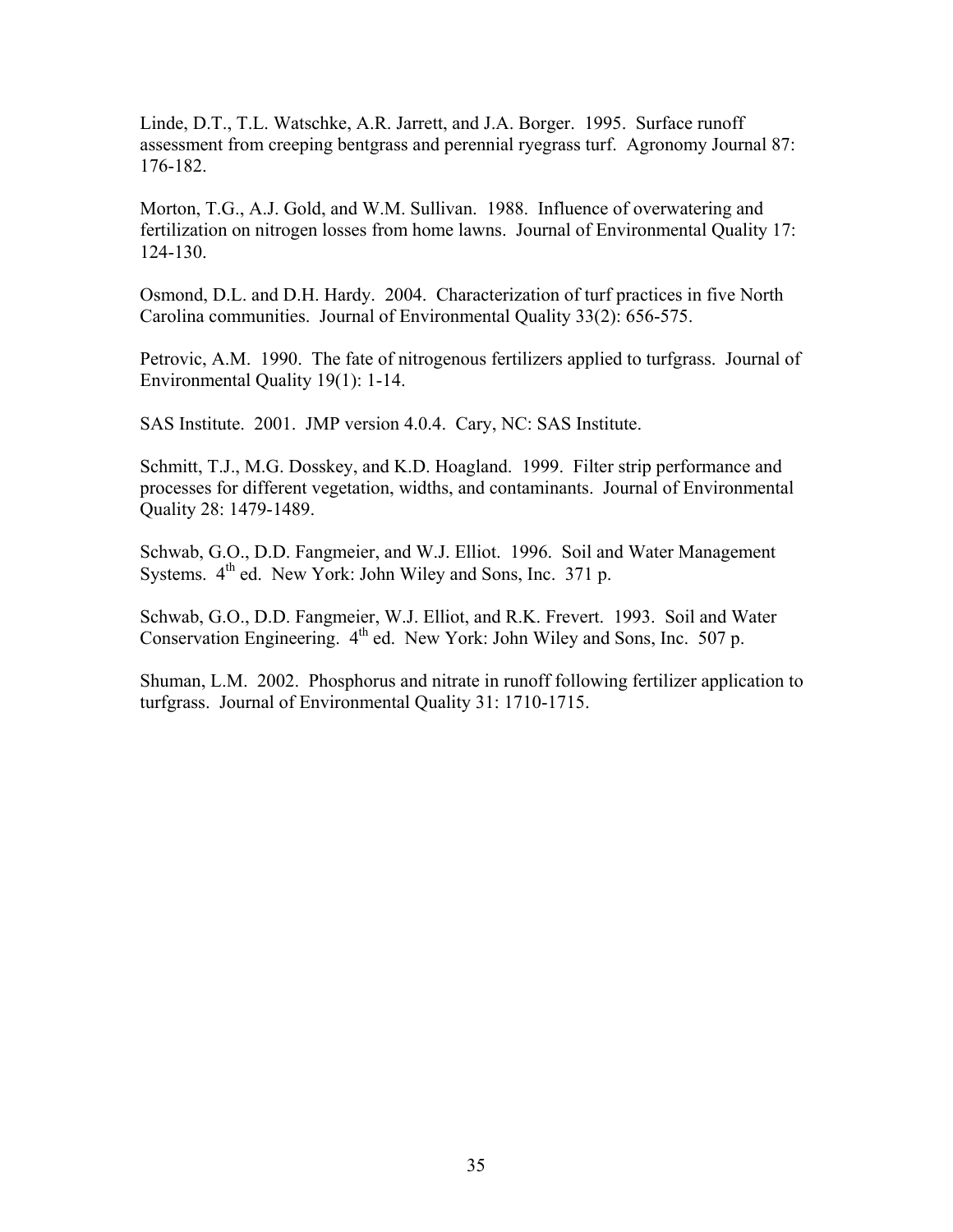Linde, D.T., T.L. Watschke, A.R. Jarrett, and J.A. Borger. 1995. Surface runoff assessment from creeping bentgrass and perennial ryegrass turf. Agronomy Journal 87: 176-182.

Morton, T.G., A.J. Gold, and W.M. Sullivan. 1988. Influence of overwatering and fertilization on nitrogen losses from home lawns. Journal of Environmental Quality 17: 124-130.

Osmond, D.L. and D.H. Hardy. 2004. Characterization of turf practices in five North Carolina communities. Journal of Environmental Quality 33(2): 656-575.

Petrovic, A.M. 1990. The fate of nitrogenous fertilizers applied to turfgrass. Journal of Environmental Quality 19(1): 1-14.

SAS Institute. 2001. JMP version 4.0.4. Cary, NC: SAS Institute.

Schmitt, T.J., M.G. Dosskey, and K.D. Hoagland. 1999. Filter strip performance and processes for different vegetation, widths, and contaminants. Journal of Environmental Quality 28: 1479-1489.

Schwab, G.O., D.D. Fangmeier, and W.J. Elliot. 1996. Soil and Water Management Systems.  $4<sup>th</sup>$  ed. New York: John Wiley and Sons, Inc. 371 p.

Schwab, G.O., D.D. Fangmeier, W.J. Elliot, and R.K. Frevert. 1993. Soil and Water Conservation Engineering. 4<sup>th</sup> ed. New York: John Wiley and Sons, Inc. 507 p.

Shuman, L.M. 2002. Phosphorus and nitrate in runoff following fertilizer application to turfgrass. Journal of Environmental Quality 31: 1710-1715.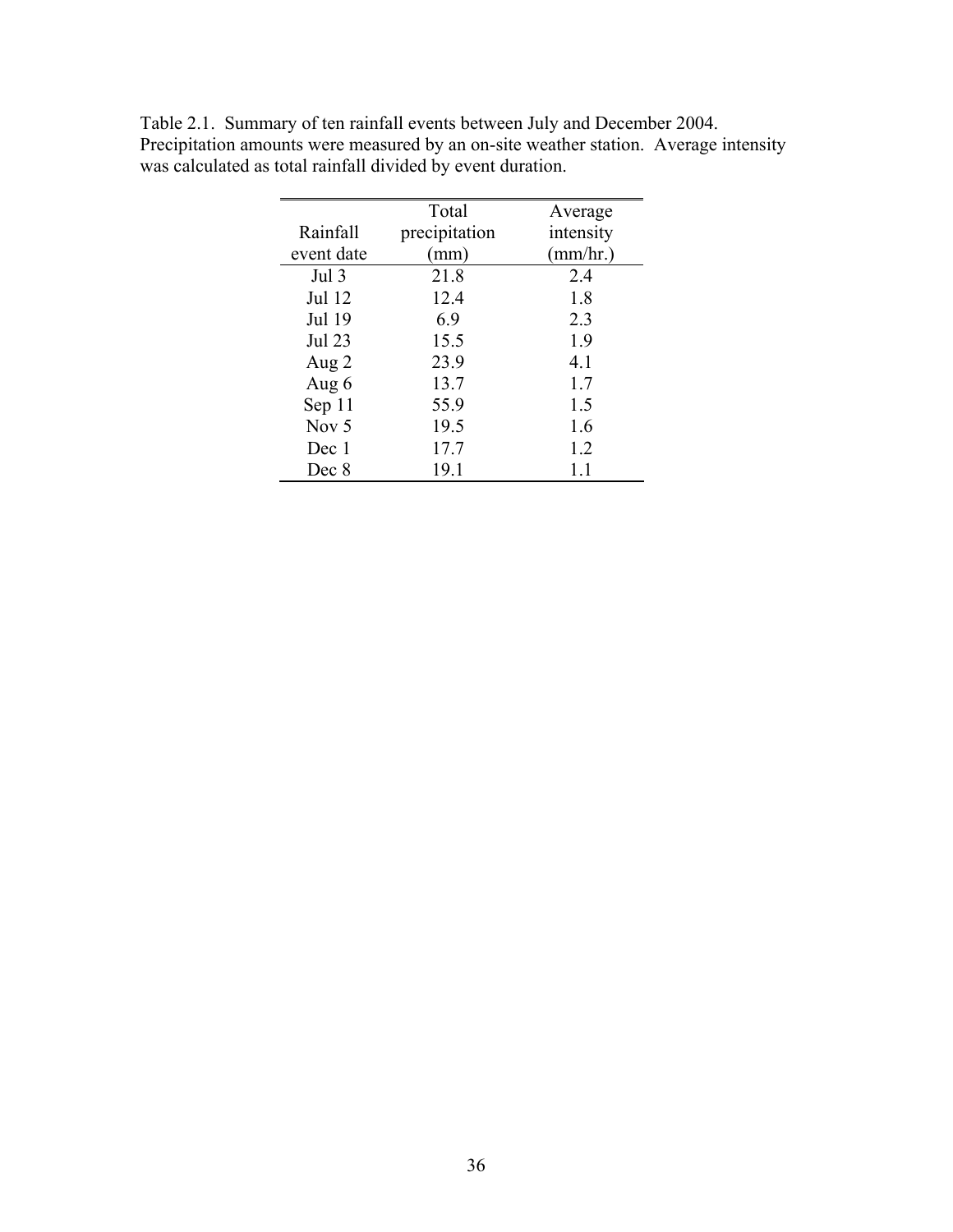|               | Total         | Average   |
|---------------|---------------|-----------|
| Rainfall      | precipitation | intensity |
| event date    | (mm)          | (mm/hr.)  |
| Jul 3         | 21.8          | 2.4       |
| Jul 12        | 12.4          | 1.8       |
| Jul 19        | 6.9           | 2.3       |
| <b>Jul 23</b> | 15.5          | 1.9       |
| Aug 2         | 23.9          | 4.1       |
| Aug 6         | 13.7          | 1.7       |
| Sep 11        | 55.9          | 1.5       |
| Nov $5$       | 19.5          | 1.6       |
| Dec 1         | 17.7          | 1.2       |
| Dec 8         | 19.1          |           |

Table 2.1. Summary of ten rainfall events between July and December 2004. Precipitation amounts were measured by an on-site weather station. Average intensity was calculated as total rainfall divided by event duration.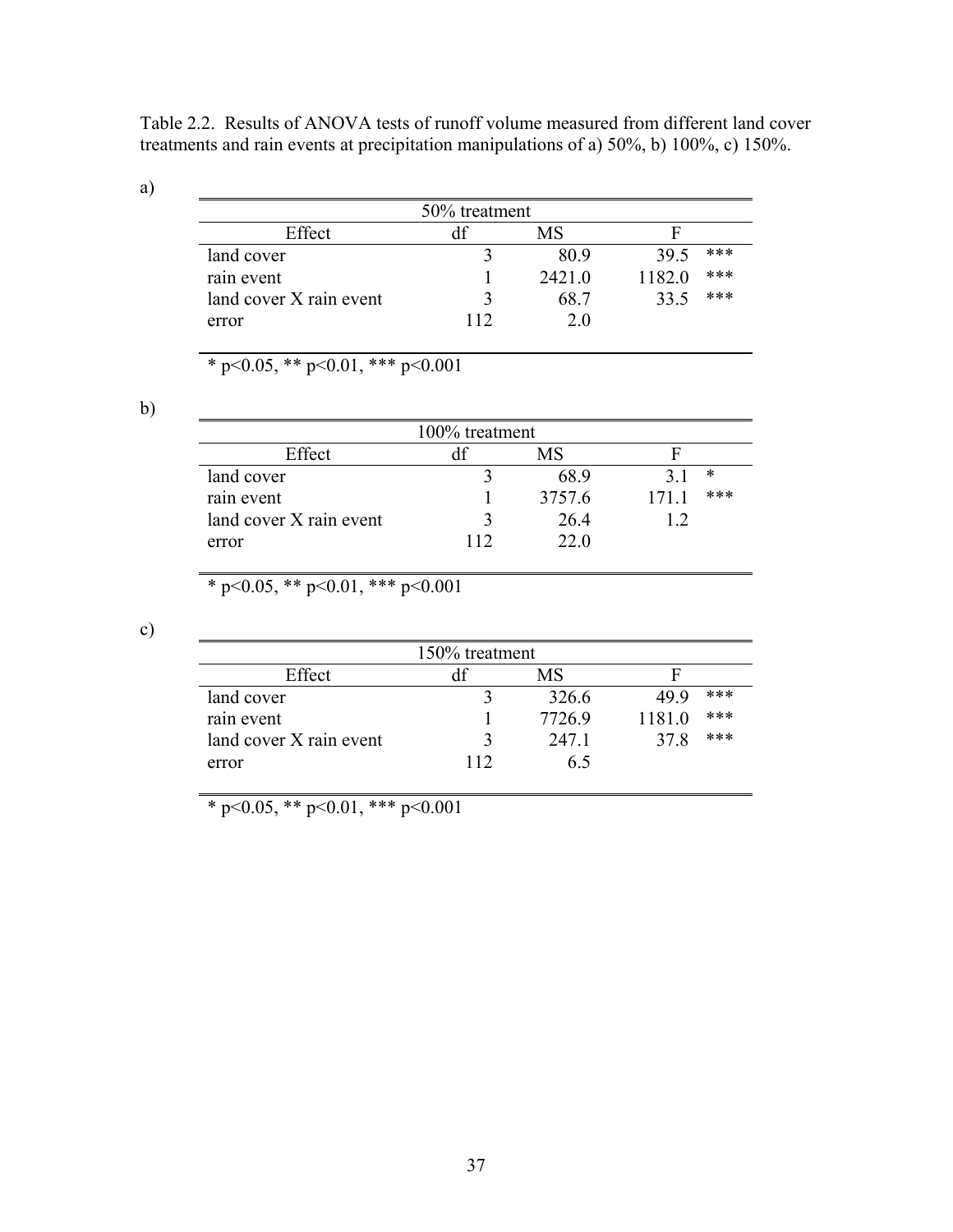Table 2.2. Results of ANOVA tests of runoff volume measured from different land cover treatments and rain events at precipitation manipulations of a) 50%, b) 100%, c) 150%.

a)

|                         | 50% treatment |        |        |     |
|-------------------------|---------------|--------|--------|-----|
| Effect                  |               | МS     |        |     |
| land cover              |               | 80.9   | 39.5   | *** |
| rain event              |               | 2421.0 | 1182.0 | *** |
| land cover X rain event |               | 68.7   | 33.5   | *** |
| error                   | 112           | 20     |        |     |

\* p<0.05, \*\* p<0.01, \*\*\* p<0.001

b)

| 100% treatment          |  |        |                |  |  |  |
|-------------------------|--|--------|----------------|--|--|--|
| Effect                  |  | MS     |                |  |  |  |
| land cover              |  | 689    | ∗              |  |  |  |
| rain event              |  | 3757.6 | ***<br>$171 -$ |  |  |  |
| land cover X rain event |  | 26.4   |                |  |  |  |
| error                   |  | 22 O   |                |  |  |  |

\* p<0.05, \*\* p<0.01, \*\*\* p<0.001

c)

| 150% treatment          |     |        |        |     |  |  |
|-------------------------|-----|--------|--------|-----|--|--|
| Effect                  |     | МS     |        |     |  |  |
| land cover              |     | 326.6  | 49 9   | *** |  |  |
| rain event              |     | 7726.9 | 1181.0 | *** |  |  |
| land cover X rain event |     | 247.1  | 37.8   | *** |  |  |
| error                   | 112 | 6 5    |        |     |  |  |

\* p<0.05, \*\* p<0.01, \*\*\* p<0.001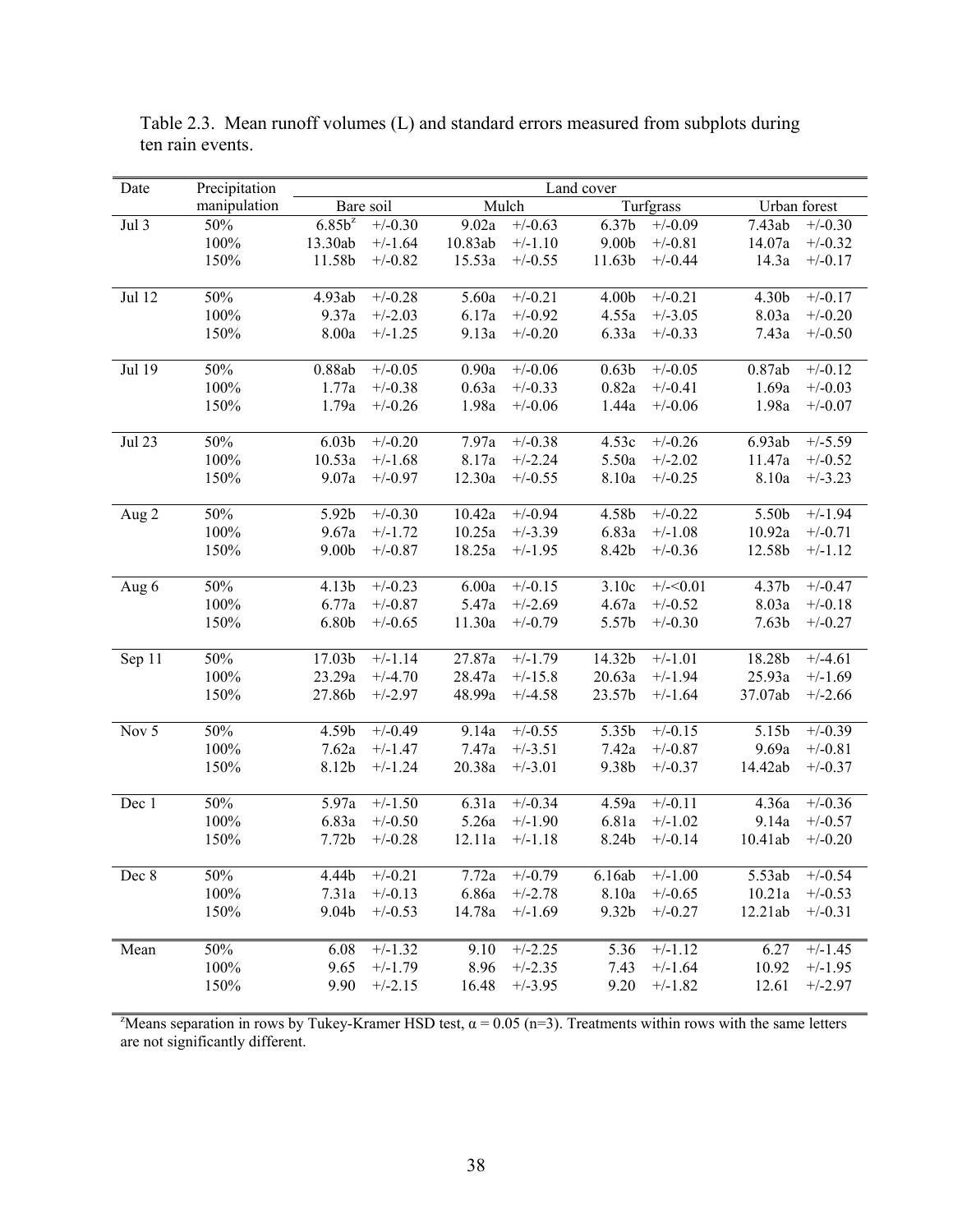| Date        | Precipitation | Land cover        |           |         |                      |                   |           |                   |              |
|-------------|---------------|-------------------|-----------|---------|----------------------|-------------------|-----------|-------------------|--------------|
|             | manipulation  |                   | Bare soil |         | Mulch                |                   | Turfgrass |                   | Urban forest |
| Jul 3       | 50%           | $6.85b^z$         | $+/-0.30$ | 9.02a   | $+/-0.63$            | 6.37b             | $+/-0.09$ | 7.43ab            | $+/-0.30$    |
|             | 100%          | 13.30ab           | $+/-1.64$ | 10.83ab | $+/-1.10$            | 9.00 <sub>b</sub> | $+/-0.81$ | 14.07a            | $+/-0.32$    |
|             | 150%          | 11.58b            | $+/-0.82$ | 15.53a  | $+/-0.55$            | 11.63b            | $+/-0.44$ | 14.3a             | $+/-0.17$    |
|             |               |                   |           |         |                      |                   |           |                   |              |
| Jul 12      | 50%           | 4.93ab            | $+/-0.28$ | 5.60a   | $\frac{1}{+}$ /-0.21 | 4.00b             | $+/-0.21$ | 4.30b             | $+/-0.17$    |
|             | 100%          | 9.37a             | $+/-2.03$ | 6.17a   | $+/-0.92$            | 4.55a             | $+/-3.05$ | 8.03a             | $+/-0.20$    |
|             | 150%          | 8.00a             | $+/-1.25$ | 9.13a   | $+/-0.20$            | 6.33a             | $+/-0.33$ | 7.43a             | $+/-0.50$    |
|             |               |                   |           |         |                      |                   |           |                   |              |
| Jul 19      | 50%           | 0.88ab            | $+/-0.05$ | 0.90a   | $+/-0.06$            | 0.63 <sub>b</sub> | $+/-0.05$ | 0.87ab            | $+/-0.12$    |
|             | 100%          | 1.77a             | $+/-0.38$ | 0.63a   | $+/-0.33$            | 0.82a             | $+/-0.41$ | 1.69a             | $+/-0.03$    |
|             | 150%          | 1.79a             | $+/-0.26$ | 1.98a   | $+/-0.06$            | 1.44a             | $+/-0.06$ | 1.98a             | $+/-0.07$    |
|             |               |                   |           |         |                      |                   |           |                   |              |
| Jul 23      | 50%           | 6.03 <sub>b</sub> | $+/-0.20$ | 7.97a   | $+/-0.38$            | 4.53c             | $+/-0.26$ | 6.93ab            | $+/-5.59$    |
|             | 100%          | 10.53a            | $+/-1.68$ | 8.17a   | $+/-2.24$            | 5.50a             | $+/-2.02$ | 11.47a            | $+/-0.52$    |
|             | 150%          | 9.07a             | $+/-0.97$ | 12.30a  | $+/-0.55$            | 8.10a             | $+/-0.25$ | 8.10a             | $+/-3.23$    |
|             |               |                   |           |         |                      |                   |           |                   |              |
| Aug 2       | 50%           | 5.92b             | $+/-0.30$ | 10.42a  | $+/-0.94$            | 4.58b             | $+/-0.22$ | 5.50b             | $+/-1.94$    |
|             | 100%          | 9.67a             | $+/-1.72$ | 10.25a  | $+/-3.39$            | 6.83a             | $+/-1.08$ | 10.92a            | $+/-0.71$    |
|             | 150%          | 9.00 <sub>b</sub> | $+/-0.87$ | 18.25a  | $+/-1.95$            | 8.42b             | $+/-0.36$ | 12.58b            | $+/-1.12$    |
|             |               |                   |           |         |                      |                   |           |                   |              |
| Aug 6       | 50%           | 4.13b             | $+/-0.23$ | 6.00a   | $+/-0.15$            | 3.10c             | $+/-0.01$ | 4.37b             | $+/-0.47$    |
|             | 100%          | 6.77a             | $+/-0.87$ | 5.47a   | $+/-2.69$            | 4.67a             | $+/-0.52$ | 8.03a             | $+/-0.18$    |
|             | 150%          | 6.80b             | $+/-0.65$ | 11.30a  | $+/-0.79$            | 5.57b             | $+/-0.30$ | 7.63 <sub>b</sub> | $+/-0.27$    |
|             |               |                   |           |         |                      |                   |           |                   |              |
| Sep 11      | 50%           | 17.03b            | $+/-1.14$ | 27.87a  | $+/-1.79$            | 14.32b            | $+/-1.01$ | 18.28b            | $+/-4.61$    |
|             | 100%          | 23.29a            | $+/-4.70$ | 28.47a  | $+/-15.8$            | 20.63a            | $+/-1.94$ | 25.93a            | $+/-1.69$    |
|             | 150%          | 27.86b            | $+/-2.97$ | 48.99a  | $+/-4.58$            | 23.57b            | $+/-1.64$ | 37.07ab           | $+/-2.66$    |
|             |               |                   |           |         |                      |                   |           |                   |              |
| Nov 5       | 50%           | 4.59b             | $+/-0.49$ | 9.14a   | $\overline{+/0.55}$  | 5.35b             | $+/-0.15$ | 5.15b             | $+/-0.39$    |
|             | 100%          | 7.62a             | $+/-1.47$ | 7.47a   | $+/-3.51$            | 7.42a             | $+/-0.87$ | 9.69a             | $+/-0.81$    |
|             | 150%          | 8.12b             | $+/-1.24$ | 20.38a  | $+/-3.01$            | 9.38b             | $+/-0.37$ | 14.42ab           | $+/-0.37$    |
|             |               |                   |           |         |                      |                   |           |                   |              |
| Dec 1       | 50%           | 5.97a             | $+/-1.50$ | 6.31a   | $+/-0.34$            | 4.59a             | $+/-0.11$ | 4.36a             | $+/-0.36$    |
|             | 100%          | 6.83a             | $+/-0.50$ | 5.26a   | $+/-1.90$            | 6.81a             | $+/-1.02$ | 9.14a             | $+/-0.57$    |
|             | 150%          | 7.72 <sub>b</sub> | $+/-0.28$ | 12.11a  | $+/-1.18$            | 8.24b             | $+/-0.14$ | 10.41ab           | $+/-0.20$    |
|             |               |                   |           |         |                      |                   |           |                   |              |
| $\rm Dec~8$ | 50%           | 4.44b             | $+/-0.21$ | 7.72a   | $+/-0.79$            | 6.16ab            | $+/-1.00$ | 5.53ab            | $+/-0.54$    |
|             | 100%          | 7.31a             | $+/-0.13$ | 6.86a   | $+/-2.78$            | 8.10a             | $+/-0.65$ | 10.21a            | $+/-0.53$    |
|             | 150%          | 9.04b             | $+/-0.53$ | 14.78a  | $+/-1.69$            | 9.32b             | $+/-0.27$ | 12.21ab           | $+/-0.31$    |
|             |               |                   |           |         |                      |                   |           |                   |              |
| Mean        | 50%           | 6.08              | $+/-1.32$ | 9.10    | $+/-2.25$            | 5.36              | $+/-1.12$ | 6.27              | $+/-1.45$    |
|             | 100%          | 9.65              | $+/-1.79$ | 8.96    | $+/-2.35$            | 7.43              | $+/-1.64$ | 10.92             | $+/-1.95$    |
|             | 150%          | 9.90              | $+/-2.15$ | 16.48   | $+/-3.95$            | 9.20              | $+/-1.82$ | 12.61             | $+/-2.97$    |

Table 2.3. Mean runoff volumes (L) and standard errors measured from subplots during ten rain events.

<sup>z</sup>Means separation in rows by Tukey-Kramer HSD test,  $\alpha$  = 0.05 (n=3). Treatments within rows with the same letters are not significantly different.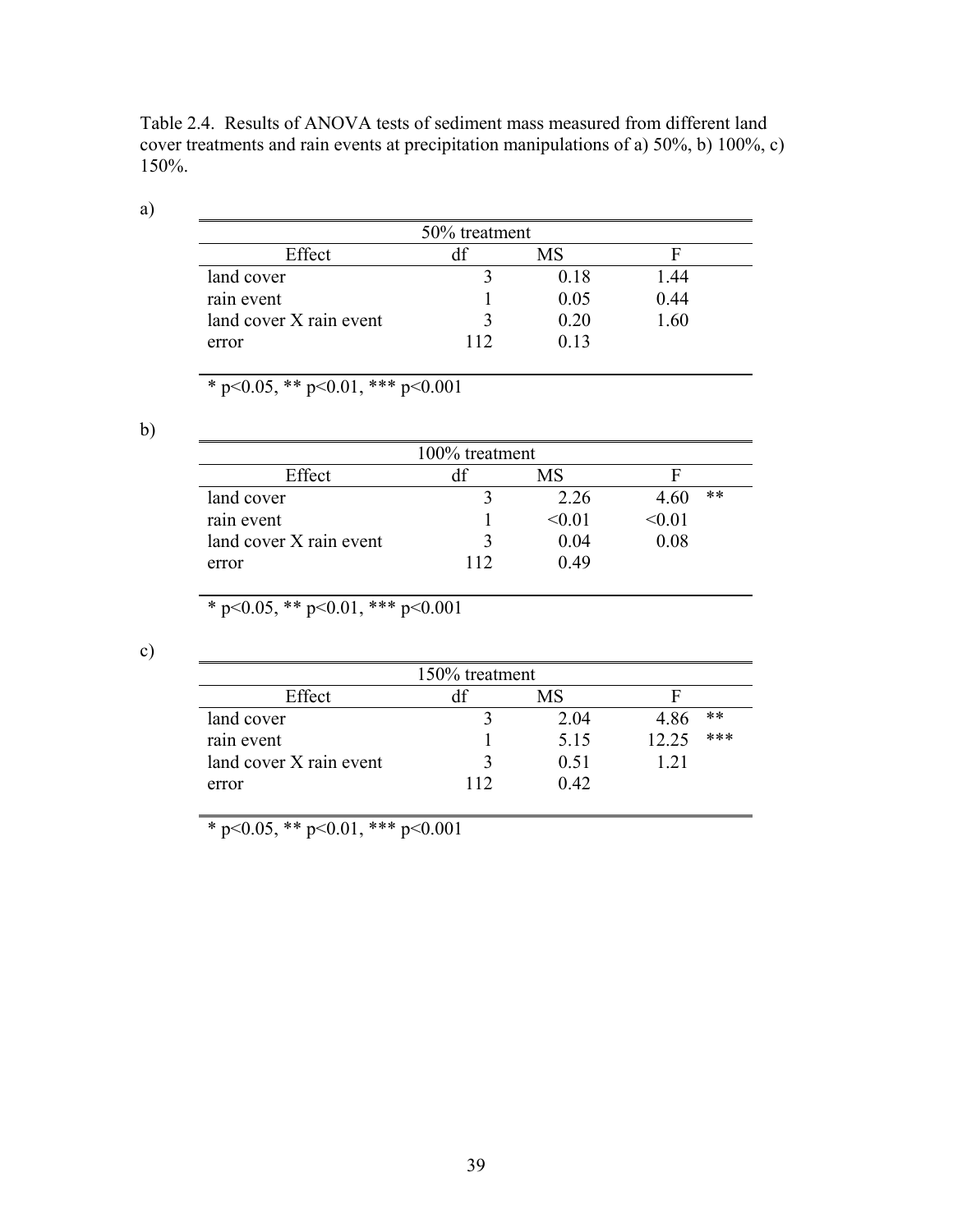Table 2.4. Results of ANOVA tests of sediment mass measured from different land cover treatments and rain events at precipitation manipulations of a) 50%, b) 100%, c) 150%.

a)

|                         | 50% treatment |      |      |
|-------------------------|---------------|------|------|
| Effect                  |               | МS   |      |
| land cover              |               | 0.18 | 1.44 |
| rain event              |               | 0.05 | 0.44 |
| land cover X rain event |               | 020  | 1.60 |
| error                   | 112           | 0.13 |      |

\* p<0.05, \*\* p<0.01, \*\*\* p<0.001

b)

| 100% treatment          |     |        |            |  |  |  |  |
|-------------------------|-----|--------|------------|--|--|--|--|
| Effect                  |     | МS     |            |  |  |  |  |
| land cover              |     | 2 2 6  | **<br>4.60 |  |  |  |  |
| rain event              |     | < 0.01 | < 0.01     |  |  |  |  |
| land cover X rain event |     | 0.04   | 0.08       |  |  |  |  |
| error                   | 112 | 0.49   |            |  |  |  |  |

\* p<0.05, \*\* p<0.01, \*\*\* p<0.001

c)

| 150% treatment          |       |      |               |  |  |  |  |
|-------------------------|-------|------|---------------|--|--|--|--|
| Effect                  |       | MS   |               |  |  |  |  |
| land cover              |       | 204  | $***$<br>4.86 |  |  |  |  |
| rain event              |       | 5.15 | ***<br>12 25  |  |  |  |  |
| land cover X rain event |       | 0.51 | 121           |  |  |  |  |
| error                   | l 1 7 | 0.42 |               |  |  |  |  |

\* p<0.05, \*\* p<0.01, \*\*\* p<0.001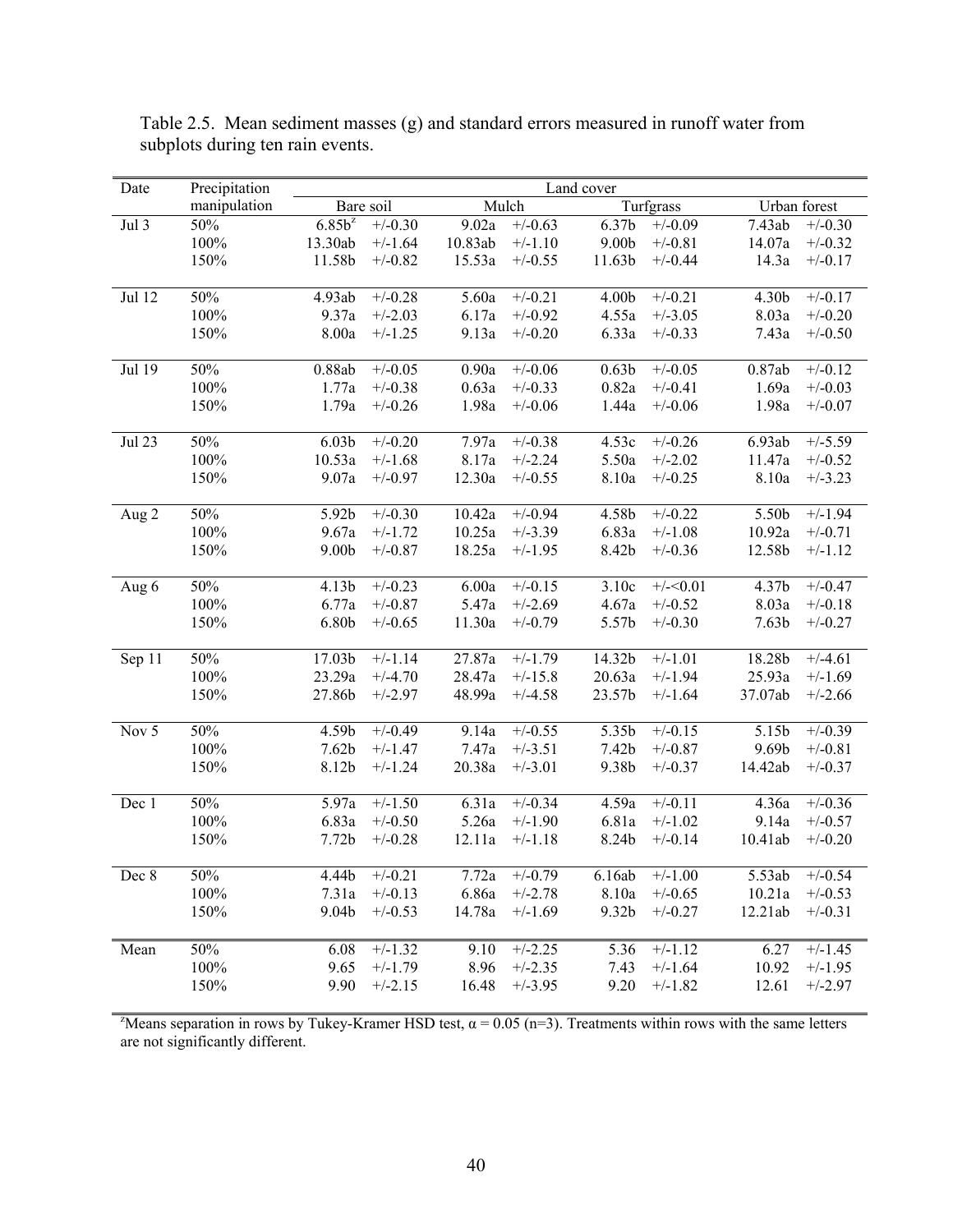| Date          | Precipitation | Land cover           |           |         |           |                   |           |                   |              |
|---------------|---------------|----------------------|-----------|---------|-----------|-------------------|-----------|-------------------|--------------|
|               | manipulation  |                      | Bare soil |         | Mulch     |                   | Turfgrass |                   | Urban forest |
| Jul 3         | 50%           | $6.85\overline{b^z}$ | $+/-0.30$ | 9.02a   | $+/-0.63$ | 6.37b             | $+/-0.09$ | 7.43ab            | $+/-0.30$    |
|               | 100%          | 13.30ab              | $+/-1.64$ | 10.83ab | $+/-1.10$ | 9.00 <sub>b</sub> | $+/-0.81$ | 14.07a            | $+/-0.32$    |
|               | 150%          | 11.58b               | $+/-0.82$ | 15.53a  | $+/-0.55$ | 11.63b            | $+/-0.44$ | 14.3a             | $+/-0.17$    |
|               |               |                      |           |         |           |                   |           |                   |              |
| Jul 12        | 50%           | 4.93ab               | $+/-0.28$ | 5.60a   | $+/-0.21$ | 4.00b             | $+/-0.21$ | 4.30b             | $+/-0.17$    |
|               | 100%          | 9.37a                | $+/-2.03$ | 6.17a   | $+/-0.92$ | 4.55a             | $+/-3.05$ | 8.03a             | $+/-0.20$    |
|               | 150%          | 8.00a                | $+/-1.25$ | 9.13a   | $+/-0.20$ | 6.33a             | $+/-0.33$ | 7.43a             | $+/-0.50$    |
|               |               |                      |           |         |           |                   |           |                   |              |
| Jul 19        | 50%           | 0.88ab               | $+/-0.05$ | 0.90a   | $+/-0.06$ | 0.63 <sub>b</sub> | $+/-0.05$ | 0.87ab            | $+/-0.12$    |
|               | 100%          | 1.77a                | $+/-0.38$ | 0.63a   | $+/-0.33$ | 0.82a             | $+/-0.41$ | 1.69a             | $+/-0.03$    |
|               | 150%          | 1.79a                | $+/-0.26$ | 1.98a   | $+/-0.06$ | 1.44a             | $+/-0.06$ | 1.98a             | $+/-0.07$    |
|               |               |                      |           |         |           |                   |           |                   |              |
| <b>Jul 23</b> | 50%           | 6.03 <sub>b</sub>    | $+/-0.20$ | 7.97a   | $+/-0.38$ | 4.53c             | $+/-0.26$ | 6.93ab            | $+/-5.59$    |
|               | 100%          | 10.53a               | $+/-1.68$ | 8.17a   | $+/-2.24$ | 5.50a             | $+/-2.02$ | 11.47a            | $+/-0.52$    |
|               | 150%          | 9.07a                | $+/-0.97$ | 12.30a  | $+/-0.55$ | 8.10a             | $+/-0.25$ | 8.10a             | $+/-3.23$    |
|               |               |                      |           |         |           |                   |           |                   |              |
| Aug 2         | 50%           | 5.92b                | $+/-0.30$ | 10.42a  | $+/-0.94$ | 4.58b             | $+/-0.22$ | 5.50b             | $+/-1.94$    |
|               | 100%          | 9.67a                | $+/-1.72$ | 10.25a  | $+/-3.39$ | 6.83a             | $+/-1.08$ | 10.92a            | $+/-0.71$    |
|               | 150%          | 9.00b                | $+/-0.87$ | 18.25a  | $+/-1.95$ | 8.42b             | $+/-0.36$ | 12.58b            | $+/-1.12$    |
|               |               |                      |           |         |           |                   |           |                   |              |
| Aug 6         | 50%           | 4.13b                | $+/-0.23$ | 6.00a   | $+/-0.15$ | 3.10c             | $+/-0.01$ | 4.37b             | $+/-0.47$    |
|               | $100\%$       | 6.77a                | $+/-0.87$ | 5.47a   | $+/-2.69$ | 4.67a             | $+/-0.52$ | 8.03a             | $+/-0.18$    |
|               | 150%          | 6.80b                | $+/-0.65$ | 11.30a  | $+/-0.79$ | 5.57b             | $+/-0.30$ | 7.63 <sub>b</sub> | $+/-0.27$    |
|               |               |                      |           |         |           |                   |           |                   |              |
| Sep 11        | 50%           | 17.03b               | $+/-1.14$ | 27.87a  | $+/-1.79$ | 14.32b            | $+/-1.01$ | 18.28b            | $+/-4.61$    |
|               | 100%          | 23.29a               | $+/-4.70$ | 28.47a  | $+/-15.8$ | 20.63a            | $+/-1.94$ | 25.93a            | $+/-1.69$    |
|               | 150%          | 27.86b               | $+/-2.97$ | 48.99a  | $+/-4.58$ | 23.57b            | $+/-1.64$ | 37.07ab           | $+/-2.66$    |
|               |               |                      |           |         |           |                   |           |                   |              |
| Nov 5         | 50%           | 4.59b                | $+/-0.49$ | 9.14a   | $+/-0.55$ | 5.35b             | $+/-0.15$ | 5.15b             | $+/-0.39$    |
|               | 100%          | 7.62 <sub>b</sub>    | $+/-1.47$ | 7.47a   | $+/-3.51$ | 7.42b             | $+/-0.87$ | 9.69b             | $+/-0.81$    |
|               | 150%          | 8.12b                | $+/-1.24$ | 20.38a  | $+/-3.01$ | 9.38b             | $+/-0.37$ | 14.42ab           | $+/-0.37$    |
|               |               |                      |           |         |           |                   |           |                   |              |
| Dec 1         | 50%           | 5.97a                | $+/-1.50$ | 6.31a   | $+/-0.34$ | 4.59a             | $+/-0.11$ | 4.36a             | $+/-0.36$    |
|               | 100%          | 6.83a                | $+/-0.50$ | 5.26a   | $+/-1.90$ | 6.81a             | $+/-1.02$ | 9.14a             | $+/-0.57$    |
|               | 150%          | 7.72 <sub>b</sub>    | $+/-0.28$ | 12.11a  | $+/-1.18$ | 8.24b             | $+/-0.14$ | 10.41ab           | $+/-0.20$    |
|               | 50%           | 4.44b                | $+/-0.21$ | 7.72a   | $+/-0.79$ |                   | $+/-1.00$ | 5.53ab            | $+/-0.54$    |
| Dec 8         | 100%          | 7.31a                | $+/-0.13$ | 6.86a   | $+/-2.78$ | 6.16ab<br>8.10a   | $+/-0.65$ | 10.21a            | $+/-0.53$    |
|               |               | 9.04b                |           |         |           | 9.32b             |           |                   |              |
|               | 150%          |                      | $+/-0.53$ | 14.78a  | $+/-1.69$ |                   | $+/-0.27$ | 12.21ab           | $+/-0.31$    |
|               | 50%           |                      | $+/-1.32$ | 9.10    | $+/-2.25$ |                   |           |                   |              |
| Mean          |               | 6.08                 |           |         |           | 5.36              | $+/-1.12$ | 6.27              | $+/-1.45$    |
|               | 100%          | 9.65                 | $+/-1.79$ | 8.96    | $+/-2.35$ | 7.43              | $+/-1.64$ | 10.92             | $+/-1.95$    |
|               | 150%          | 9.90                 | $+/-2.15$ | 16.48   | $+/-3.95$ | 9.20              | $+/-1.82$ | 12.61             | $+/-2.97$    |

Table 2.5. Mean sediment masses (g) and standard errors measured in runoff water from subplots during ten rain events.

<sup>z</sup>Means separation in rows by Tukey-Kramer HSD test,  $\alpha$  = 0.05 (n=3). Treatments within rows with the same letters are not significantly different.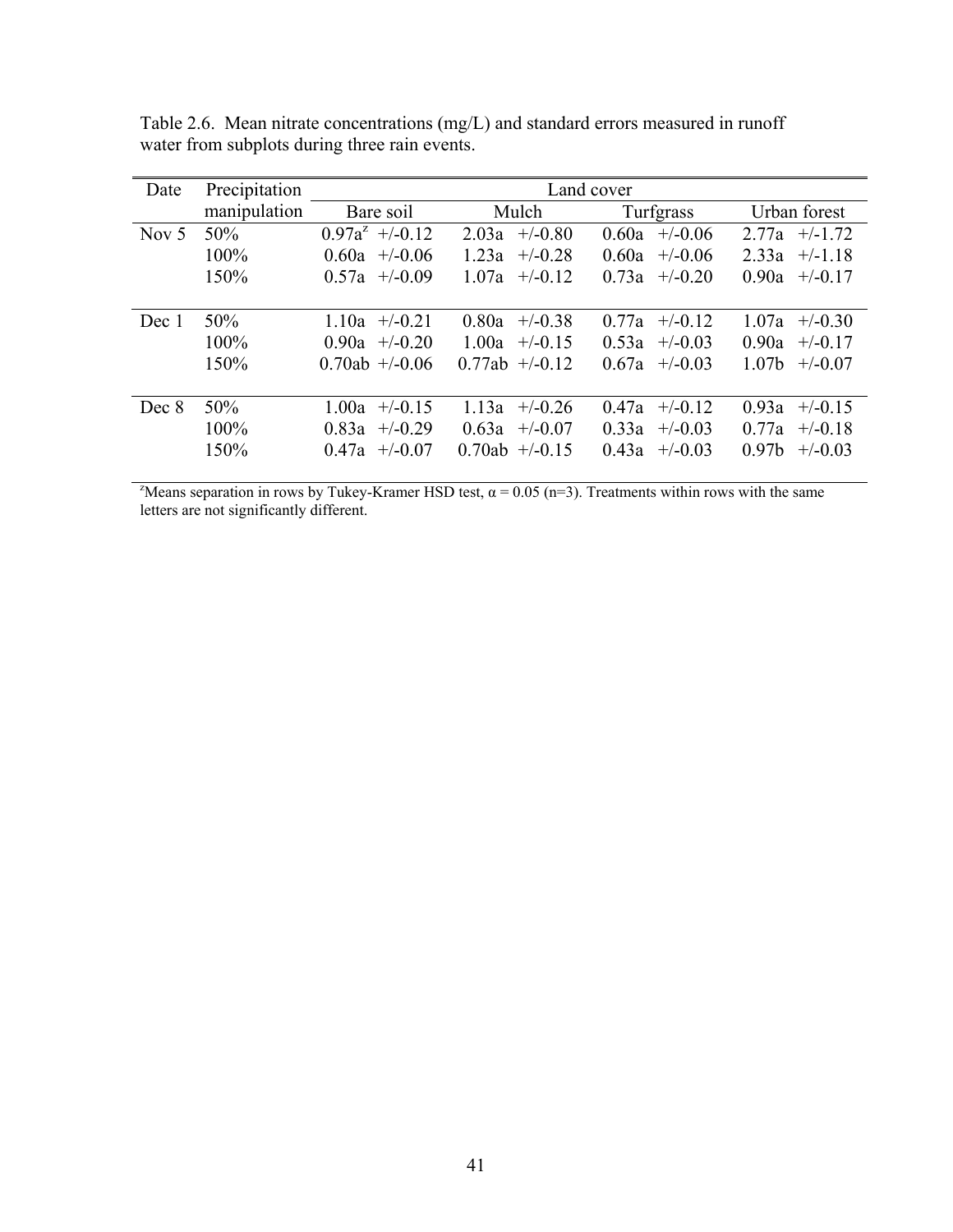| Precipitation | Land cover         |                    |                    |                                |  |  |  |
|---------------|--------------------|--------------------|--------------------|--------------------------------|--|--|--|
| manipulation  | Bare soil          | Mulch              | Turfgrass          | Urban forest                   |  |  |  |
| 50%           | $0.97a^2$ +/-0.12  | 2.03a<br>$+/-0.80$ | $+/-0.06$<br>0.60a | $+/-1.72$<br>2.77a             |  |  |  |
| 100%          | $0.60a$ +/-0.06    | 1.23a<br>$+/-0.28$ | 0.60a<br>$+/-0.06$ | 2.33a<br>$+/-1.18$             |  |  |  |
| 150%          | $0.57a +10.09$     | $+/-0.12$<br>1.07a | 0.73a<br>$+/-0.20$ | 0.90a<br>$+/-0.17$             |  |  |  |
|               |                    |                    |                    |                                |  |  |  |
| 50%           | $1.10a$ +/-0.21    | 0.80a<br>$+/-0.38$ | 0.77a<br>$+/-0.12$ | 1.07a<br>$+/-0.30$             |  |  |  |
| 100%          | $0.90a$ +/-0.20    | 1.00a<br>$+/-0.15$ | $+/-0.03$<br>0.53a | 0.90a<br>$+/-0.17$             |  |  |  |
| 150%          | $0.70ab +1.006$    | $0.77ab$ +/-0.12   | 0.67a<br>$+/-0.03$ | 1.07 <sub>b</sub><br>$+/-0.07$ |  |  |  |
|               |                    |                    |                    |                                |  |  |  |
| 50%           | 1.00a<br>$+/-0.15$ | 1.13a<br>$+/-0.26$ | 0.47a<br>$+/-0.12$ | 0.93a<br>$+/-0.15$             |  |  |  |
| 100%          | $0.83a +10.29$     | 0.63a<br>$+/-0.07$ | 0.33a<br>$+/-0.03$ | 0.77a<br>$+/-0.18$             |  |  |  |
| 150%          | $0.47a$ +/-0.07    | $0.70ab$ +/-0.15   | 0.43a<br>$+/-0.03$ | 0.97 <sub>b</sub><br>$+/-0.03$ |  |  |  |
|               |                    |                    |                    |                                |  |  |  |

Table 2.6. Mean nitrate concentrations (mg/L) and standard errors measured in runoff water from subplots during three rain events.

<sup>2</sup>Means separation in rows by Tukey-Kramer HSD test,  $\alpha$  = 0.05 (n=3). Treatments within rows with the same letters are not significantly different.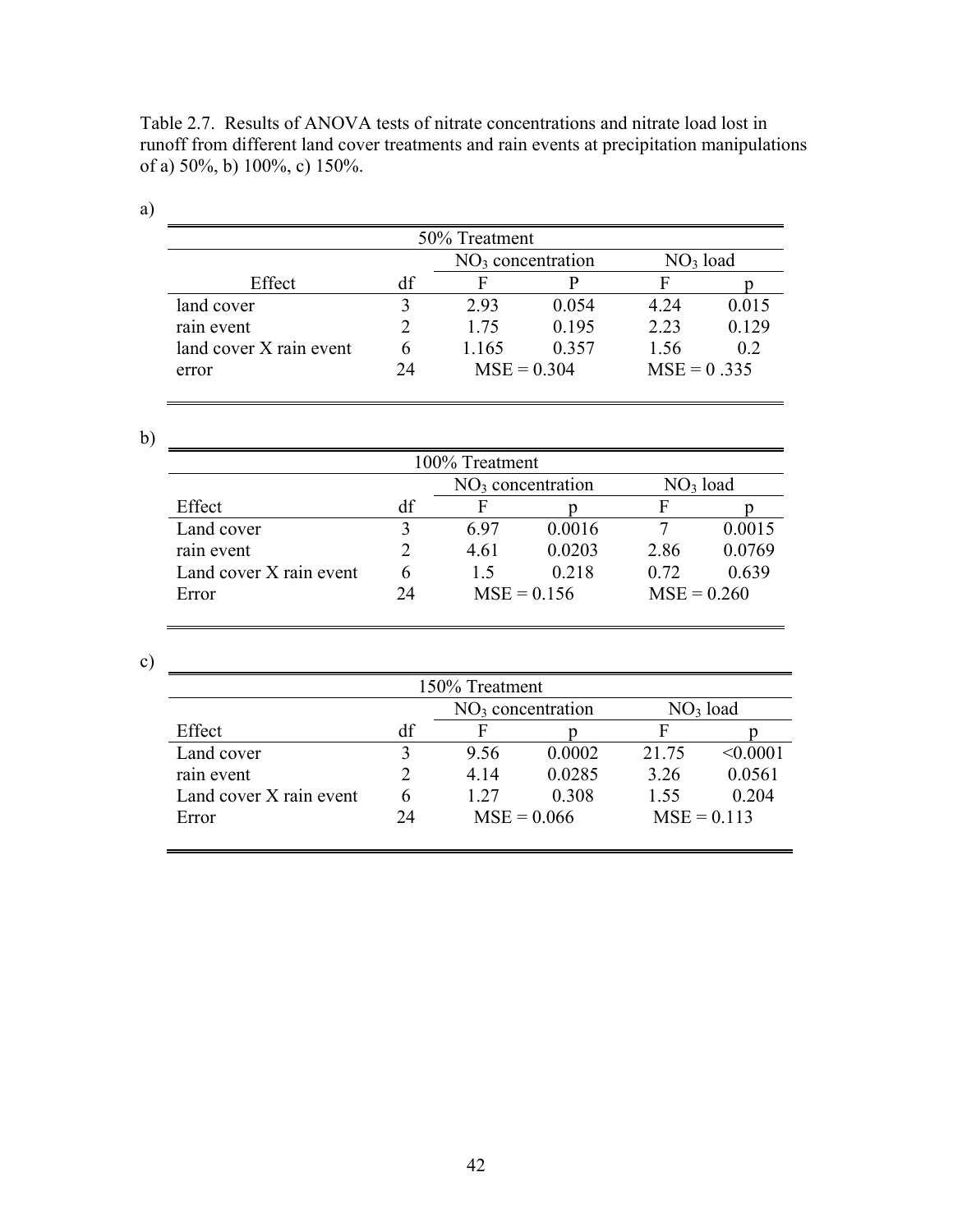Table 2.7. Results of ANOVA tests of nitrate concentrations and nitrate load lost in runoff from different land cover treatments and rain events at precipitation manipulations of a) 50%, b) 100%, c) 150%.

| 50% Treatment                               |    |               |       |               |       |  |  |  |
|---------------------------------------------|----|---------------|-------|---------------|-------|--|--|--|
| $NO3$ load<br>NO <sub>3</sub> concentration |    |               |       |               |       |  |  |  |
| Effect                                      |    |               |       |               |       |  |  |  |
| land cover                                  |    | 2.93          | 0.054 | 4 24          | 0.015 |  |  |  |
| rain event                                  |    | 175           | 0.195 | 2.23          | 0.129 |  |  |  |
| land cover X rain event                     |    | 1 165         | 0.357 | 1.56          | 02    |  |  |  |
| error                                       | DД | $MSE = 0.304$ |       | $MSE = 0.335$ |       |  |  |  |

a)

| I                   |  |
|---------------------|--|
| ۰.<br>×<br>M.<br>۰, |  |

| 100% Treatment                              |    |      |               |               |        |  |  |  |
|---------------------------------------------|----|------|---------------|---------------|--------|--|--|--|
| $NO3$ load<br>NO <sub>3</sub> concentration |    |      |               |               |        |  |  |  |
| Effect                                      | df | н    |               |               |        |  |  |  |
| Land cover                                  |    | 697  | 0.0016        |               | 0.0015 |  |  |  |
| rain event                                  |    | 4.61 | 0.0203        | 2.86          | 0.0769 |  |  |  |
| Land cover X rain event                     |    | 15   | 0.218         | 0.72          | 0.639  |  |  |  |
| Error                                       | 24 |      | $MSE = 0.156$ | $MSE = 0.260$ |        |  |  |  |

c)

| 150% Treatment                              |    |      |               |               |          |  |  |
|---------------------------------------------|----|------|---------------|---------------|----------|--|--|
| $NO3$ load<br>NO <sub>3</sub> concentration |    |      |               |               |          |  |  |
| Effect                                      | df |      |               | F             |          |  |  |
| Land cover                                  |    | 9.56 | 0.0002        | 21 75         | < 0.0001 |  |  |
| rain event                                  |    | 4.14 | 0.0285        | 3.26          | 0.0561   |  |  |
| Land cover X rain event                     | h  | 1 27 | 0.308         | 1.55          | 0.204    |  |  |
| Error                                       | 24 |      | $MSE = 0.066$ | $MSE = 0.113$ |          |  |  |
|                                             |    |      |               |               |          |  |  |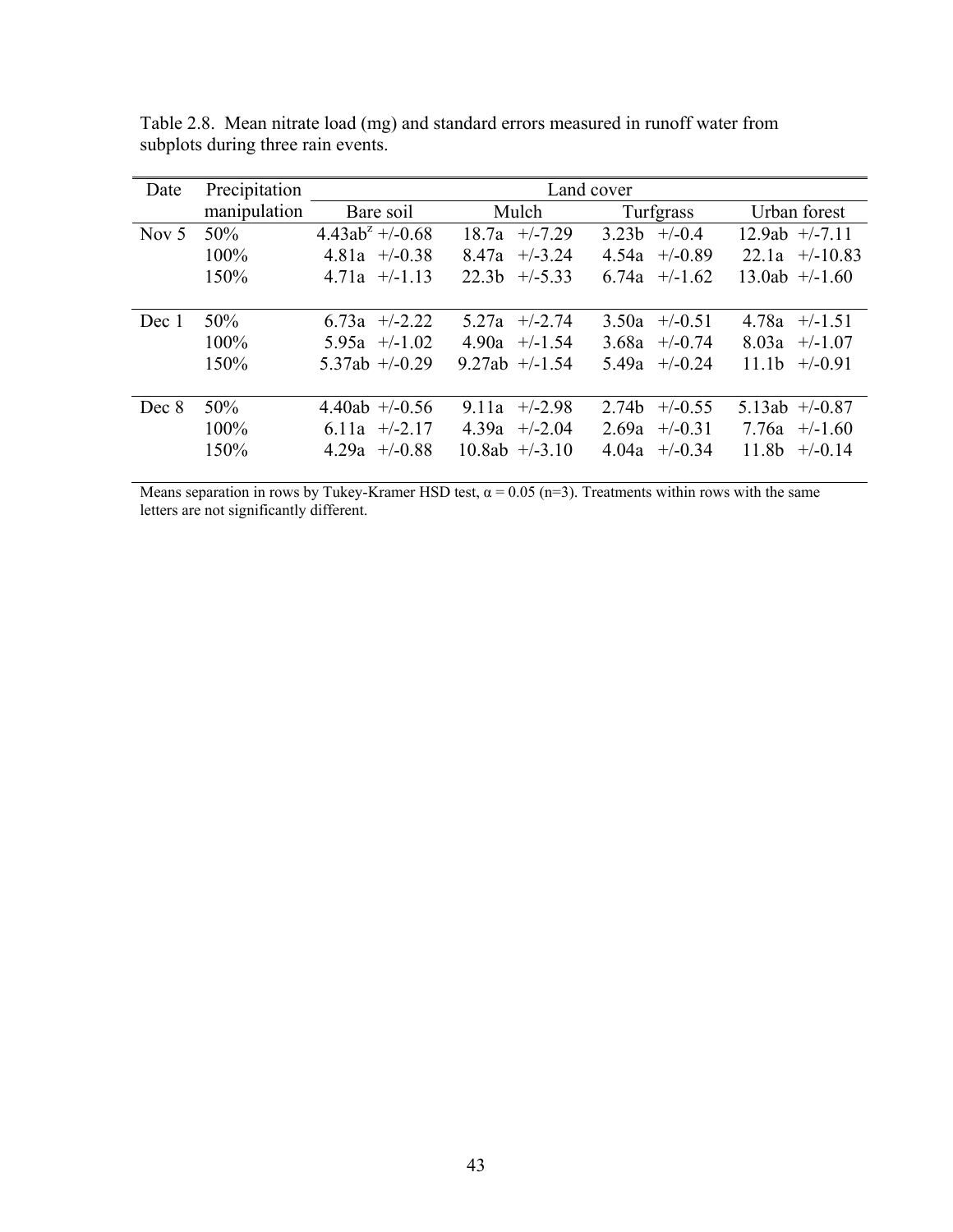| Date    | Precipitation | Land cover           |                                |                               |                                |  |  |
|---------|---------------|----------------------|--------------------------------|-------------------------------|--------------------------------|--|--|
|         | manipulation  | Bare soil            | Mulch                          | Turfgrass                     | Urban forest                   |  |  |
| Nov $5$ | 50%           | $4.43ab^2 + (-0.68)$ | $+/-7.29$<br>18.7a             | $+/-0.4$<br>3.23 <sub>b</sub> | $12.9ab$ +/-7.11               |  |  |
|         | 100%          | $4.81a + 0.38$       | $+/-3.24$<br>8.47a             | $+/-0.89$<br>4.54a            | $22.1a + (-10.83)$             |  |  |
|         | 150%          | $4.71a$ +/-1.13      | 22.3 <sub>b</sub><br>$+/-5.33$ | 6.74a<br>$+/-1.62$            | $13.0ab$ +/-1.60               |  |  |
|         |               |                      |                                |                               |                                |  |  |
| Dec 1   | 50%           | 6.73a $+/-2.22$      | $+/-2.74$<br>5 27a             | $+/-0.51$<br>3.50a            | 4.78a<br>$+/-1.51$             |  |  |
|         | 100%          | $5.95a$ +/-1.02      | 4.90a<br>$+/-1.54$             | 3.68a<br>$+/-0.74$            | 8.03a<br>$+/-1.07$             |  |  |
|         | 150%          | $5.37ab$ +/-0.29     | $9.27ab$ +/-1.54               | 5.49a<br>$+/-0.24$            | 11.1 <sub>b</sub><br>$+/-0.91$ |  |  |
|         |               |                      |                                |                               |                                |  |  |
| Dec 8   | 50%           | $4.40ab$ +/-0.56     | 9.11a<br>$+/-2.98$             | $+/-0.55$<br>2.74b            | 5.13ab $+/-0.87$               |  |  |
|         | 100%          | 6.11a $+/-2.17$      | 4.39a<br>$+/-2.04$             | 2.69a<br>$+/-0.31$            | $+/-1.60$<br>7.76a             |  |  |
|         | 150%          | $4.29a +10.88$       | $10.8ab$ +/-3.10               | 4.04a<br>$+/-0.34$            | 11.8b<br>$+/-0.14$             |  |  |
|         |               |                      |                                |                               |                                |  |  |

Table 2.8. Mean nitrate load (mg) and standard errors measured in runoff water from subplots during three rain events.

Means separation in rows by Tukey-Kramer HSD test,  $\alpha = 0.05$  (n=3). Treatments within rows with the same letters are not significantly different.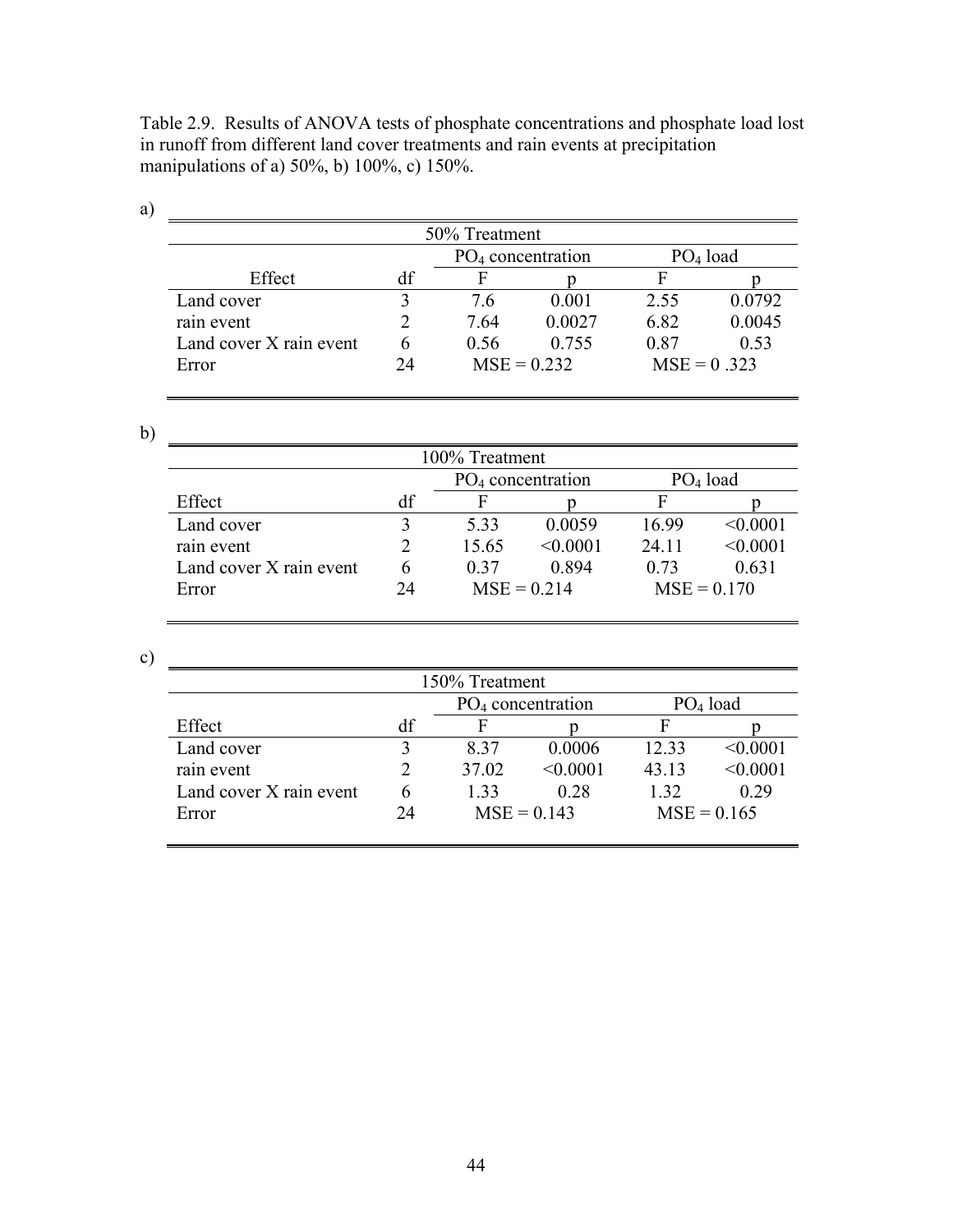Table 2.9. Results of ANOVA tests of phosphate concentrations and phosphate load lost in runoff from different land cover treatments and rain events at precipitation manipulations of a) 50%, b) 100%, c) 150%.

| a) |                                             |    |      |               |               |        |  |  |  |
|----|---------------------------------------------|----|------|---------------|---------------|--------|--|--|--|
|    | 50% Treatment                               |    |      |               |               |        |  |  |  |
|    | $PO4$ load<br>PO <sub>4</sub> concentration |    |      |               |               |        |  |  |  |
|    | Effect                                      | df |      |               |               |        |  |  |  |
|    | Land cover                                  |    | 76   | 0.001         | 2.55          | 0.0792 |  |  |  |
|    | rain event                                  |    | 764  | 0.0027        | 6.82          | 0.0045 |  |  |  |
|    | Land cover X rain event                     | 6  | 0.56 | 0.755         | 0.87          | 0.53   |  |  |  |
|    | Error                                       | 24 |      | $MSE = 0.232$ | $MSE = 0.323$ |        |  |  |  |

b)

| 100% Treatment          |                                             |       |               |       |               |  |  |  |
|-------------------------|---------------------------------------------|-------|---------------|-------|---------------|--|--|--|
|                         | PO <sub>4</sub> concentration<br>$PO4$ load |       |               |       |               |  |  |  |
| Effect                  | df                                          | F     |               |       |               |  |  |  |
| Land cover              |                                             | 5.33  | 0.0059        | 16.99 | < 0.0001      |  |  |  |
| rain event              |                                             | 15.65 | < 0.0001      | 24.11 | < 0.0001      |  |  |  |
| Land cover X rain event | 6                                           | 0.37  | 0.894         | 0.73  | 0.631         |  |  |  |
| Error                   | 24                                          |       | $MSE = 0.214$ |       | $MSE = 0.170$ |  |  |  |

c)

| 150% Treatment                              |    |               |          |               |          |  |  |
|---------------------------------------------|----|---------------|----------|---------------|----------|--|--|
| $PO4$ load<br>PO <sub>4</sub> concentration |    |               |          |               |          |  |  |
| Effect                                      | df | F             |          |               |          |  |  |
| Land cover                                  |    | 837           | 0.0006   | 12.33         | < 0.0001 |  |  |
| rain event                                  |    | 37.02         | < 0.0001 | 43.13         | < 0.0001 |  |  |
| Land cover X rain event                     | 6  | 1 33          | 0.28     | 1 32          | 0.29     |  |  |
| Error                                       | 24 | $MSE = 0.143$ |          | $MSE = 0.165$ |          |  |  |
|                                             |    |               |          |               |          |  |  |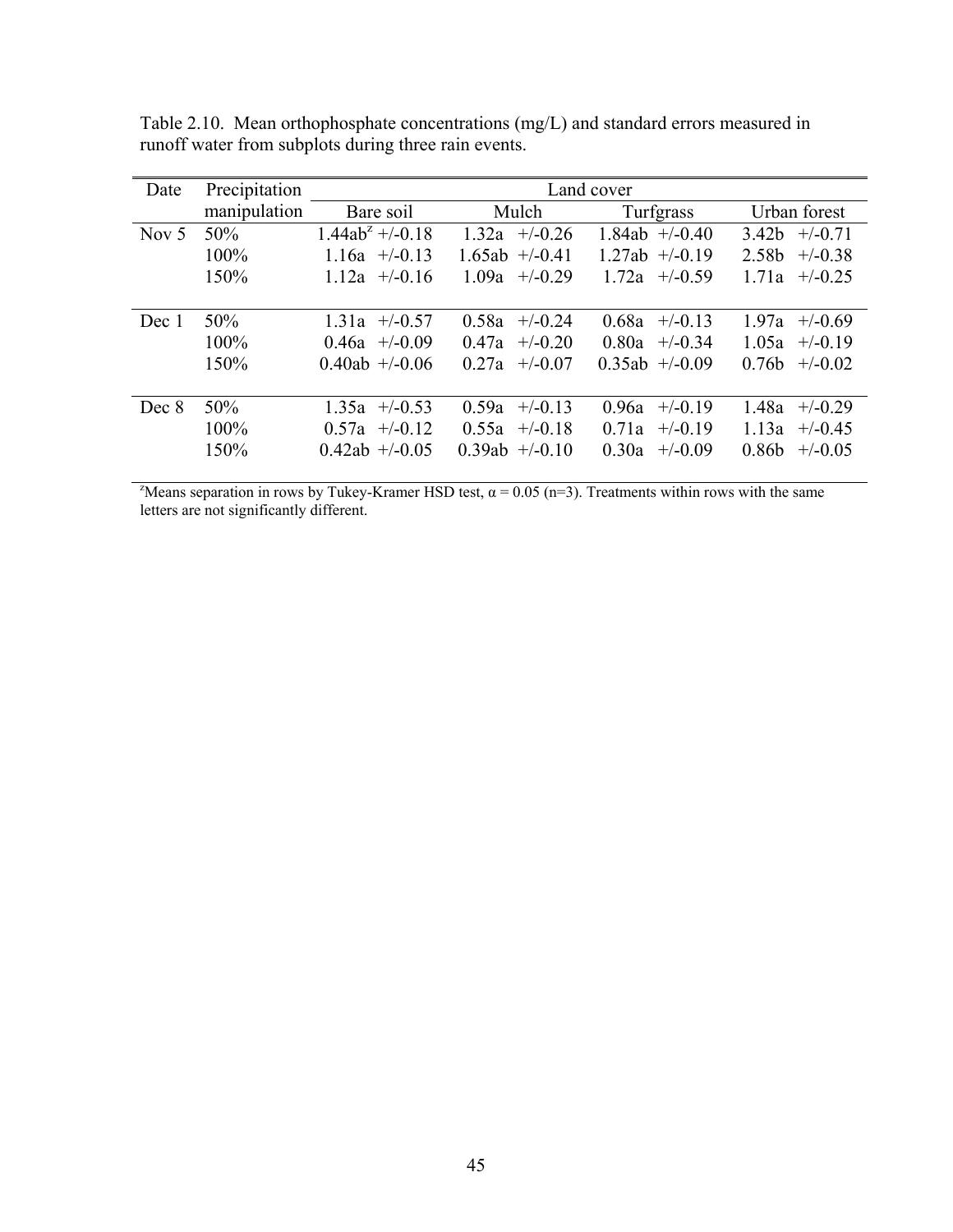| Date    | Precipitation | Land cover          |                    |                    |                                |
|---------|---------------|---------------------|--------------------|--------------------|--------------------------------|
|         | manipulation  | Bare soil           | Mulch              | Turfgrass          | Urban forest                   |
| Nov $5$ | 50%           | $1.44ab^2 + (-0.18$ | $+/-0.26$<br>1.32a | 1.84ab $+/-0.40$   | $+/-0.71$<br>3.42b             |
|         | $100\%$       | $1.16a$ +/-0.13     | $1.65ab +1.0.41$   | $1.27ab$ +/-0.19   | 2.58b<br>$+/-0.38$             |
|         | 150%          | $1.12a +1.016$      | 1.09a<br>$+/-0.29$ | $1.72a +1.0.59$    | 1.71a<br>$+/-0.25$             |
|         |               |                     |                    |                    |                                |
| Dec 1   | 50%           | $1.31a$ +/-0.57     | 0.58a<br>$+/-0.24$ | $+/-0.13$<br>0.68a | 1.97a<br>$+/-0.69$             |
|         | 100%          | $0.46a$ +/-0.09     | 0.47a<br>$+/-0.20$ | 0.80a<br>$+/-0.34$ | 1.05a<br>$+/-0.19$             |
|         | 150%          | $0.40ab +1.006$     | $+/-0.07$<br>0.27a | $0.35ab$ +/-0.09   | 0.76 <sub>b</sub><br>$+/-0.02$ |
|         |               |                     |                    |                    |                                |
| Dec 8   | 50%           | $1.35a$ +/-0.53     | 0.59a<br>$+/-0.13$ | 0.96a<br>$+/-0.19$ | 1.48a<br>$+/-0.29$             |
|         | $100\%$       | $0.57a$ +/-0.12     | $+/-0.18$<br>0.55a | 0.71a<br>$+/-0.19$ | 1.13a<br>$+/-0.45$             |
|         | 150%          | $0.42ab$ +/-0.05    | $0.39ab$ +/-0.10   | 0.30a<br>$+/-0.09$ | 0.86 <sub>b</sub><br>$+/-0.05$ |

Table 2.10. Mean orthophosphate concentrations (mg/L) and standard errors measured in runoff water from subplots during three rain events.

<sup>2</sup>Means separation in rows by Tukey-Kramer HSD test,  $\alpha$  = 0.05 (n=3). Treatments within rows with the same letters are not significantly different.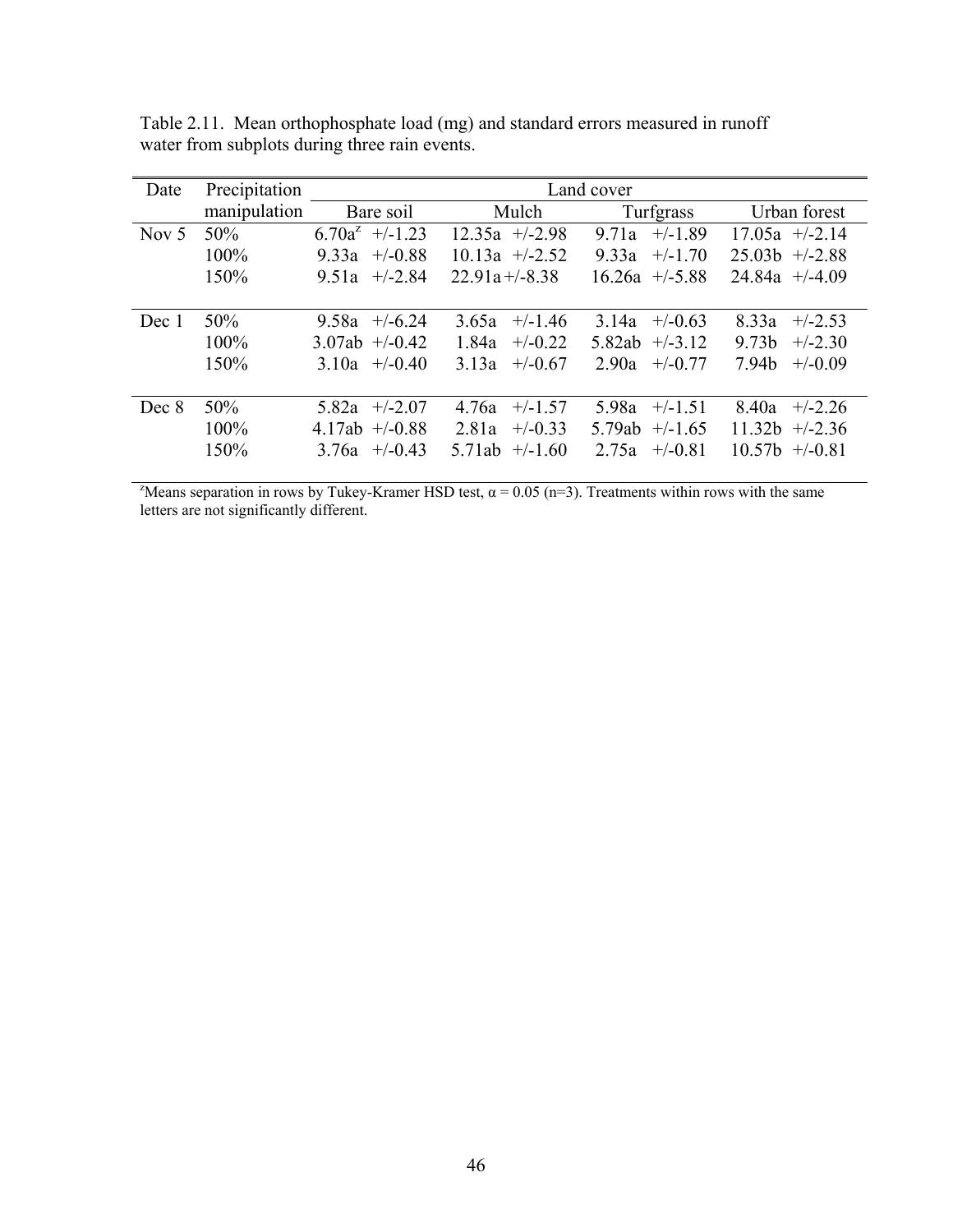| Date    | Precipitation | Land cover         |                     |                     |                                 |
|---------|---------------|--------------------|---------------------|---------------------|---------------------------------|
|         | manipulation  | Bare soil          | Mulch               | Turfgrass           | Urban forest                    |
| Nov $5$ | 50%           | $6.70a^2$ +/-1.23  | $12.35a$ +/-2.98    | $+/-1.89$<br>9.71a  | $17.05a$ +/-2.14                |
|         | 100%          | 9.33a<br>$+/-0.88$ | $10.13a$ +/-2.52    | 9.33a<br>$+/-1.70$  | $25.03b$ +/-2.88                |
|         | 150%          | $+/-2.84$<br>9.51a | $22.91a + (-8.38)$  | $16.26a$ +/-5.88    | $24.84a$ +/-4.09                |
|         |               |                    |                     |                     |                                 |
| Dec 1   | 50%           | 9.58a<br>$+/-6.24$ | $+/-1.46$<br>3.65a  | $+/-0.63$<br>3.14a  | $+/-2.53$<br>8.33a              |
|         | $100\%$       | $3.07ab$ +/-0.42   | 1.84a<br>$+/-0.22$  | 5.82ab<br>$+/-3.12$ | 9.73 <sub>b</sub><br>$+/-2.30$  |
|         | 150%          | 3.10a<br>$+/-0.40$ | 3.13a<br>$+/-0.67$  | 2.90a<br>$+/-0.77$  | 7.94b<br>$+/-0.09$              |
|         |               |                    |                     |                     |                                 |
| Dec 8   | 50%           | $+/-2.07$<br>5.82a | $+/-1.57$<br>4.76a  | 5.98a<br>$+/-1.51$  | 8.40a<br>$+/-2.26$              |
|         | $100\%$       | 4.17ab $+/-0.88$   | $+/-0.33$<br>2.81a  | 5.79ab<br>$+/-1.65$ | 11.32 <sub>b</sub><br>$+/-2.36$ |
|         | 150%          | $+/-0.43$<br>3.76a | 5.71ab<br>$+/-1.60$ | 2.75a<br>$+/-0.81$  | $10.57b$ +/-0.81                |

Table 2.11. Mean orthophosphate load (mg) and standard errors measured in runoff water from subplots during three rain events.

<sup>2</sup>Means separation in rows by Tukey-Kramer HSD test,  $\alpha$  = 0.05 (n=3). Treatments within rows with the same letters are not significantly different.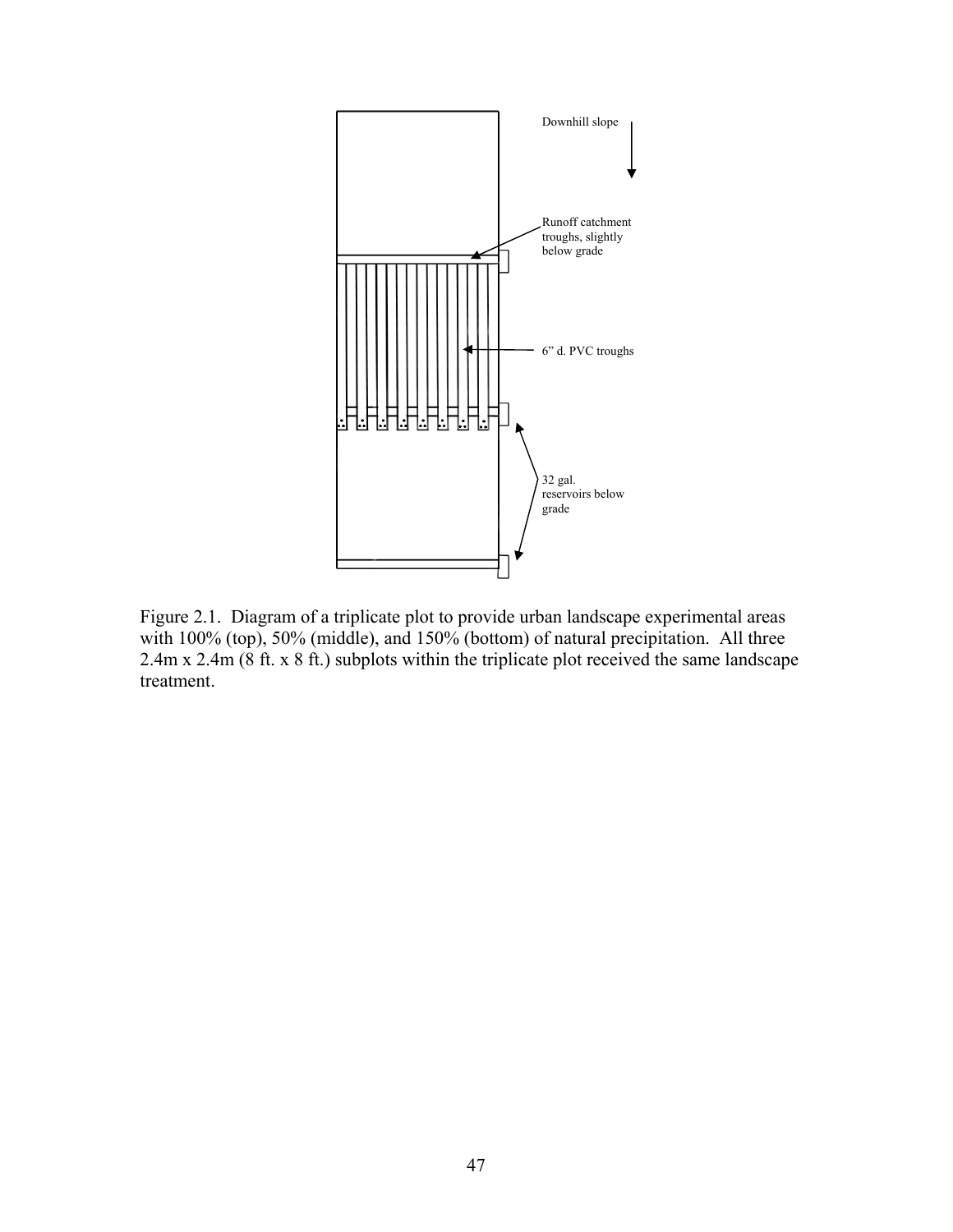

Figure 2.1. Diagram of a triplicate plot to provide urban landscape experimental areas with 100% (top), 50% (middle), and 150% (bottom) of natural precipitation. All three 2.4m x 2.4m (8 ft. x 8 ft.) subplots within the triplicate plot received the same landscape treatment.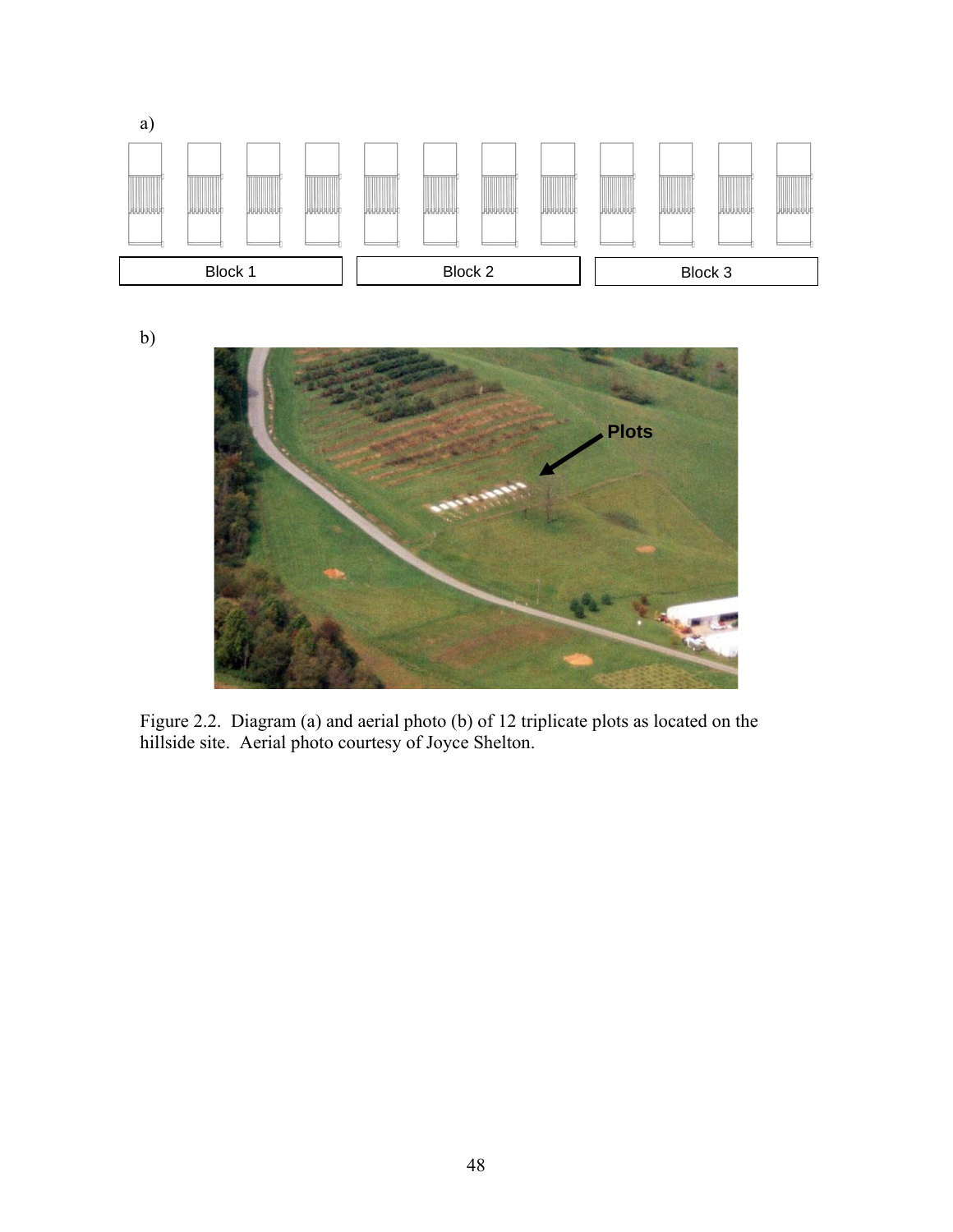

b)



Figure 2.2. Diagram (a) and aerial photo (b) of 12 triplicate plots as located on the hillside site. Aerial photo courtesy of Joyce Shelton.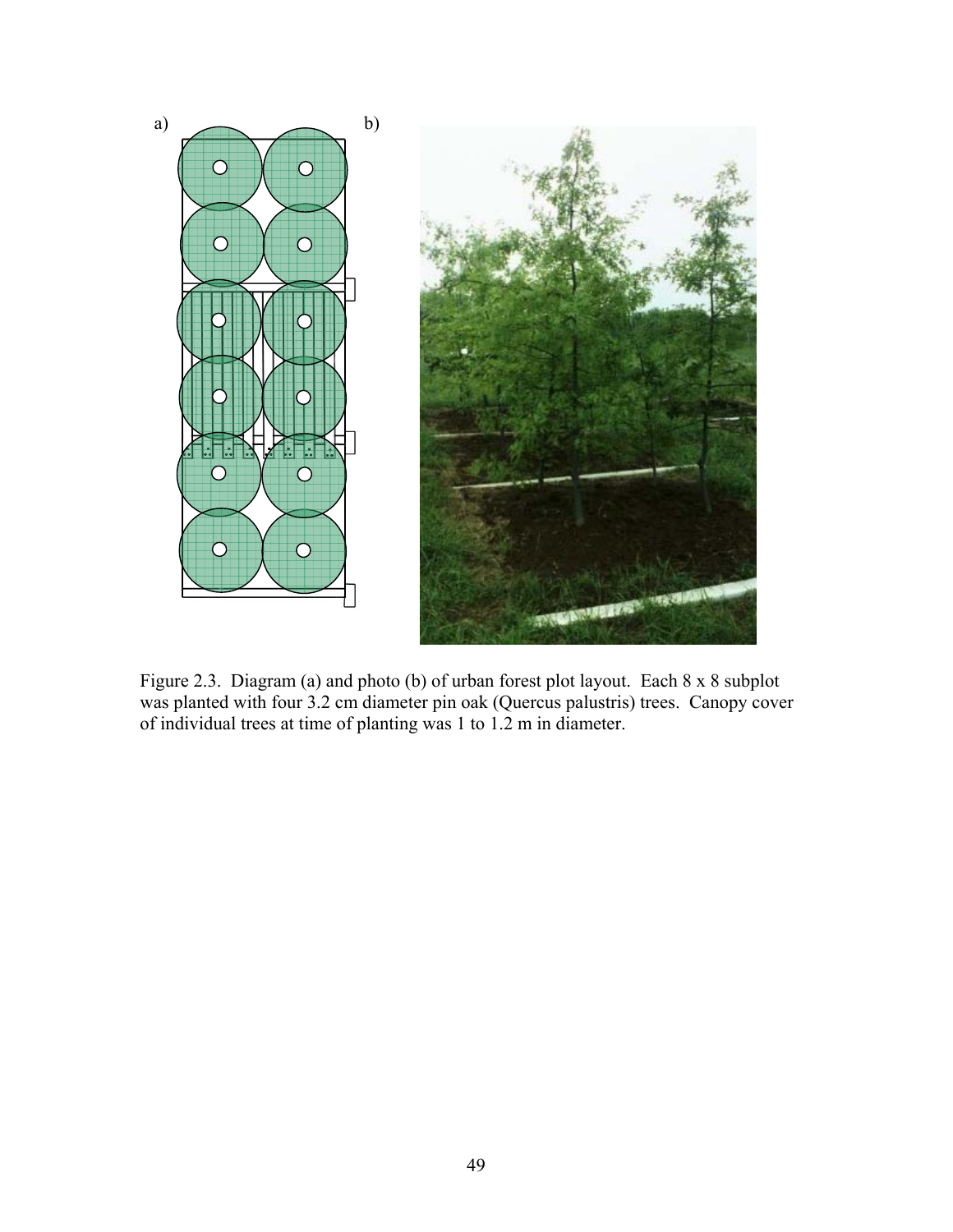

Figure 2.3. Diagram (a) and photo (b) of urban forest plot layout. Each 8 x 8 subplot was planted with four 3.2 cm diameter pin oak (Quercus palustris) trees. Canopy cover of individual trees at time of planting was 1 to 1.2 m in diameter.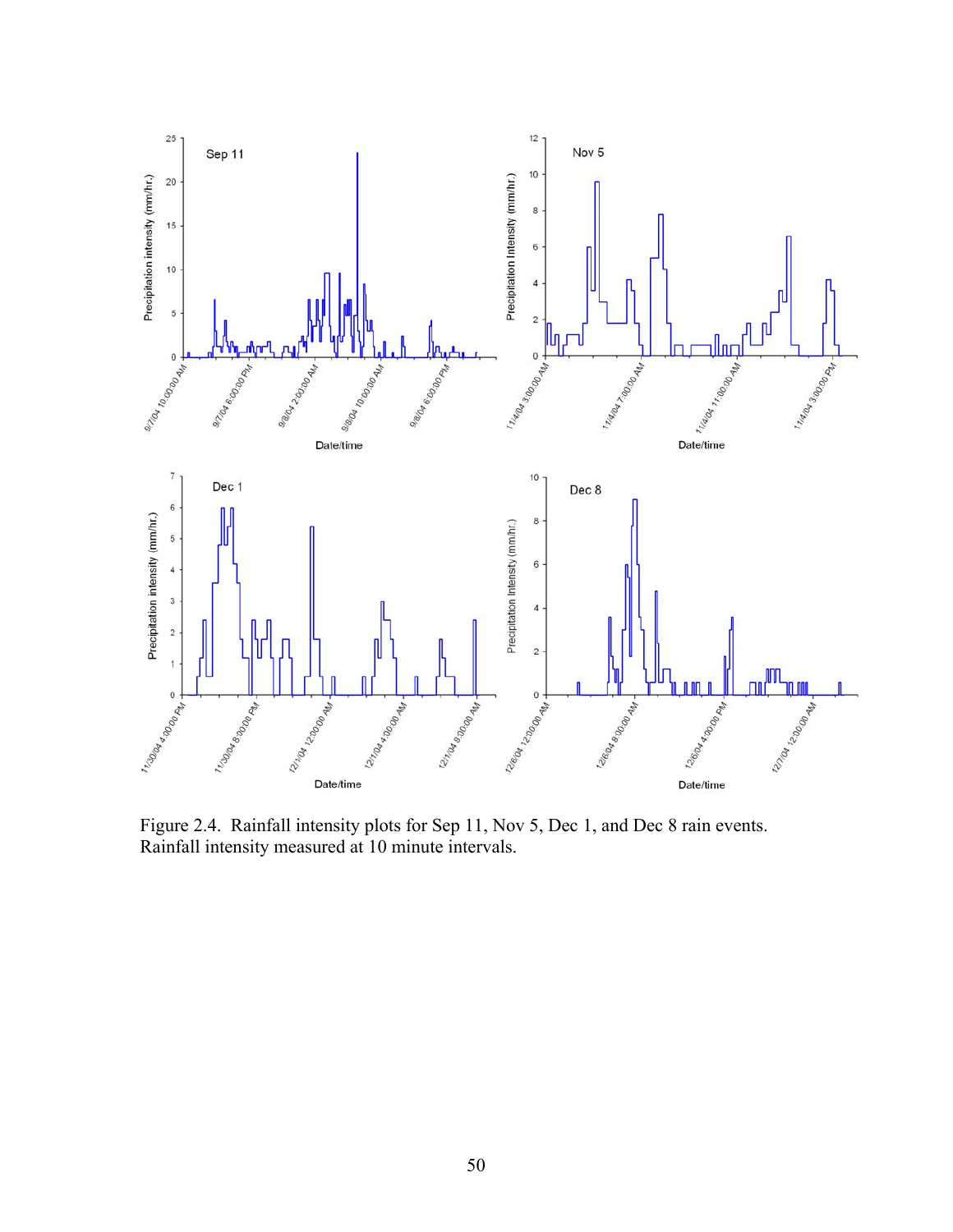

Figure 2.4. Rainfall intensity plots for Sep 11, Nov 5, Dec 1, and Dec 8 rain events. Rainfall intensity measured at 10 minute intervals.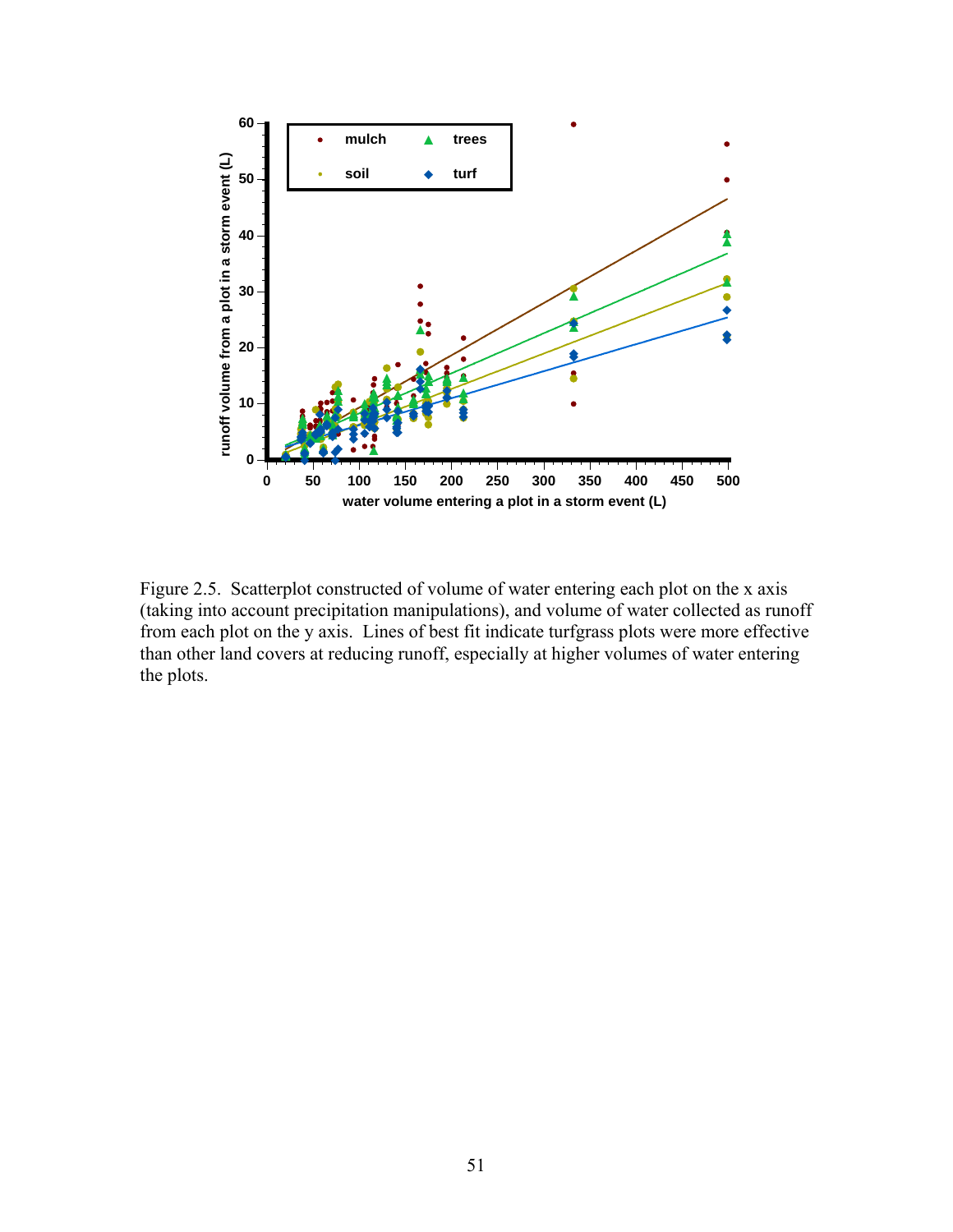

Figure 2.5. Scatterplot constructed of volume of water entering each plot on the x axis (taking into account precipitation manipulations), and volume of water collected as runoff from each plot on the y axis. Lines of best fit indicate turfgrass plots were more effective than other land covers at reducing runoff, especially at higher volumes of water entering the plots.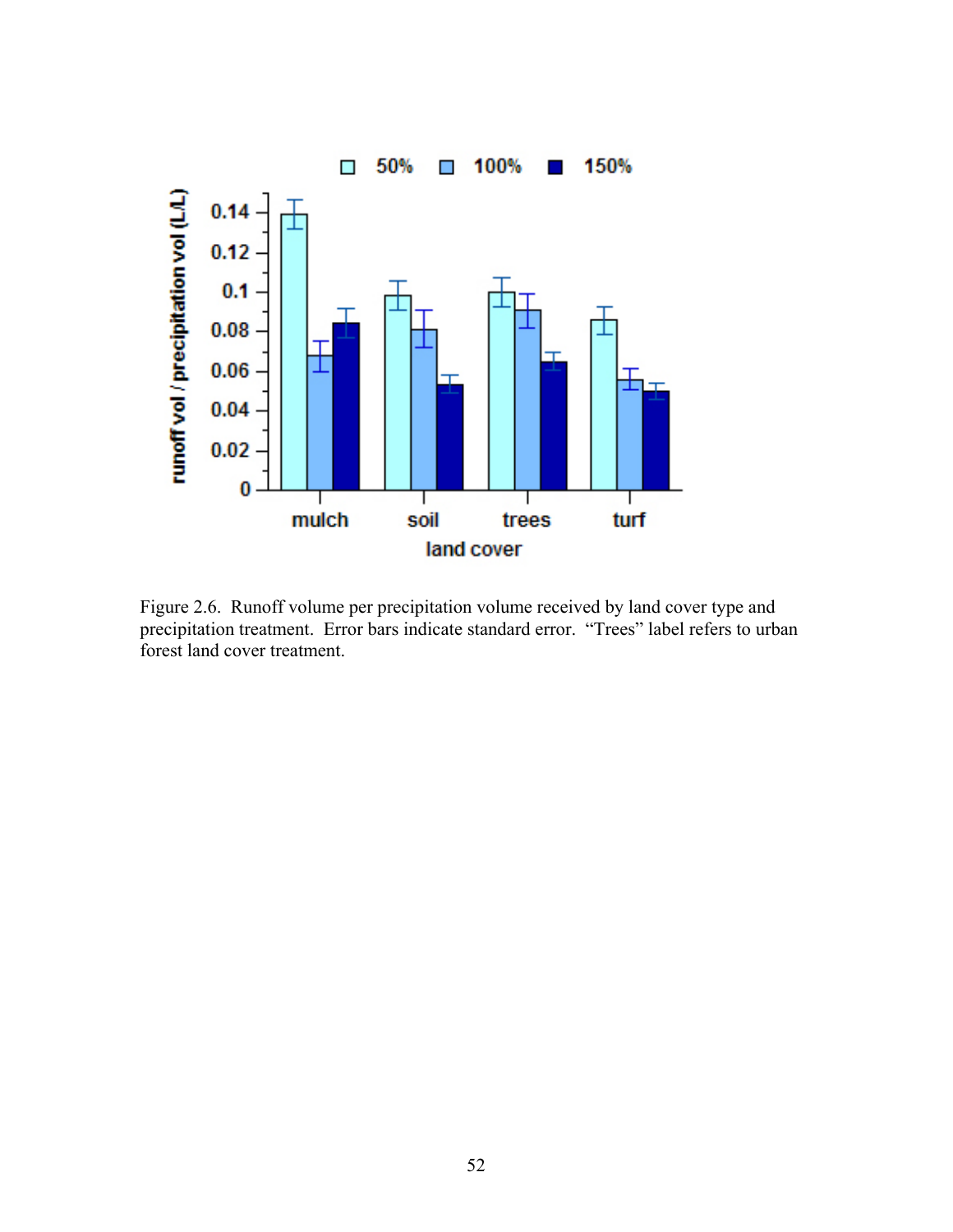

Figure 2.6. Runoff volume per precipitation volume received by land cover type and precipitation treatment. Error bars indicate standard error. "Trees" label refers to urban forest land cover treatment.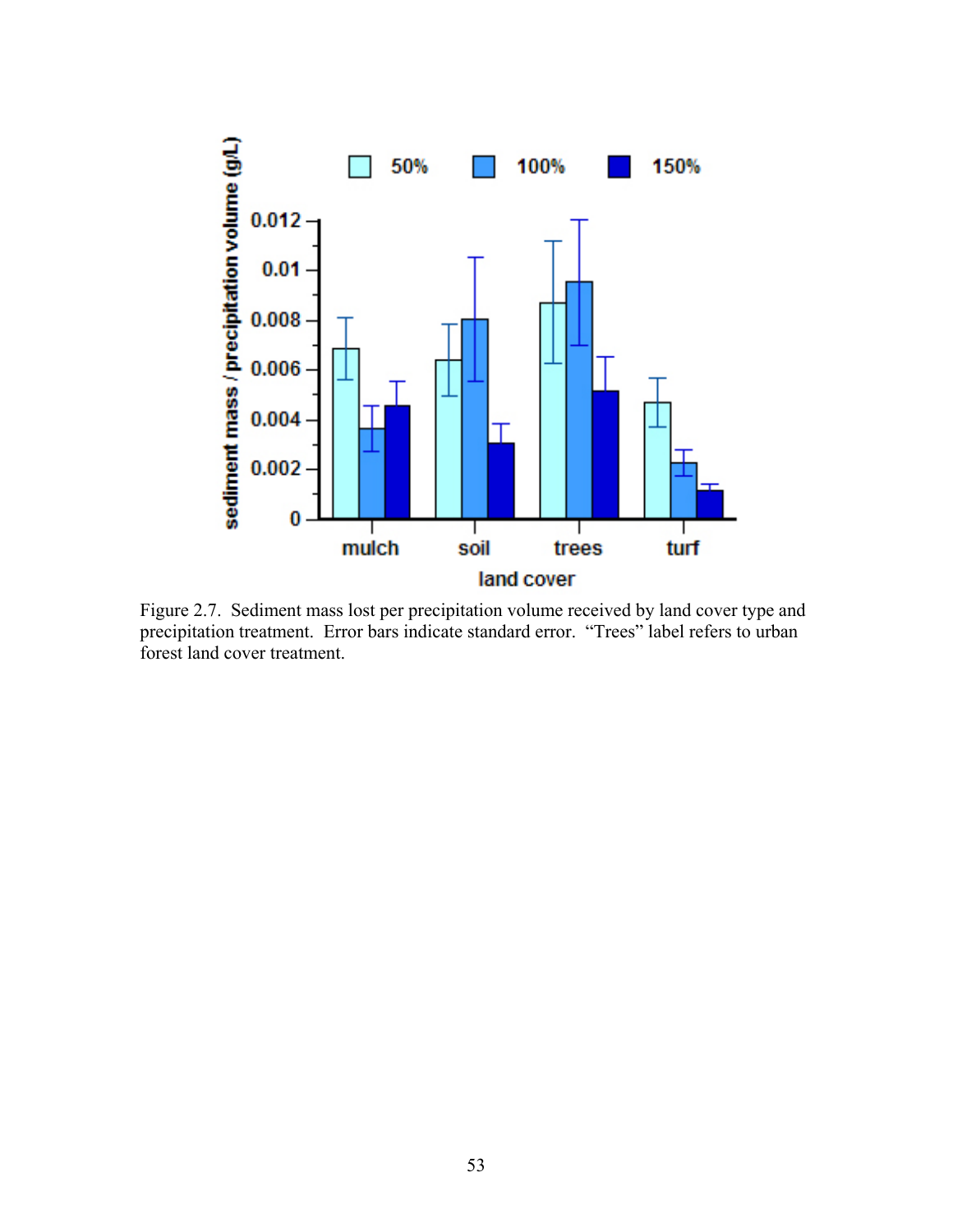

Figure 2.7. Sediment mass lost per precipitation volume received by land cover type and precipitation treatment. Error bars indicate standard error. "Trees" label refers to urban forest land cover treatment.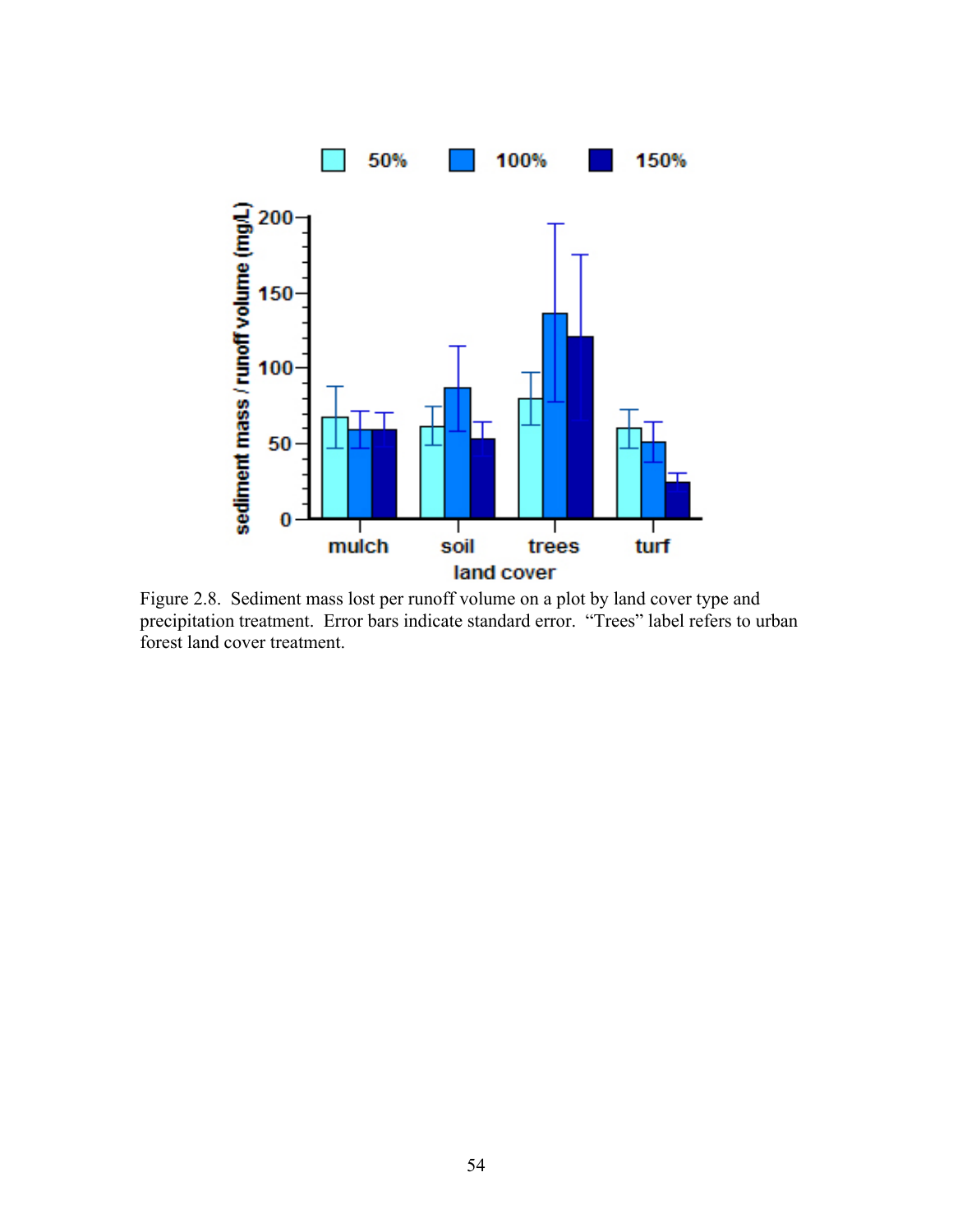

Figure 2.8. Sediment mass lost per runoff volume on a plot by land cover type and precipitation treatment. Error bars indicate standard error. "Trees" label refers to urban forest land cover treatment.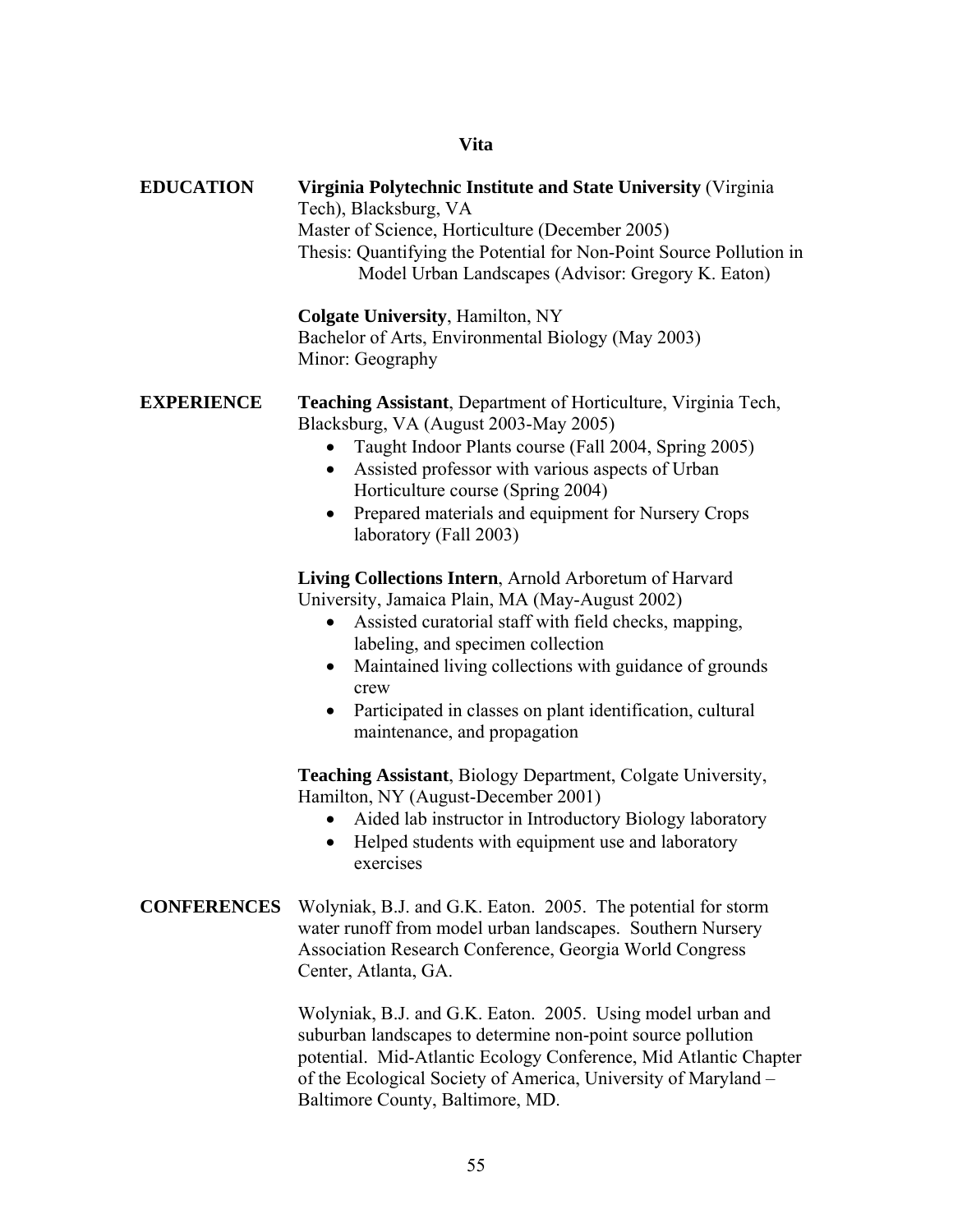# **Vita**

| <b>EDUCATION</b>   | Virginia Polytechnic Institute and State University (Virginia<br>Tech), Blacksburg, VA<br>Master of Science, Horticulture (December 2005)<br>Thesis: Quantifying the Potential for Non-Point Source Pollution in<br>Model Urban Landscapes (Advisor: Gregory K. Eaton)                                                                                                                                        |  |  |  |
|--------------------|---------------------------------------------------------------------------------------------------------------------------------------------------------------------------------------------------------------------------------------------------------------------------------------------------------------------------------------------------------------------------------------------------------------|--|--|--|
|                    | <b>Colgate University, Hamilton, NY</b><br>Bachelor of Arts, Environmental Biology (May 2003)<br>Minor: Geography                                                                                                                                                                                                                                                                                             |  |  |  |
| <b>EXPERIENCE</b>  | <b>Teaching Assistant, Department of Horticulture, Virginia Tech,</b><br>Blacksburg, VA (August 2003-May 2005)<br>Taught Indoor Plants course (Fall 2004, Spring 2005)<br>$\bullet$<br>Assisted professor with various aspects of Urban<br>Horticulture course (Spring 2004)<br>Prepared materials and equipment for Nursery Crops<br>٠<br>laboratory (Fall 2003)                                             |  |  |  |
|                    | Living Collections Intern, Arnold Arboretum of Harvard<br>University, Jamaica Plain, MA (May-August 2002)<br>Assisted curatorial staff with field checks, mapping,<br>$\bullet$<br>labeling, and specimen collection<br>Maintained living collections with guidance of grounds<br>$\bullet$<br>crew<br>Participated in classes on plant identification, cultural<br>$\bullet$<br>maintenance, and propagation |  |  |  |
|                    | <b>Teaching Assistant, Biology Department, Colgate University,</b><br>Hamilton, NY (August-December 2001)<br>Aided lab instructor in Introductory Biology laboratory<br>$\bullet$<br>Helped students with equipment use and laboratory<br>exercises                                                                                                                                                           |  |  |  |
| <b>CONFERENCES</b> | Wolyniak, B.J. and G.K. Eaton. 2005. The potential for storm<br>water runoff from model urban landscapes. Southern Nursery<br>Association Research Conference, Georgia World Congress<br>Center, Atlanta, GA.                                                                                                                                                                                                 |  |  |  |
|                    | Wolyniak, B.J. and G.K. Eaton. 2005. Using model urban and<br>suburban landscapes to determine non-point source pollution<br>notential Mid-Atlantic Ecology Conference Mid-Atlantic Chapter                                                                                                                                                                                                                   |  |  |  |

potential. Mid-Atlantic Ecology Conference, Mid Atlantic Chapter of the Ecological Society of America, University of Maryland – Baltimore County, Baltimore, MD.